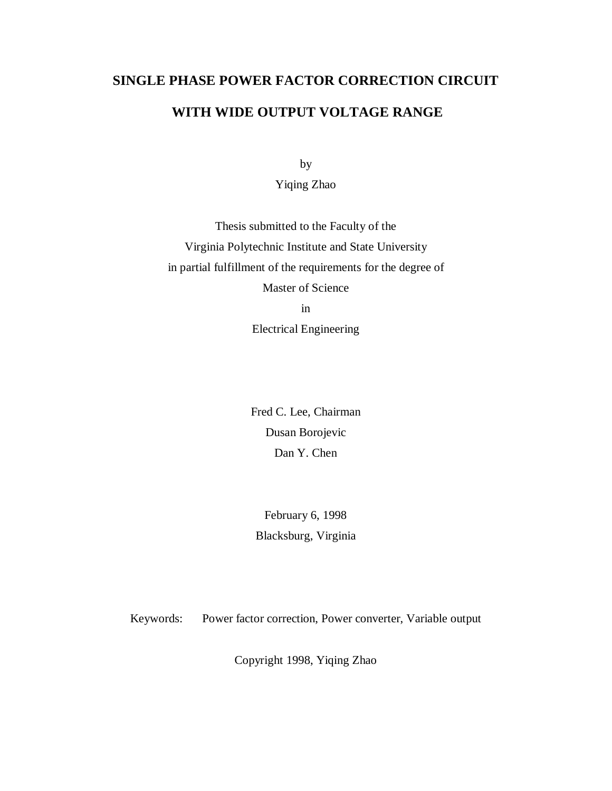# **SINGLE PHASE POWER FACTOR CORRECTION CIRCUIT**

## **WITH WIDE OUTPUT VOLTAGE RANGE**

by

Yiqing Zhao

Thesis submitted to the Faculty of the Virginia Polytechnic Institute and State University in partial fulfillment of the requirements for the degree of Master of Science

in

Electrical Engineering

Fred C. Lee, Chairman Dusan Borojevic Dan Y. Chen

February 6, 1998 Blacksburg, Virginia

Keywords: Power factor correction, Power converter, Variable output

Copyright 1998, Yiqing Zhao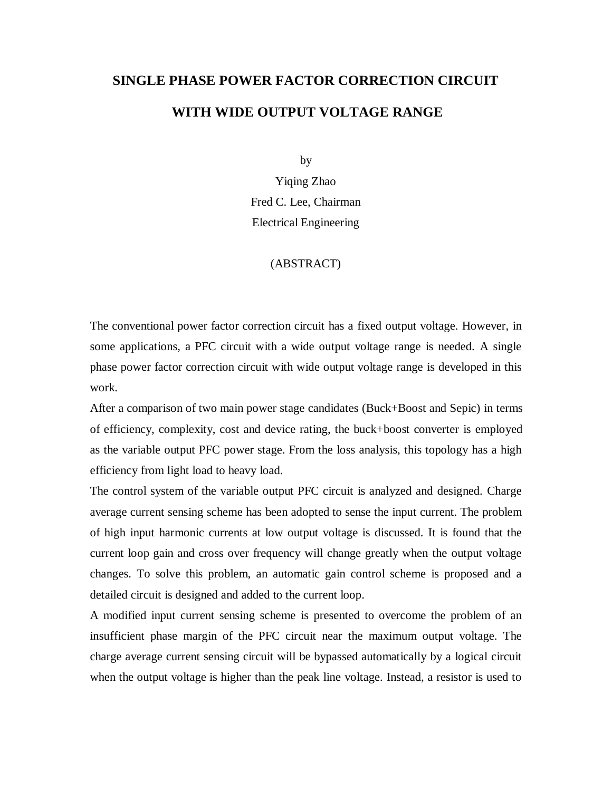# **SINGLE PHASE POWER FACTOR CORRECTION CIRCUIT WITH WIDE OUTPUT VOLTAGE RANGE**

by

Yiqing Zhao Fred C. Lee, Chairman Electrical Engineering

#### (ABSTRACT)

The conventional power factor correction circuit has a fixed output voltage. However, in some applications, a PFC circuit with a wide output voltage range is needed. A single phase power factor correction circuit with wide output voltage range is developed in this work.

After a comparison of two main power stage candidates (Buck+Boost and Sepic) in terms of efficiency, complexity, cost and device rating, the buck+boost converter is employed as the variable output PFC power stage. From the loss analysis, this topology has a high efficiency from light load to heavy load.

The control system of the variable output PFC circuit is analyzed and designed. Charge average current sensing scheme has been adopted to sense the input current. The problem of high input harmonic currents at low output voltage is discussed. It is found that the current loop gain and cross over frequency will change greatly when the output voltage changes. To solve this problem, an automatic gain control scheme is proposed and a detailed circuit is designed and added to the current loop.

A modified input current sensing scheme is presented to overcome the problem of an insufficient phase margin of the PFC circuit near the maximum output voltage. The charge average current sensing circuit will be bypassed automatically by a logical circuit when the output voltage is higher than the peak line voltage. Instead, a resistor is used to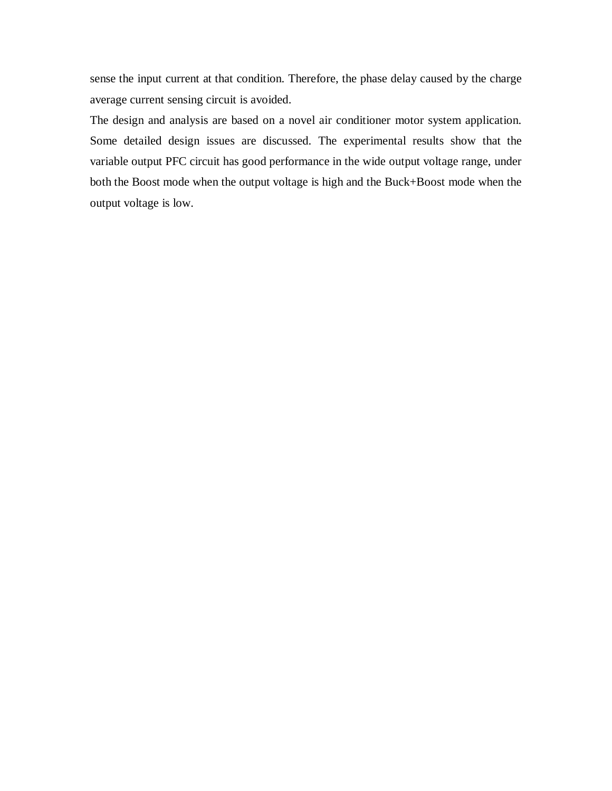sense the input current at that condition. Therefore, the phase delay caused by the charge average current sensing circuit is avoided.

The design and analysis are based on a novel air conditioner motor system application. Some detailed design issues are discussed. The experimental results show that the variable output PFC circuit has good performance in the wide output voltage range, under both the Boost mode when the output voltage is high and the Buck+Boost mode when the output voltage is low.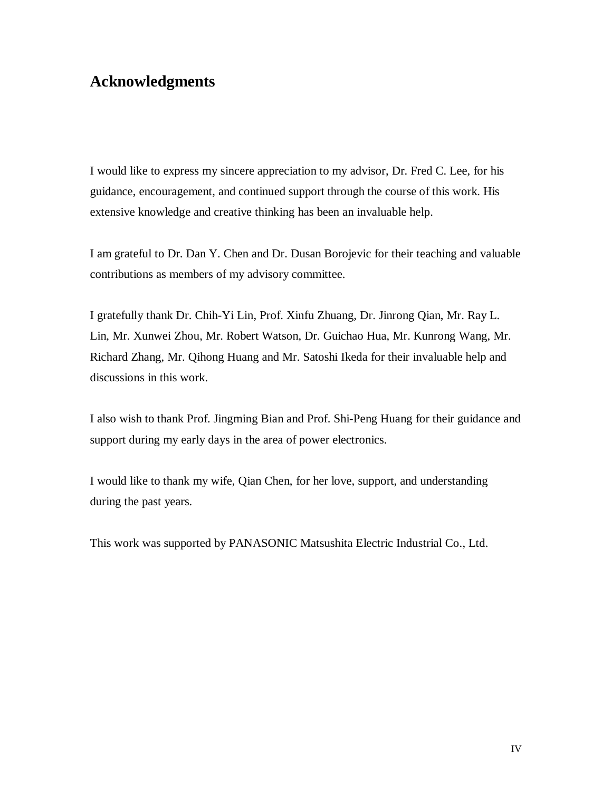## **Acknowledgments**

I would like to express my sincere appreciation to my advisor, Dr. Fred C. Lee, for his guidance, encouragement, and continued support through the course of this work. His extensive knowledge and creative thinking has been an invaluable help.

I am grateful to Dr. Dan Y. Chen and Dr. Dusan Borojevic for their teaching and valuable contributions as members of my advisory committee.

I gratefully thank Dr. Chih-Yi Lin, Prof. Xinfu Zhuang, Dr. Jinrong Qian, Mr. Ray L. Lin, Mr. Xunwei Zhou, Mr. Robert Watson, Dr. Guichao Hua, Mr. Kunrong Wang, Mr. Richard Zhang, Mr. Qihong Huang and Mr. Satoshi Ikeda for their invaluable help and discussions in this work.

I also wish to thank Prof. Jingming Bian and Prof. Shi-Peng Huang for their guidance and support during my early days in the area of power electronics.

I would like to thank my wife, Qian Chen, for her love, support, and understanding during the past years.

This work was supported by PANASONIC Matsushita Electric Industrial Co., Ltd.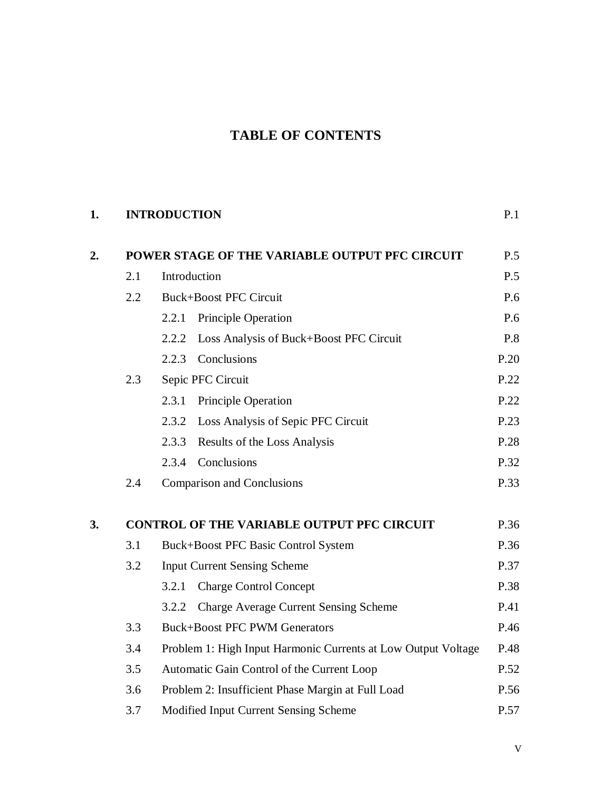## **TABLE OF CONTENTS**

## **1. INTRODUCTION** P.1

| 2. | POWER STAGE OF THE VARIABLE OUTPUT PFC CIRCUIT |                                                               | P.5  |
|----|------------------------------------------------|---------------------------------------------------------------|------|
|    | 2.1                                            | Introduction                                                  | P.5  |
|    | 2.2                                            | <b>Buck+Boost PFC Circuit</b>                                 | P.6  |
|    |                                                | Principle Operation<br>2.2.1                                  | P.6  |
|    |                                                | Loss Analysis of Buck+Boost PFC Circuit<br>2.2.2              | P.8  |
|    |                                                | Conclusions<br>2.2.3                                          | P.20 |
|    | 2.3                                            | Sepic PFC Circuit                                             | P.22 |
|    |                                                | <b>Principle Operation</b><br>2.3.1                           | P.22 |
|    |                                                | Loss Analysis of Sepic PFC Circuit<br>2.3.2                   | P.23 |
|    |                                                | 2.3.3<br>Results of the Loss Analysis                         | P.28 |
|    |                                                | Conclusions<br>2.3.4                                          | P.32 |
|    | 2.4                                            | <b>Comparison and Conclusions</b>                             | P.33 |
| 3. |                                                | <b>CONTROL OF THE VARIABLE OUTPUT PFC CIRCUIT</b>             | P.36 |
|    | 3.1                                            | <b>Buck+Boost PFC Basic Control System</b>                    | P.36 |
|    | 3.2                                            | <b>Input Current Sensing Scheme</b>                           | P.37 |
|    |                                                | 3.2.1<br><b>Charge Control Concept</b>                        | P.38 |
|    |                                                | <b>Charge Average Current Sensing Scheme</b><br>3.2.2         | P.41 |
|    | 3.3                                            | <b>Buck+Boost PFC PWM Generators</b>                          | P.46 |
|    | 3.4                                            | Problem 1: High Input Harmonic Currents at Low Output Voltage |      |
|    | 3.5                                            | P.52<br>Automatic Gain Control of the Current Loop            |      |
|    | 3.6                                            | Problem 2: Insufficient Phase Margin at Full Load             | P.56 |
|    | 3.7                                            | Modified Input Current Sensing Scheme                         | P.57 |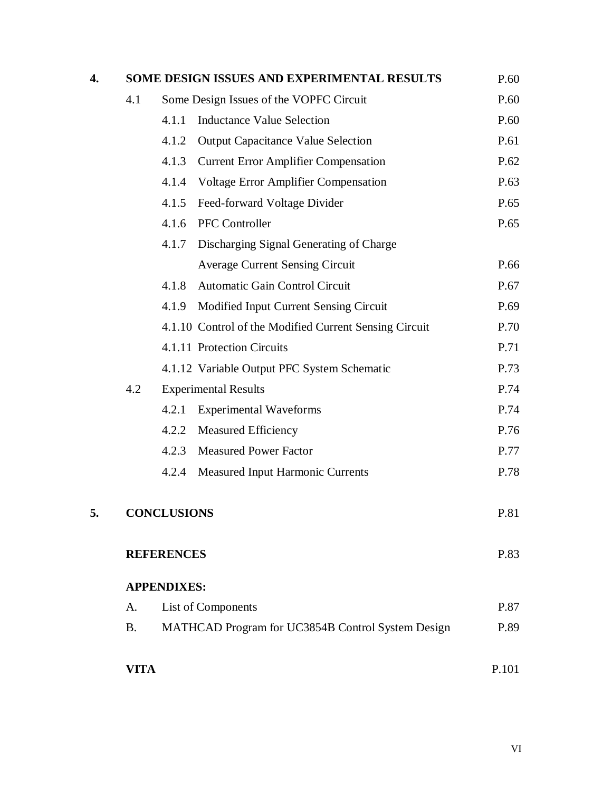| 4. |                    |       | <b>SOME DESIGN ISSUES AND EXPERIMENTAL RESULTS</b>     | P.60  |
|----|--------------------|-------|--------------------------------------------------------|-------|
|    | 4.1                |       | Some Design Issues of the VOPFC Circuit                | P.60  |
|    |                    | 4.1.1 | <b>Inductance Value Selection</b>                      | P.60  |
|    |                    | 4.1.2 | <b>Output Capacitance Value Selection</b>              | P.61  |
|    |                    | 4.1.3 | <b>Current Error Amplifier Compensation</b>            | P.62  |
|    |                    | 4.1.4 | <b>Voltage Error Amplifier Compensation</b>            | P.63  |
|    |                    | 4.1.5 | Feed-forward Voltage Divider                           | P.65  |
|    |                    | 4.1.6 | <b>PFC</b> Controller                                  | P.65  |
|    |                    | 4.1.7 | Discharging Signal Generating of Charge                |       |
|    |                    |       | <b>Average Current Sensing Circuit</b>                 | P.66  |
|    |                    | 4.1.8 | Automatic Gain Control Circuit                         | P.67  |
|    |                    | 4.1.9 | Modified Input Current Sensing Circuit                 | P.69  |
|    |                    |       | 4.1.10 Control of the Modified Current Sensing Circuit | P.70  |
|    |                    |       | 4.1.11 Protection Circuits                             | P.71  |
|    |                    |       | 4.1.12 Variable Output PFC System Schematic            | P.73  |
|    | 4.2                |       | <b>Experimental Results</b>                            | P.74  |
|    |                    | 4.2.1 | <b>Experimental Waveforms</b>                          | P.74  |
|    |                    | 4.2.2 | <b>Measured Efficiency</b>                             | P.76  |
|    |                    | 4.2.3 | <b>Measured Power Factor</b>                           | P.77  |
|    |                    | 4.2.4 | <b>Measured Input Harmonic Currents</b>                | P.78  |
| 5. | <b>CONCLUSIONS</b> |       | P.81                                                   |       |
|    | <b>REFERENCES</b>  |       |                                                        | P.83  |
|    | <b>APPENDIXES:</b> |       |                                                        |       |
|    | A.                 |       | List of Components                                     | P.87  |
|    | <b>B.</b>          |       | MATHCAD Program for UC3854B Control System Design      | P.89  |
|    | <b>VITA</b>        |       |                                                        | P.101 |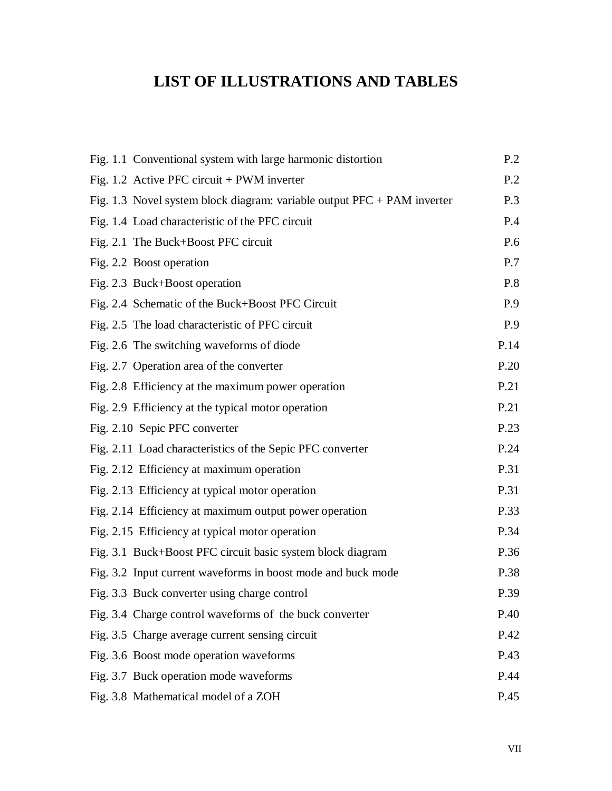# **LIST OF ILLUSTRATIONS AND TABLES**

| Fig. 1.1 Conventional system with large harmonic distortion               | P.2  |
|---------------------------------------------------------------------------|------|
| Fig. 1.2 Active PFC circuit $+$ PWM inverter                              | P.2  |
| Fig. 1.3 Novel system block diagram: variable output $PFC + PAM$ inverter | P.3  |
| Fig. 1.4 Load characteristic of the PFC circuit                           | P.4  |
| Fig. 2.1 The Buck+Boost PFC circuit                                       | P.6  |
| Fig. 2.2 Boost operation                                                  | P.7  |
| Fig. 2.3 Buck+Boost operation                                             | P.8  |
| Fig. 2.4 Schematic of the Buck+Boost PFC Circuit                          | P.9  |
| Fig. 2.5 The load characteristic of PFC circuit                           | P.9  |
| Fig. 2.6 The switching waveforms of diode                                 | P.14 |
| Fig. 2.7 Operation area of the converter                                  | P.20 |
| Fig. 2.8 Efficiency at the maximum power operation                        | P.21 |
| Fig. 2.9 Efficiency at the typical motor operation                        | P.21 |
| Fig. 2.10 Sepic PFC converter                                             | P.23 |
| Fig. 2.11 Load characteristics of the Sepic PFC converter                 | P.24 |
| Fig. 2.12 Efficiency at maximum operation                                 | P.31 |
| Fig. 2.13 Efficiency at typical motor operation                           | P.31 |
| Fig. 2.14 Efficiency at maximum output power operation                    | P.33 |
| Fig. 2.15 Efficiency at typical motor operation                           | P.34 |
| Fig. 3.1 Buck+Boost PFC circuit basic system block diagram                | P.36 |
| Fig. 3.2 Input current waveforms in boost mode and buck mode              | P.38 |
| Fig. 3.3 Buck converter using charge control                              | P.39 |
| Fig. 3.4 Charge control waveforms of the buck converter                   | P.40 |
| Fig. 3.5 Charge average current sensing circuit                           | P.42 |
| Fig. 3.6 Boost mode operation waveforms                                   | P.43 |
| Fig. 3.7 Buck operation mode waveforms                                    | P.44 |
| Fig. 3.8 Mathematical model of a ZOH                                      | P.45 |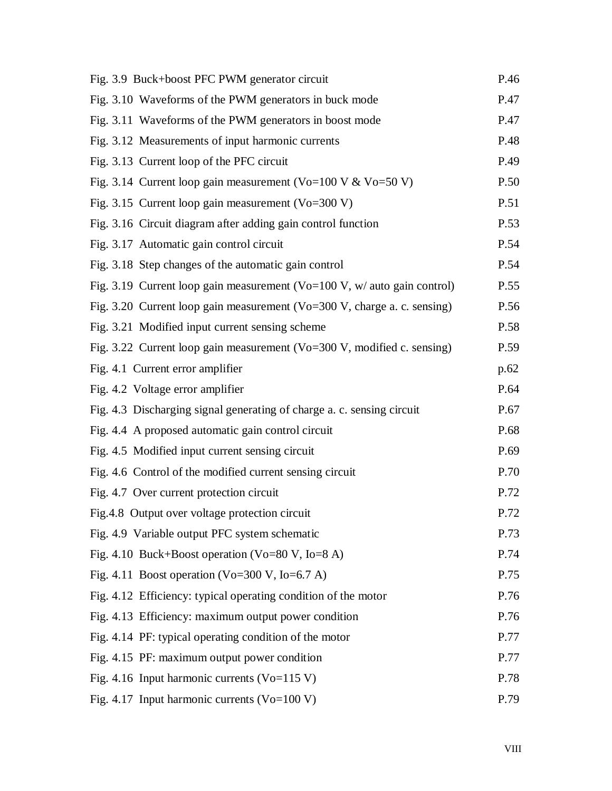| Fig. 3.9 Buck+boost PFC PWM generator circuit                                | P.46 |
|------------------------------------------------------------------------------|------|
| Fig. 3.10 Waveforms of the PWM generators in buck mode                       | P.47 |
| Fig. 3.11 Waveforms of the PWM generators in boost mode                      | P.47 |
| Fig. 3.12 Measurements of input harmonic currents                            | P.48 |
| Fig. 3.13 Current loop of the PFC circuit                                    | P.49 |
| Fig. 3.14 Current loop gain measurement (Vo=100 V & Vo=50 V)                 | P.50 |
| Fig. 3.15 Current loop gain measurement ( $Vo=300 V$ )                       | P.51 |
| Fig. 3.16 Circuit diagram after adding gain control function                 | P.53 |
| Fig. 3.17 Automatic gain control circuit                                     | P.54 |
| Fig. 3.18 Step changes of the automatic gain control                         | P.54 |
| Fig. 3.19 Current loop gain measurement ( $Vo=100$ V, w/ auto gain control)  | P.55 |
| Fig. 3.20 Current loop gain measurement ( $Vo=300 V$ , charge a. c. sensing) | P.56 |
| Fig. 3.21 Modified input current sensing scheme                              | P.58 |
| Fig. 3.22 Current loop gain measurement ( $Vo=300 V$ , modified c. sensing)  | P.59 |
| Fig. 4.1 Current error amplifier                                             | p.62 |
| Fig. 4.2 Voltage error amplifier                                             | P.64 |
| Fig. 4.3 Discharging signal generating of charge a. c. sensing circuit       | P.67 |
| Fig. 4.4 A proposed automatic gain control circuit                           | P.68 |
| Fig. 4.5 Modified input current sensing circuit                              | P.69 |
| Fig. 4.6 Control of the modified current sensing circuit                     | P.70 |
| Fig. 4.7 Over current protection circuit                                     | P.72 |
| Fig.4.8 Output over voltage protection circuit                               | P.72 |
| Fig. 4.9 Variable output PFC system schematic                                | P.73 |
| Fig. 4.10 Buck+Boost operation (Vo=80 V, Io=8 A)                             | P.74 |
| Fig. 4.11 Boost operation (Vo=300 V, Io=6.7 A)                               | P.75 |
| Fig. 4.12 Efficiency: typical operating condition of the motor               | P.76 |
| Fig. 4.13 Efficiency: maximum output power condition                         | P.76 |
| Fig. 4.14 PF: typical operating condition of the motor                       | P.77 |
| Fig. 4.15 PF: maximum output power condition                                 | P.77 |
| Fig. 4.16 Input harmonic currents ( $Vo=115 V$ )                             | P.78 |
| Fig. 4.17 Input harmonic currents ( $Vo=100 V$ )                             | P.79 |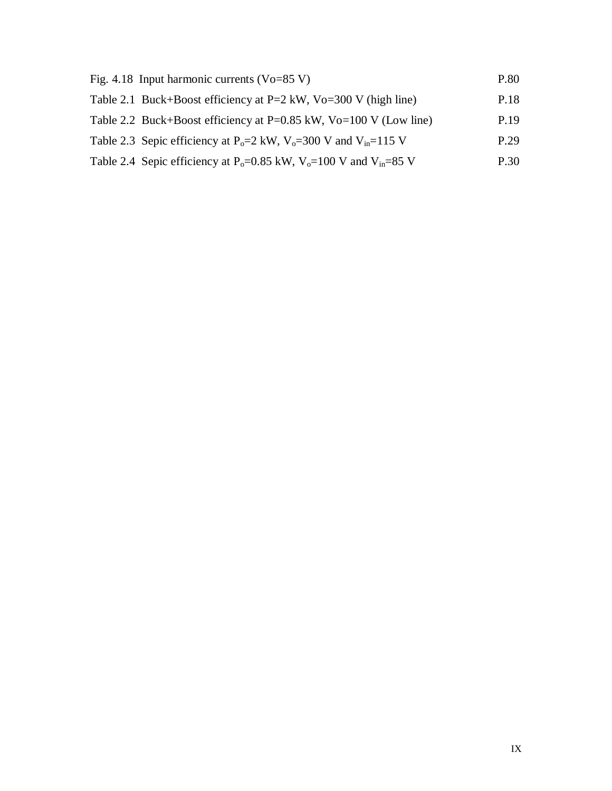| Fig. 4.18 Input harmonic currents ( $V_0 = 85 V$ )                                                     | P.80 |
|--------------------------------------------------------------------------------------------------------|------|
| Table 2.1 Buck+Boost efficiency at P=2 kW, Vo=300 V (high line)                                        | P.18 |
| Table 2.2 Buck+Boost efficiency at P=0.85 kW, Vo=100 V (Low line)                                      | P.19 |
| Table 2.3 Sepic efficiency at P <sub>0</sub> =2 kW, V <sub>0</sub> =300 V and V <sub>in</sub> =115 V   | P.29 |
| Table 2.4 Sepic efficiency at P <sub>0</sub> =0.85 kW, V <sub>0</sub> =100 V and V <sub>in</sub> =85 V | P.30 |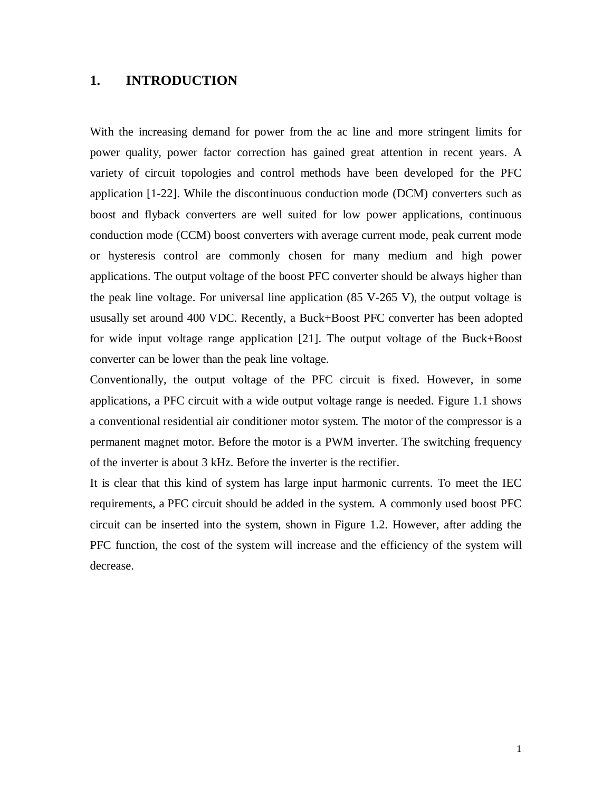## **1. INTRODUCTION**

With the increasing demand for power from the ac line and more stringent limits for power quality, power factor correction has gained great attention in recent years. A variety of circuit topologies and control methods have been developed for the PFC application [1-22]. While the discontinuous conduction mode (DCM) converters such as boost and flyback converters are well suited for low power applications, continuous conduction mode (CCM) boost converters with average current mode, peak current mode or hysteresis control are commonly chosen for many medium and high power applications. The output voltage of the boost PFC converter should be always higher than the peak line voltage. For universal line application (85 V-265 V), the output voltage is ususally set around 400 VDC. Recently, a Buck+Boost PFC converter has been adopted for wide input voltage range application [21]. The output voltage of the Buck+Boost converter can be lower than the peak line voltage.

Conventionally, the output voltage of the PFC circuit is fixed. However, in some applications, a PFC circuit with a wide output voltage range is needed. Figure 1.1 shows a conventional residential air conditioner motor system. The motor of the compressor is a permanent magnet motor. Before the motor is a PWM inverter. The switching frequency of the inverter is about 3 kHz. Before the inverter is the rectifier.

It is clear that this kind of system has large input harmonic currents. To meet the IEC requirements, a PFC circuit should be added in the system. A commonly used boost PFC circuit can be inserted into the system, shown in Figure 1.2. However, after adding the PFC function, the cost of the system will increase and the efficiency of the system will decrease.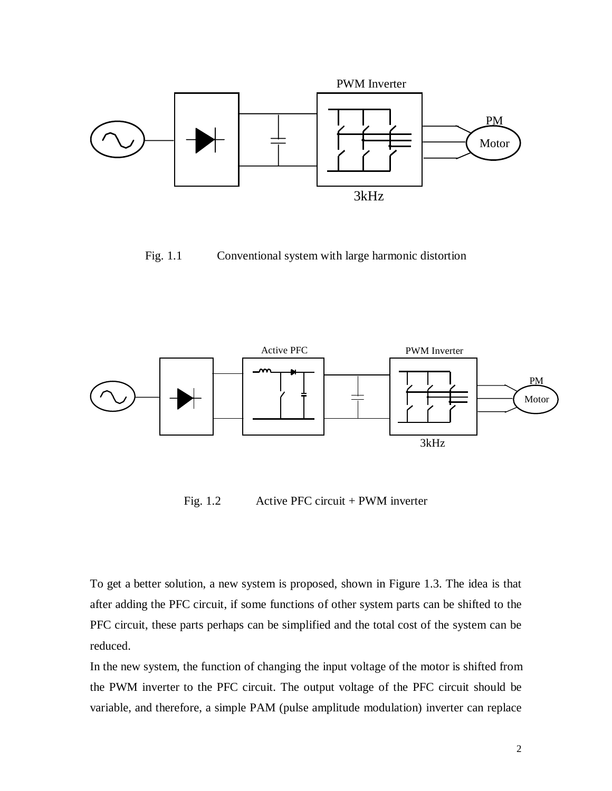

Fig. 1.1 Conventional system with large harmonic distortion



Fig. 1.2 Active PFC circuit + PWM inverter

To get a better solution, a new system is proposed, shown in Figure 1.3. The idea is that after adding the PFC circuit, if some functions of other system parts can be shifted to the PFC circuit, these parts perhaps can be simplified and the total cost of the system can be reduced.

In the new system, the function of changing the input voltage of the motor is shifted from the PWM inverter to the PFC circuit. The output voltage of the PFC circuit should be variable, and therefore, a simple PAM (pulse amplitude modulation) inverter can replace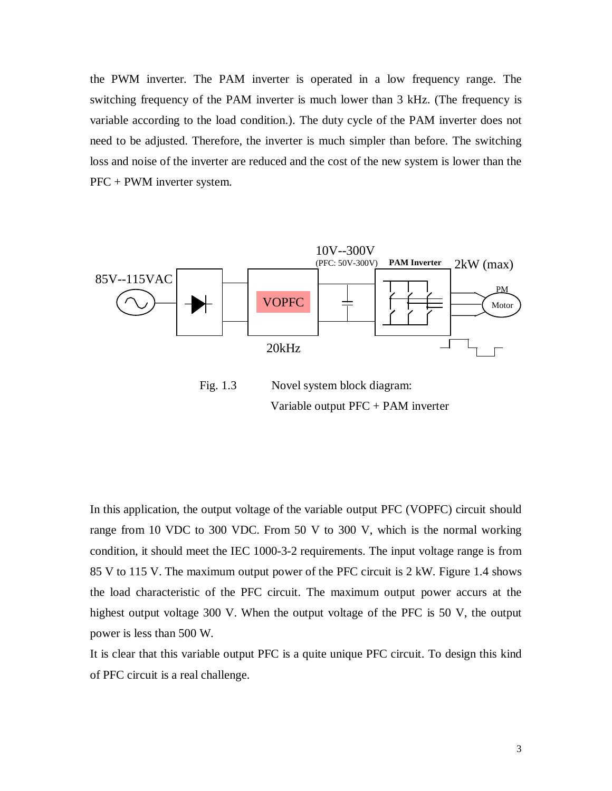the PWM inverter. The PAM inverter is operated in a low frequency range. The switching frequency of the PAM inverter is much lower than 3 kHz. (The frequency is variable according to the load condition.). The duty cycle of the PAM inverter does not need to be adjusted. Therefore, the inverter is much simpler than before. The switching loss and noise of the inverter are reduced and the cost of the new system is lower than the PFC + PWM inverter system.



Variable output PFC + PAM inverter

In this application, the output voltage of the variable output PFC (VOPFC) circuit should range from 10 VDC to 300 VDC. From 50 V to 300 V, which is the normal working condition, it should meet the IEC 1000-3-2 requirements. The input voltage range is from 85 V to 115 V. The maximum output power of the PFC circuit is 2 kW. Figure 1.4 shows the load characteristic of the PFC circuit. The maximum output power accurs at the highest output voltage 300 V. When the output voltage of the PFC is 50 V, the output power is less than 500 W.

It is clear that this variable output PFC is a quite unique PFC circuit. To design this kind of PFC circuit is a real challenge.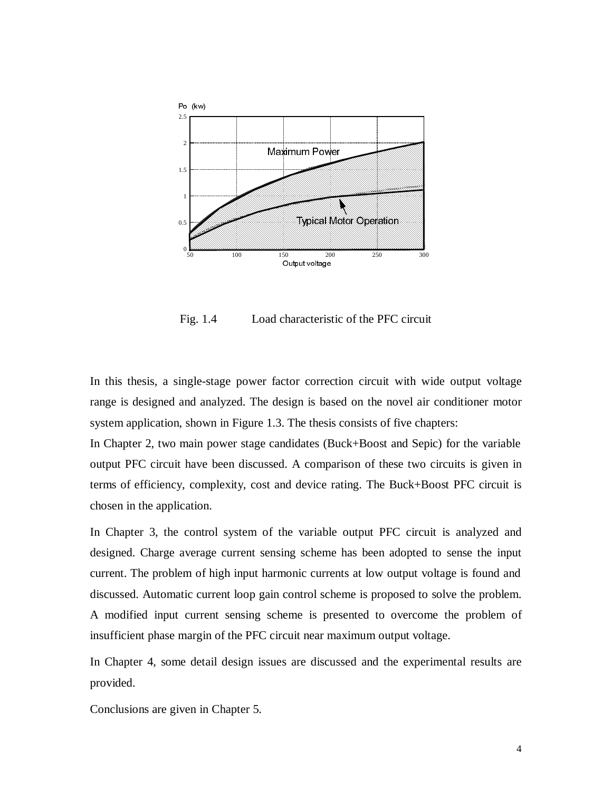

Fig. 1.4 Load characteristic of the PFC circuit

In this thesis, a single-stage power factor correction circuit with wide output voltage range is designed and analyzed. The design is based on the novel air conditioner motor system application, shown in Figure 1.3. The thesis consists of five chapters:

In Chapter 2, two main power stage candidates (Buck+Boost and Sepic) for the variable output PFC circuit have been discussed. A comparison of these two circuits is given in terms of efficiency, complexity, cost and device rating. The Buck+Boost PFC circuit is chosen in the application.

In Chapter 3, the control system of the variable output PFC circuit is analyzed and designed. Charge average current sensing scheme has been adopted to sense the input current. The problem of high input harmonic currents at low output voltage is found and discussed. Automatic current loop gain control scheme is proposed to solve the problem. A modified input current sensing scheme is presented to overcome the problem of insufficient phase margin of the PFC circuit near maximum output voltage.

In Chapter 4, some detail design issues are discussed and the experimental results are provided.

Conclusions are given in Chapter 5.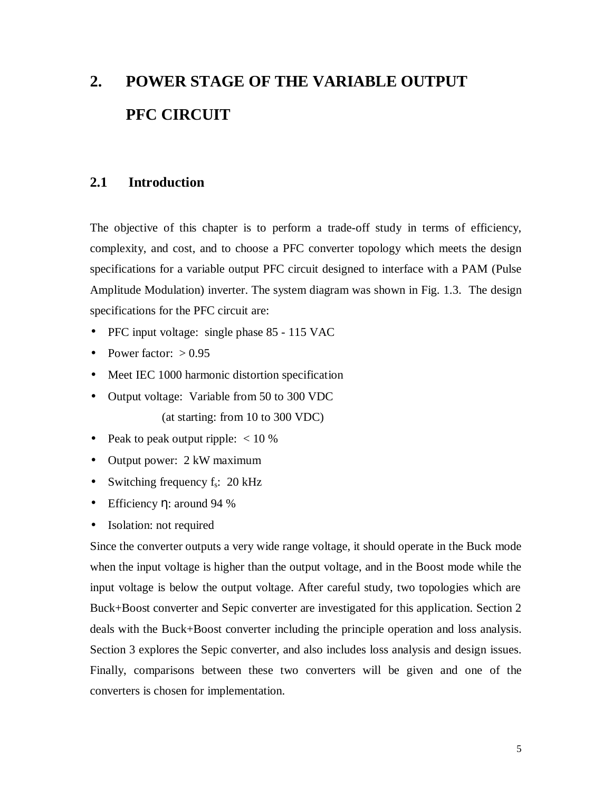# **2. POWER STAGE OF THE VARIABLE OUTPUT PFC CIRCUIT**

## **2.1 Introduction**

The objective of this chapter is to perform a trade-off study in terms of efficiency, complexity, and cost, and to choose a PFC converter topology which meets the design specifications for a variable output PFC circuit designed to interface with a PAM (Pulse Amplitude Modulation) inverter. The system diagram was shown in Fig. 1.3. The design specifications for the PFC circuit are:

- PFC input voltage: single phase 85 115 VAC
- Power factor:  $> 0.95$
- Meet IEC 1000 harmonic distortion specification
- Output voltage: Variable from 50 to 300 VDC (at starting: from 10 to 300 VDC)
- Peak to peak output ripple:  $< 10\%$
- Output power: 2 kW maximum
- Switching frequency  $f_s$ : 20 kHz
- Efficiency η: around 94 %
- Isolation: not required

Since the converter outputs a very wide range voltage, it should operate in the Buck mode when the input voltage is higher than the output voltage, and in the Boost mode while the input voltage is below the output voltage. After careful study, two topologies which are Buck+Boost converter and Sepic converter are investigated for this application. Section 2 deals with the Buck+Boost converter including the principle operation and loss analysis. Section 3 explores the Sepic converter, and also includes loss analysis and design issues. Finally, comparisons between these two converters will be given and one of the converters is chosen for implementation.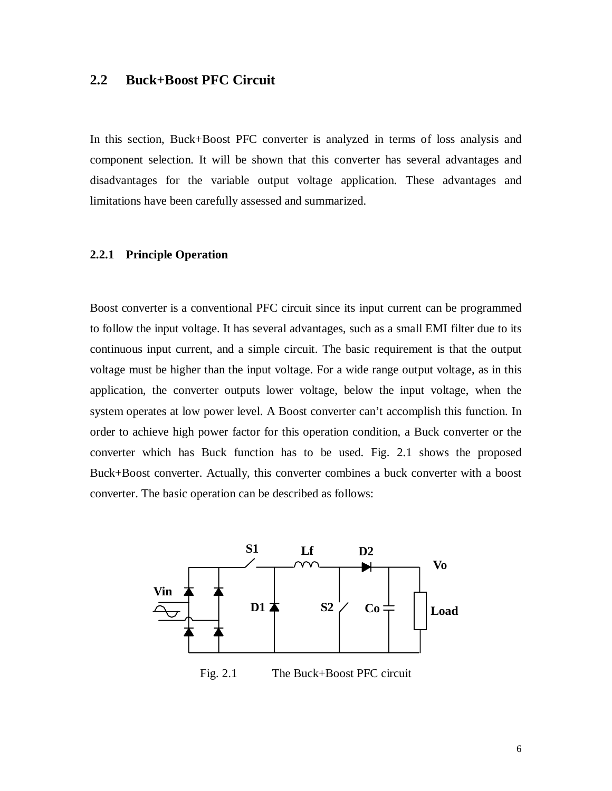## **2.2 Buck+Boost PFC Circuit**

In this section, Buck+Boost PFC converter is analyzed in terms of loss analysis and component selection. It will be shown that this converter has several advantages and disadvantages for the variable output voltage application. These advantages and limitations have been carefully assessed and summarized.

#### **2.2.1 Principle Operation**

Boost converter is a conventional PFC circuit since its input current can be programmed to follow the input voltage. It has several advantages, such as a small EMI filter due to its continuous input current, and a simple circuit. The basic requirement is that the output voltage must be higher than the input voltage. For a wide range output voltage, as in this application, the converter outputs lower voltage, below the input voltage, when the system operates at low power level. A Boost converter can't accomplish this function. In order to achieve high power factor for this operation condition, a Buck converter or the converter which has Buck function has to be used. Fig. 2.1 shows the proposed Buck+Boost converter. Actually, this converter combines a buck converter with a boost converter. The basic operation can be described as follows:



Fig. 2.1 The Buck+Boost PFC circuit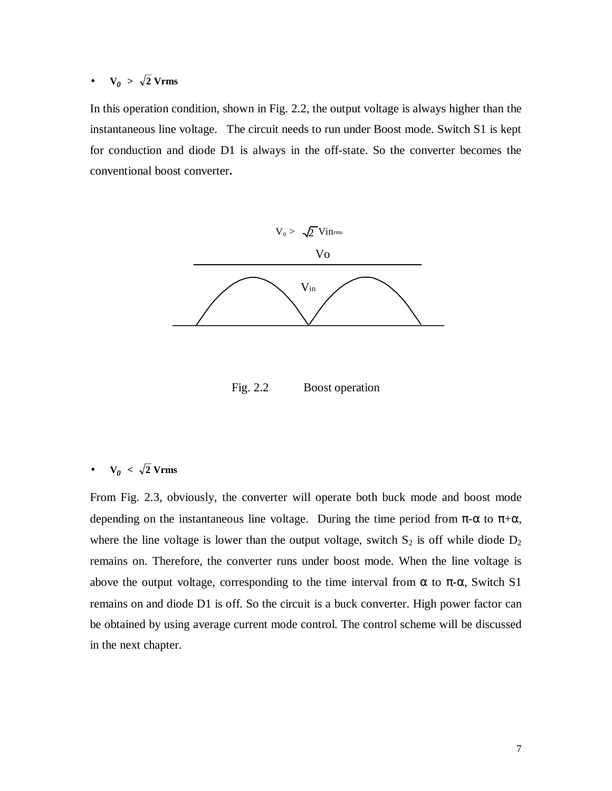•  $V_0 > \sqrt{2}$  Vrms

In this operation condition, shown in Fig. 2.2, the output voltage is always higher than the instantaneous line voltage. The circuit needs to run under Boost mode. Switch S1 is kept for conduction and diode D1 is always in the off-state. So the converter becomes the conventional boost converter**.**



Fig. 2.2 Boost operation

## •  $V_0 < \sqrt{2}$  Vrms

From Fig. 2.3, obviously, the converter will operate both buck mode and boost mode depending on the instantaneous line voltage. During the time period from  $\pi$ - $\alpha$  to  $\pi$ + $\alpha$ , where the line voltage is lower than the output voltage, switch  $S_2$  is off while diode  $D_2$ remains on. Therefore, the converter runs under boost mode. When the line voltage is above the output voltage, corresponding to the time interval from  $\alpha$  to  $\pi$ - $\alpha$ , Switch S1 remains on and diode D1 is off. So the circuit is a buck converter. High power factor can be obtained by using average current mode control. The control scheme will be discussed in the next chapter.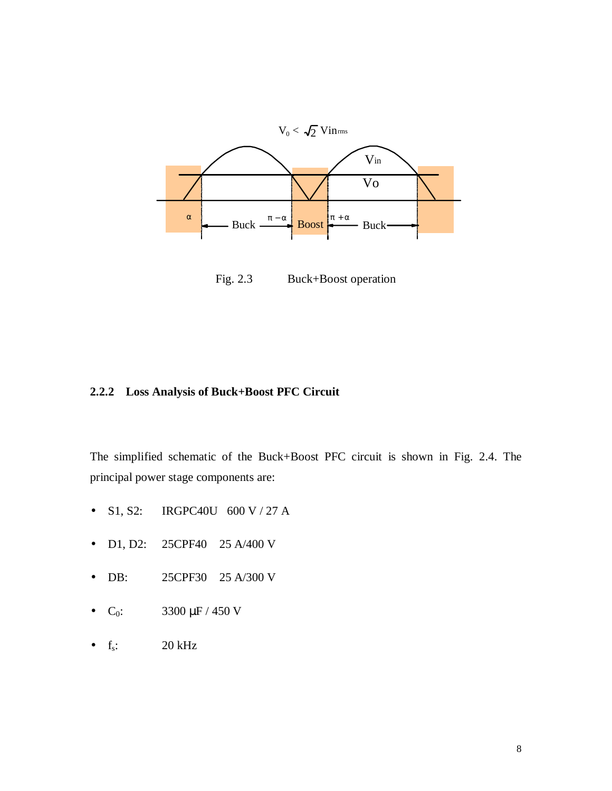

Fig. 2.3 Buck+Boost operation

## **2.2.2 Loss Analysis of Buck+Boost PFC Circuit**

The simplified schematic of the Buck+Boost PFC circuit is shown in Fig. 2.4. The principal power stage components are:

- S1, S2: IRGPC40U 600 V / 27 A
- D1, D2: 25CPF40 25 A/400 V
- DB: 25CPF30 25 A/300 V
- $C_0$ : 3300  $\mu$ F / 450 V
- $f_s$ : 20 kHz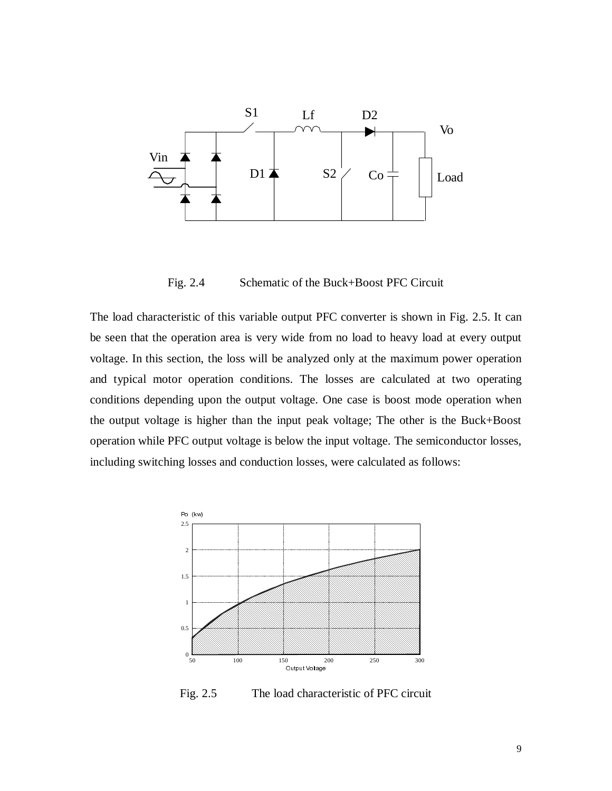

Fig. 2.4 Schematic of the Buck+Boost PFC Circuit

The load characteristic of this variable output PFC converter is shown in Fig. 2.5. It can be seen that the operation area is very wide from no load to heavy load at every output voltage. In this section, the loss will be analyzed only at the maximum power operation and typical motor operation conditions. The losses are calculated at two operating conditions depending upon the output voltage. One case is boost mode operation when the output voltage is higher than the input peak voltage; The other is the Buck+Boost operation while PFC output voltage is below the input voltage. The semiconductor losses, including switching losses and conduction losses, were calculated as follows:



Fig. 2.5 The load characteristic of PFC circuit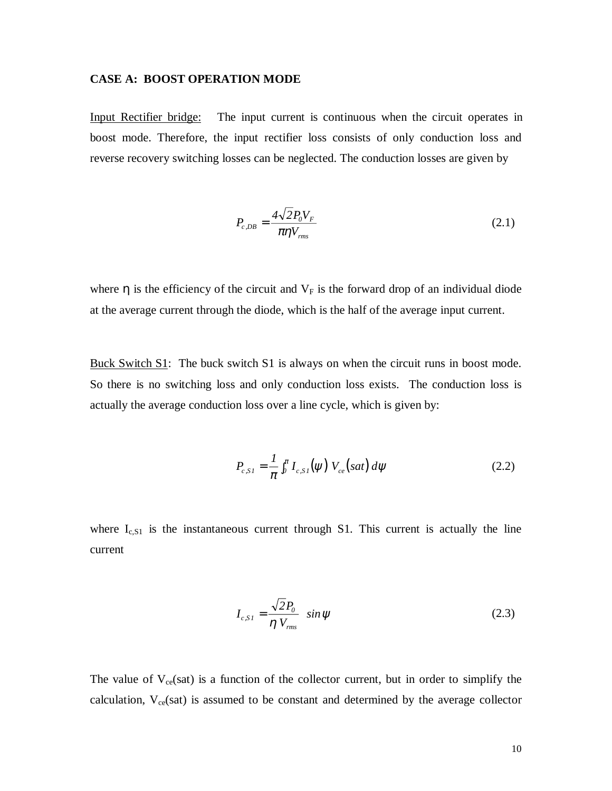#### **CASE A: BOOST OPERATION MODE**

Input Rectifier bridge: The input current is continuous when the circuit operates in boost mode. Therefore, the input rectifier loss consists of only conduction loss and reverse recovery switching losses can be neglected. The conduction losses are given by

$$
P_{c,DB} = \frac{4\sqrt{2}P_0V_F}{\pi\eta V_{rms}}
$$
\n(2.1)

where  $\eta$  is the efficiency of the circuit and  $V_F$  is the forward drop of an individual diode at the average current through the diode, which is the half of the average input current.

Buck Switch S1: The buck switch S1 is always on when the circuit runs in boost mode. So there is no switching loss and only conduction loss exists. The conduction loss is actually the average conduction loss over a line cycle, which is given by:

$$
P_{c,SI} = \frac{1}{\pi} \int_0^{\pi} I_{c,SI}(\psi) V_{ce}(sat) d\psi
$$
 (2.2)

where  $I_{c, S1}$  is the instantaneous current through S1. This current is actually the line current

$$
I_{c,SI} = \frac{\sqrt{2}P_0}{\eta V_{rms}} \quad \sin \psi \tag{2.3}
$$

The value of  $V_{ce}(sat)$  is a function of the collector current, but in order to simplify the calculation,  $V_{ce}(sat)$  is assumed to be constant and determined by the average collector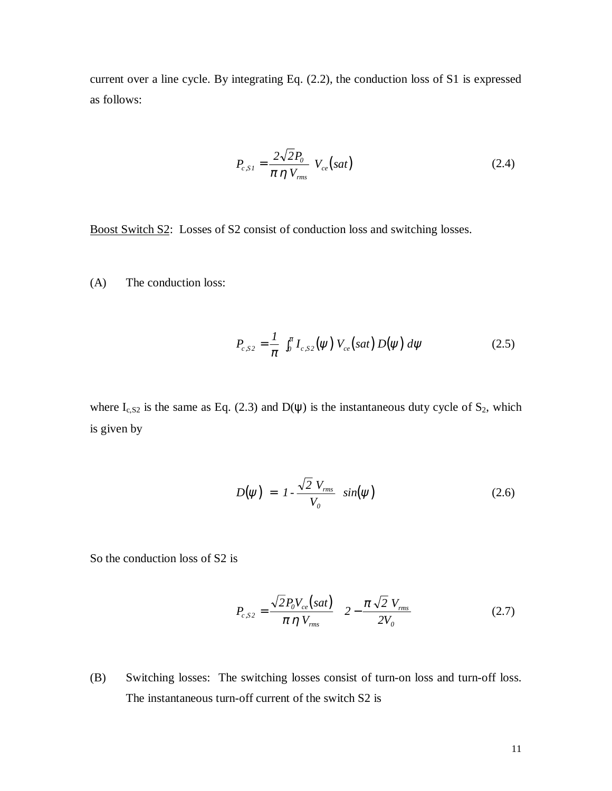current over a line cycle. By integrating Eq. (2.2), the conduction loss of S1 is expressed as follows:

$$
P_{c, SI} = \frac{2\sqrt{2}P_0}{\pi \eta V_{rms}} V_{ce}(sat)
$$
 (2.4)

Boost Switch S2: Losses of S2 consist of conduction loss and switching losses.

(A) The conduction loss:

$$
P_{c,S2} = \frac{1}{\pi} \int_0^{\pi} I_{c,S2}(\psi) V_{ce}(sat) D(\psi) d\psi
$$
 (2.5)

where  $I_{c, S2}$  is the same as Eq. (2.3) and  $D(\psi)$  is the instantaneous duty cycle of  $S_2$ , which is given by

$$
D(\psi) = I - \frac{\sqrt{2} V_{rms}}{V_o} \sin(\psi) \qquad (2.6)
$$

So the conduction loss of S2 is

$$
P_{c,S2} = \frac{\sqrt{2} P_0 V_{ce}(sat)}{\pi \eta V_{rms}} \left( 2 - \frac{\pi \sqrt{2} V_{rms}}{2V_0} \right)
$$
 (2.7)

(B) Switching losses: The switching losses consist of turn-on loss and turn-off loss. The instantaneous turn-off current of the switch S2 is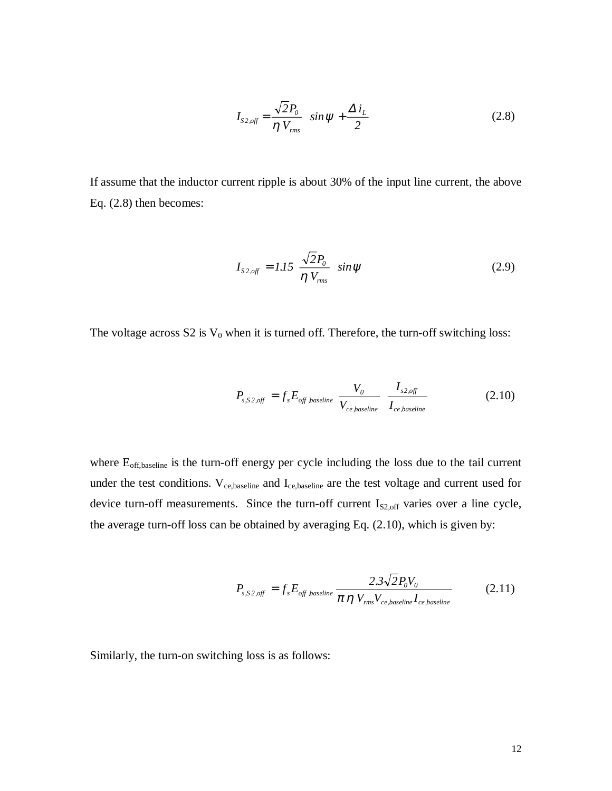$$
I_{S2,off} = \frac{\sqrt{2}P_0}{\eta V_{rms}} \sin \psi + \frac{\Delta i_L}{2}
$$
 (2.8)

If assume that the inductor current ripple is about 30% of the input line current, the above Eq. (2.8) then becomes:

$$
I_{\text{s2,off}} = 1.15 \frac{\sqrt{2}P_0}{\eta V_{\text{rms}}} \sin \psi \tag{2.9}
$$

The voltage across  $S2$  is  $V_0$  when it is turned off. Therefore, the turn-off switching loss:

$$
P_{s,S2,off} = f_s E_{off,baseline} \frac{V_0}{V_{ce,baseline}} \frac{I_{s2,off}}{I_{ce,baseline}}
$$
(2.10)

where  $E_{off,baseline}$  is the turn-off energy per cycle including the loss due to the tail current under the test conditions. V<sub>ce,baseline</sub> and I<sub>ce,baseline</sub> are the test voltage and current used for device turn-off measurements. Since the turn-off current  $I_{S2,off}$  varies over a line cycle, the average turn-off loss can be obtained by averaging Eq. (2.10), which is given by:

$$
P_{s,S2,off} = f_s E_{off,baseline} \frac{2.3\sqrt{2} P_0 V_0}{\pi \eta V_{rms} V_{ce,baseline} I_{ce,baseline}}
$$
(2.11)

Similarly, the turn-on switching loss is as follows: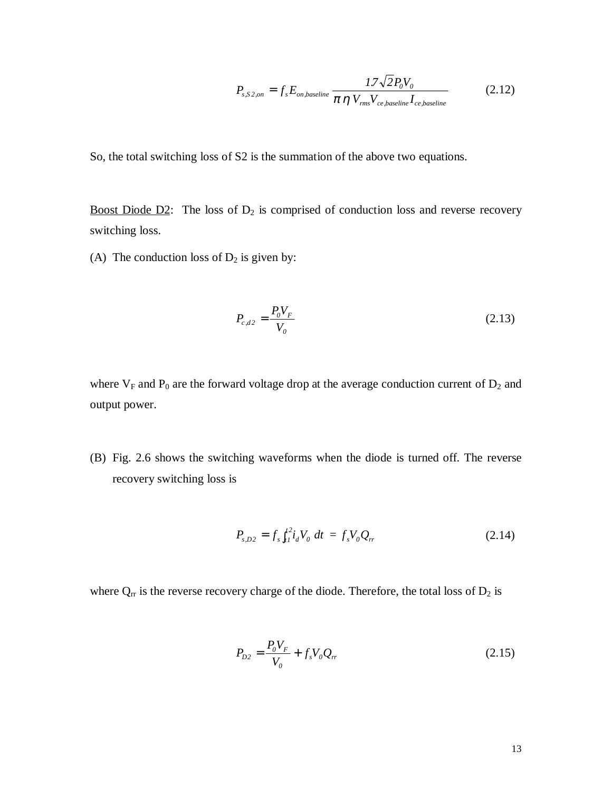$$
P_{s,S2,on} = f_s E_{on,baseline} \frac{1.7\sqrt{2} P_0 V_0}{\pi \eta V_{rms} V_{ce,baseline} I_{ce,baseline}}
$$
(2.12)

So, the total switching loss of S2 is the summation of the above two equations.

Boost Diode  $D2$ : The loss of  $D_2$  is comprised of conduction loss and reverse recovery switching loss.

(A) The conduction loss of  $D_2$  is given by:

$$
P_{c,d2} = \frac{P_0 V_F}{V_0} \tag{2.13}
$$

where  $V_F$  and  $P_0$  are the forward voltage drop at the average conduction current of  $D_2$  and output power.

(B) Fig. 2.6 shows the switching waveforms when the diode is turned off. The reverse recovery switching loss is

$$
P_{s,D2} = f_s \int_{t1}^{t2} i_d V_0 \, dt = f_s V_0 Q_r \tag{2.14}
$$

where  $Q_{rr}$  is the reverse recovery charge of the diode. Therefore, the total loss of  $D_2$  is

$$
P_{D2} = \frac{P_0 V_F}{V_0} + f_s V_0 Q_r
$$
\n(2.15)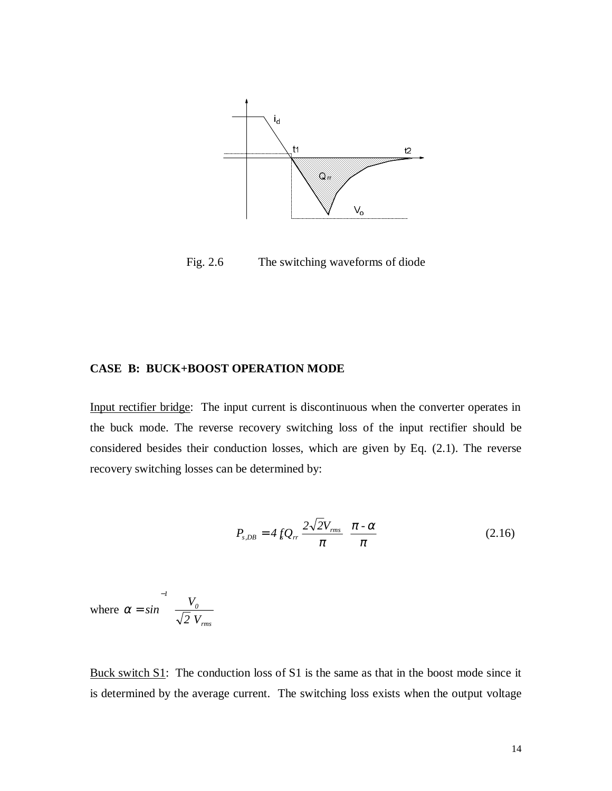

Fig. 2.6 The switching waveforms of diode

#### **CASE B: BUCK+BOOST OPERATION MODE**

Input rectifier bridge: The input current is discontinuous when the converter operates in the buck mode. The reverse recovery switching loss of the input rectifier should be considered besides their conduction losses, which are given by Eq. (2.1). The reverse recovery switching losses can be determined by:

$$
P_{s,DB} = 4 f_s Q_r \frac{2\sqrt{2}V_{rms}}{\pi} \frac{\pi \cdot \alpha}{\pi}
$$
 (2.16)

where  $\alpha = \sin^{-1}$ l  $\left(\frac{V_0}{\sqrt{2}}\right)$  $\bigg)$  $\overline{\phantom{a}}$ − *sin 1 0 2 V*  $V_{\textit{rms}}$ 

Buck switch S1: The conduction loss of S1 is the same as that in the boost mode since it is determined by the average current. The switching loss exists when the output voltage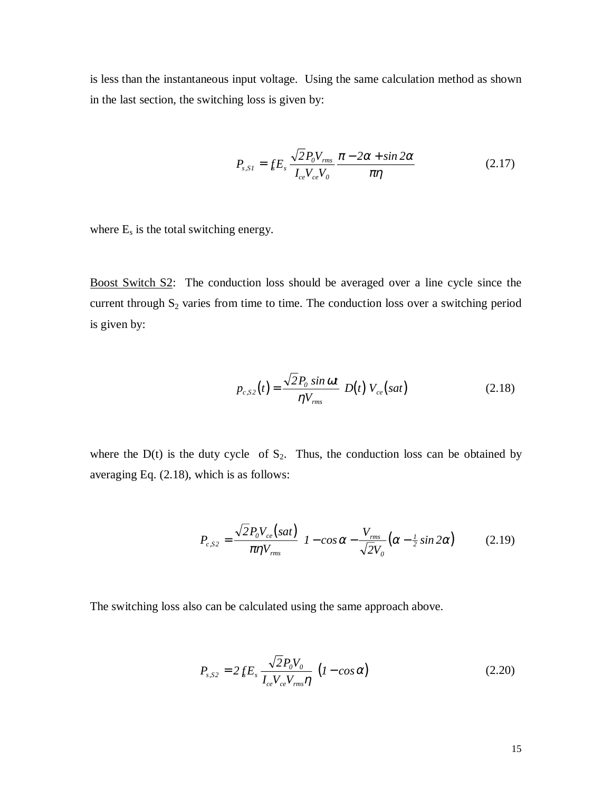is less than the instantaneous input voltage. Using the same calculation method as shown in the last section, the switching loss is given by:

$$
P_{s,SI} = f_s E_s \frac{\sqrt{2 P_0 V_{rms}}}{I_{ce} V_{ce} V_0} \frac{\pi - 2\alpha + \sin 2\alpha}{\pi \eta}
$$
(2.17)

where  $E_s$  is the total switching energy.

Boost Switch S2: The conduction loss should be averaged over a line cycle since the current through  $S_2$  varies from time to time. The conduction loss over a switching period is given by:

$$
p_{c,S2}(t) = \frac{\sqrt{2P_0 \sin \omega t}}{\eta V_{rms}} D(t) V_{ce}(sat)
$$
 (2.18)

where the  $D(t)$  is the duty cycle of  $S_2$ . Thus, the conduction loss can be obtained by averaging Eq. (2.18), which is as follows:

$$
P_{c, S2} = \frac{\sqrt{2} P_0 V_{ce}(sat)}{\pi \eta V_{rms}} \left[ 1 - \cos \alpha - \frac{V_{rms}}{\sqrt{2} V_0} \left( \alpha - \frac{1}{2} \sin 2\alpha \right) \right]
$$
(2.19)

The switching loss also can be calculated using the same approach above.

$$
P_{s, S2} = 2 f_s E_s \frac{\sqrt{2 P_0 V_0}}{I_{ce} V_{ce} V_{rms} \eta} (I - \cos \alpha)
$$
 (2.20)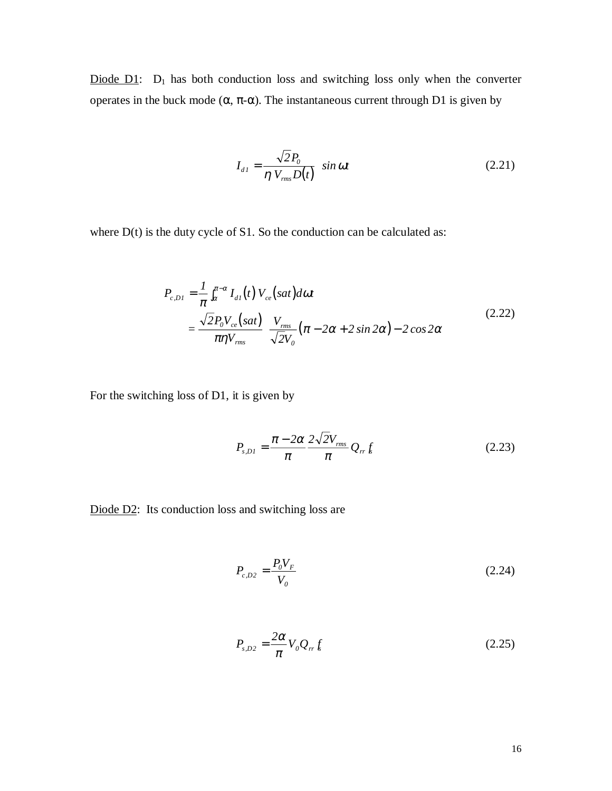Diode  $D1$ :  $D_1$  has both conduction loss and switching loss only when the converter operates in the buck mode  $(\alpha, \pi-\alpha)$ . The instantaneous current through D1 is given by

$$
I_{d1} = \frac{\sqrt{2}P_0}{\eta V_{rms}D(t)} \sin \omega t
$$
 (2.21)

where  $D(t)$  is the duty cycle of S1. So the conduction can be calculated as:

$$
P_{c,DI} = \frac{1}{\pi} \int_{\alpha}^{\pi-\alpha} I_{dI}(t) V_{ce}(sat) d\omega t
$$
  
= 
$$
\frac{\sqrt{2} P_0 V_{ce}(sat)}{\pi \eta V_{rms}} \left[ \frac{V_{rms}}{\sqrt{2} V_0} (\pi - 2\alpha + 2 \sin 2\alpha) - 2 \cos 2\alpha \right]
$$
 (2.22)

For the switching loss of D1, it is given by

$$
P_{s,DI} = \frac{\pi - 2\alpha}{\pi} \frac{2\sqrt{2}V_{rms}}{\pi} Q_{rr} f_s
$$
 (2.23)

Diode D2: Its conduction loss and switching loss are

$$
P_{c,D2} = \frac{P_0 V_F}{V_0} \tag{2.24}
$$

$$
P_{s,D2} = \frac{2\alpha}{\pi} V_0 Q_{rr} f_s \tag{2.25}
$$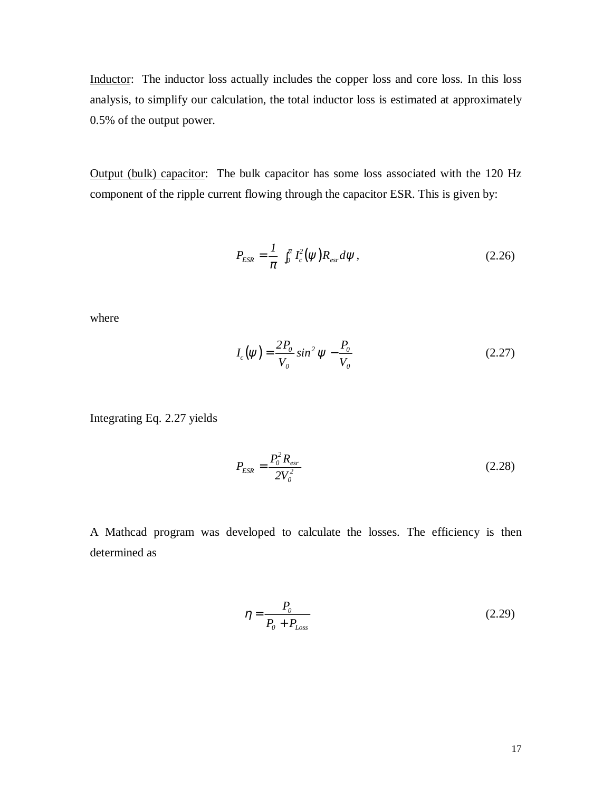Inductor: The inductor loss actually includes the copper loss and core loss. In this loss analysis, to simplify our calculation, the total inductor loss is estimated at approximately 0.5% of the output power.

Output (bulk) capacitor: The bulk capacitor has some loss associated with the 120 Hz component of the ripple current flowing through the capacitor ESR. This is given by:

$$
P_{ESR} = \frac{1}{\pi} \int_0^{\pi} I_c^2(\psi) R_{esr} d\psi, \qquad (2.26)
$$

where

$$
I_c(\psi) = \frac{2P_o}{V_o} \sin^2 \psi - \frac{P_o}{V_o}
$$
 (2.27)

Integrating Eq. 2.27 yields

$$
P_{ESR} = \frac{P_0^2 R_{est}}{2V_0^2}
$$
 (2.28)

A Mathcad program was developed to calculate the losses. The efficiency is then determined as

$$
\eta = \frac{P_0}{P_0 + P_{Loss}}
$$
\n(2.29)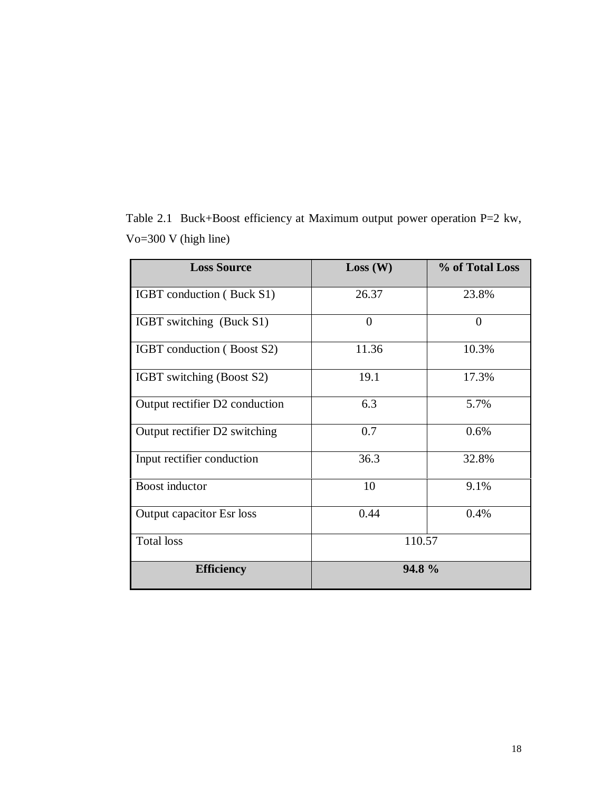| <b>Loss Source</b>             | Loss (W)       | % of Total Loss |
|--------------------------------|----------------|-----------------|
| IGBT conduction (Buck S1)      | 26.37          | 23.8%           |
| IGBT switching (Buck S1)       | $\overline{0}$ | $\overline{0}$  |
| IGBT conduction (Boost S2)     | 11.36          | 10.3%           |
| IGBT switching (Boost S2)      | 19.1           | 17.3%           |
| Output rectifier D2 conduction | 6.3            | 5.7%            |
| Output rectifier D2 switching  | 0.7            | 0.6%            |
| Input rectifier conduction     | 36.3           | 32.8%           |
| Boost inductor                 | 10             | 9.1%            |
| Output capacitor Esr loss      | 0.44           | 0.4%            |
| <b>Total</b> loss              | 110.57         |                 |
| <b>Efficiency</b>              | 94.8%          |                 |

Table 2.1 Buck+Boost efficiency at Maximum output power operation P=2 kw, Vo=300 V (high line)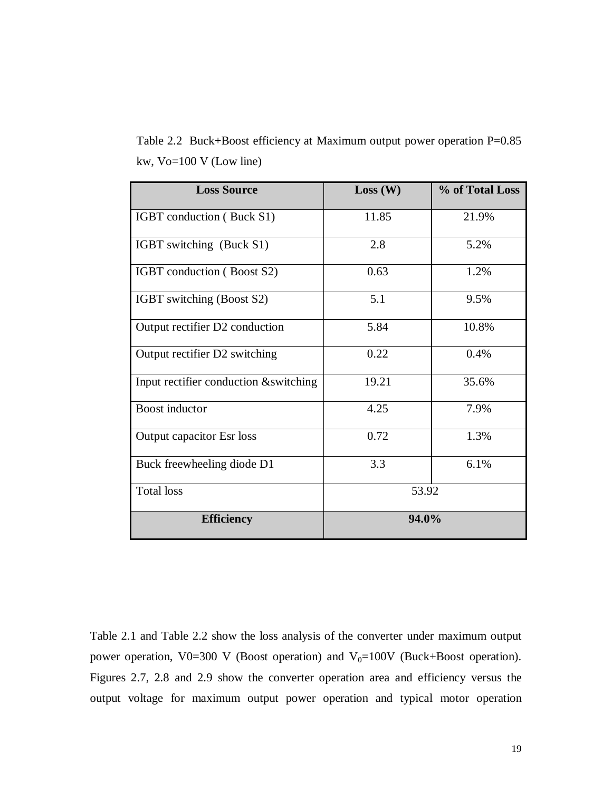Table 2.2 Buck+Boost efficiency at Maximum output power operation P=0.85 kw, Vo=100 V (Low line)

| <b>Loss Source</b>                     | Loss (W) | % of Total Loss |
|----------------------------------------|----------|-----------------|
| IGBT conduction (Buck S1)              | 11.85    | 21.9%           |
| IGBT switching (Buck S1)               | 2.8      | 5.2%            |
| IGBT conduction (Boost S2)             | 0.63     | 1.2%            |
| IGBT switching (Boost S2)              | 5.1      | 9.5%            |
| Output rectifier D2 conduction         | 5.84     | 10.8%           |
| Output rectifier D2 switching          | 0.22     | 0.4%            |
| Input rectifier conduction & switching | 19.21    | 35.6%           |
| <b>Boost</b> inductor                  | 4.25     | 7.9%            |
| <b>Output capacitor Esr loss</b>       | 0.72     | 1.3%            |
| Buck freewheeling diode D1             | 3.3      | 6.1%            |
| <b>Total loss</b>                      | 53.92    |                 |
| <b>Efficiency</b>                      | 94.0%    |                 |

Table 2.1 and Table 2.2 show the loss analysis of the converter under maximum output power operation, V0=300 V (Boost operation) and  $V_0$ =100V (Buck+Boost operation). Figures 2.7, 2.8 and 2.9 show the converter operation area and efficiency versus the output voltage for maximum output power operation and typical motor operation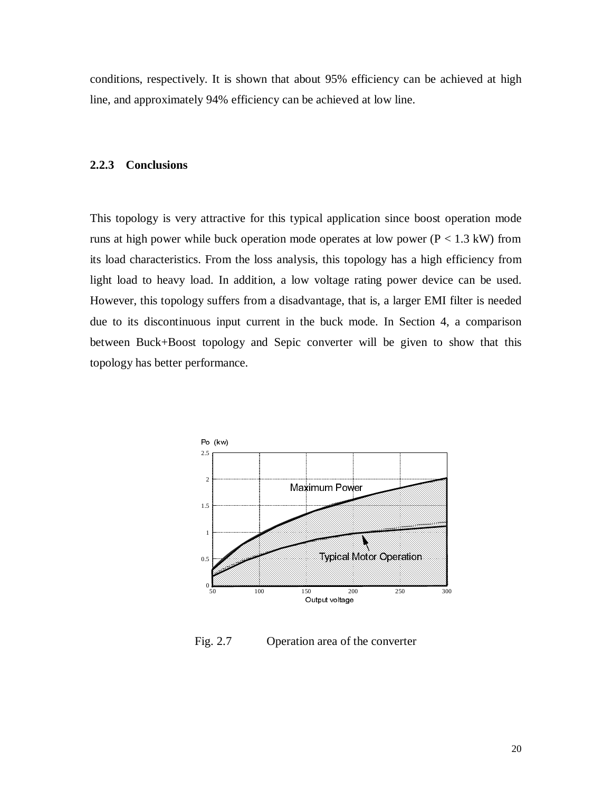conditions, respectively. It is shown that about 95% efficiency can be achieved at high line, and approximately 94% efficiency can be achieved at low line.

#### **2.2.3 Conclusions**

This topology is very attractive for this typical application since boost operation mode runs at high power while buck operation mode operates at low power ( $P < 1.3$  kW) from its load characteristics. From the loss analysis, this topology has a high efficiency from light load to heavy load. In addition, a low voltage rating power device can be used. However, this topology suffers from a disadvantage, that is, a larger EMI filter is needed due to its discontinuous input current in the buck mode. In Section 4, a comparison between Buck+Boost topology and Sepic converter will be given to show that this topology has better performance.



Fig. 2.7 Operation area of the converter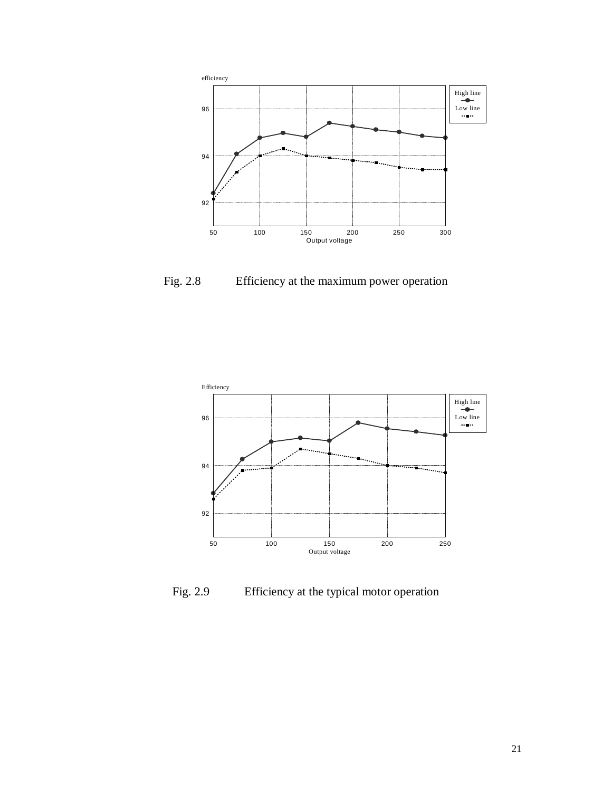

Fig. 2.8 Efficiency at the maximum power operation



Fig. 2.9 Efficiency at the typical motor operation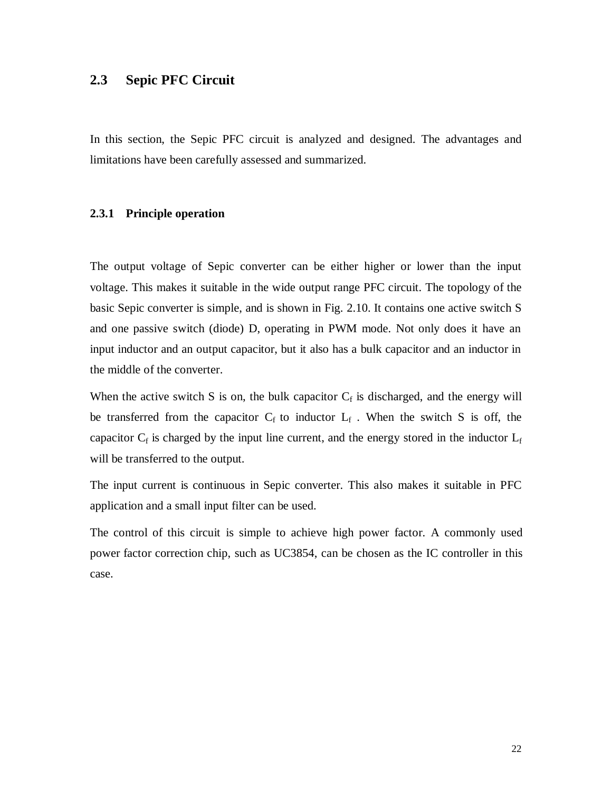## **2.3 Sepic PFC Circuit**

In this section, the Sepic PFC circuit is analyzed and designed. The advantages and limitations have been carefully assessed and summarized.

#### **2.3.1 Principle operation**

The output voltage of Sepic converter can be either higher or lower than the input voltage. This makes it suitable in the wide output range PFC circuit. The topology of the basic Sepic converter is simple, and is shown in Fig. 2.10. It contains one active switch S and one passive switch (diode) D, operating in PWM mode. Not only does it have an input inductor and an output capacitor, but it also has a bulk capacitor and an inductor in the middle of the converter.

When the active switch S is on, the bulk capacitor  $C_f$  is discharged, and the energy will be transferred from the capacitor  $C_f$  to inductor  $L_f$ . When the switch S is off, the capacitor  $C_f$  is charged by the input line current, and the energy stored in the inductor  $L_f$ will be transferred to the output.

The input current is continuous in Sepic converter. This also makes it suitable in PFC application and a small input filter can be used.

The control of this circuit is simple to achieve high power factor. A commonly used power factor correction chip, such as UC3854, can be chosen as the IC controller in this case.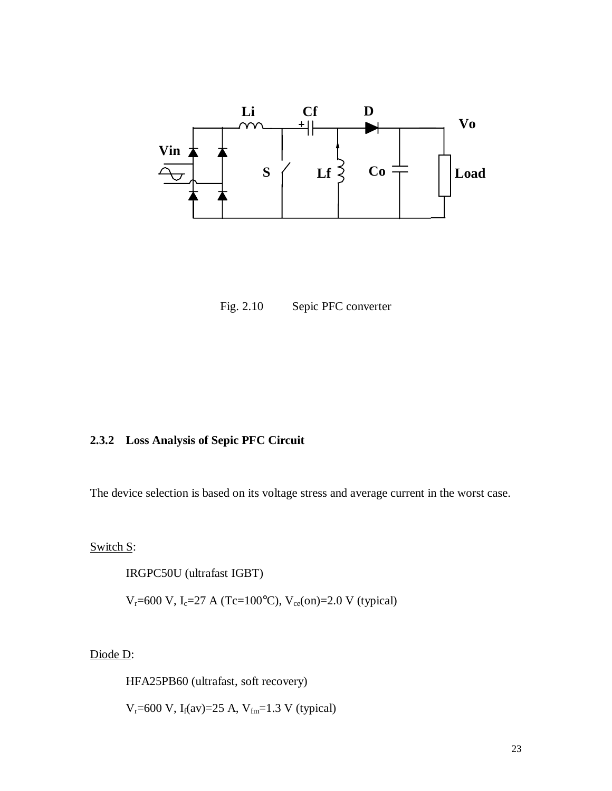

Fig. 2.10 Sepic PFC converter

#### **2.3.2 Loss Analysis of Sepic PFC Circuit**

The device selection is based on its voltage stress and average current in the worst case.

Switch S:

IRGPC50U (ultrafast IGBT)

 $V_r = 600 \text{ V}, I_c = 27 \text{ A} (Tc = 100^{\circ}\text{C}), V_{ce}(\text{on}) = 2.0 \text{ V}$  (typical)

Diode D:

HFA25PB60 (ultrafast, soft recovery)

 $V_r = 600 \text{ V}, I_f(\text{av}) = 25 \text{ A}, V_{fm} = 1.3 \text{ V}$  (typical)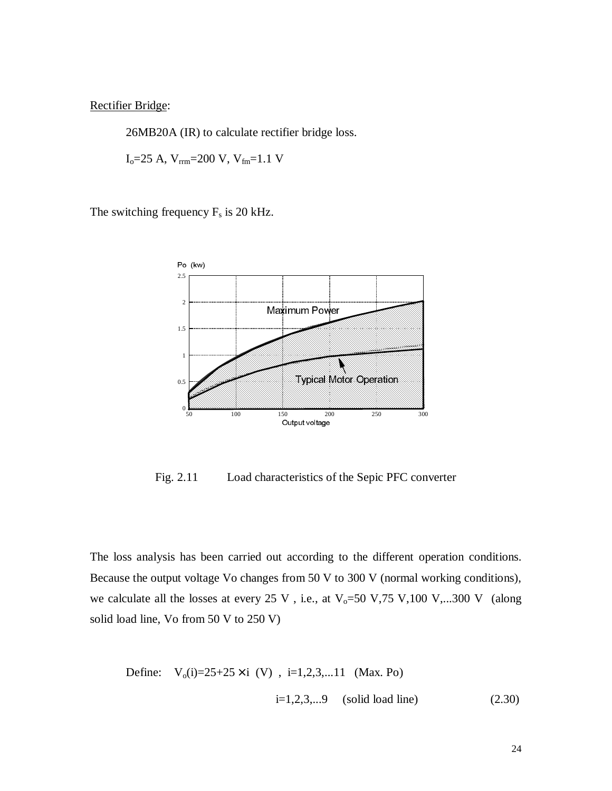Rectifier Bridge:

26MB20A (IR) to calculate rectifier bridge loss.

 $I_0 = 25$  A,  $V_{rrm} = 200$  V,  $V_{fm} = 1.1$  V

The switching frequency  $F_s$  is 20 kHz.



Fig. 2.11 Load characteristics of the Sepic PFC converter

The loss analysis has been carried out according to the different operation conditions. Because the output voltage Vo changes from 50 V to 300 V (normal working conditions), we calculate all the losses at every 25 V, i.e., at  $V_0$ =50 V,75 V,100 V,...300 V (along solid load line, Vo from 50 V to 250 V)

Define: 
$$
V_o(i)=25+25\times i
$$
 (V),  $i=1,2,3,...11$  (Max. Po)  
 $i=1,2,3,...9$  (solid load line) (2.30)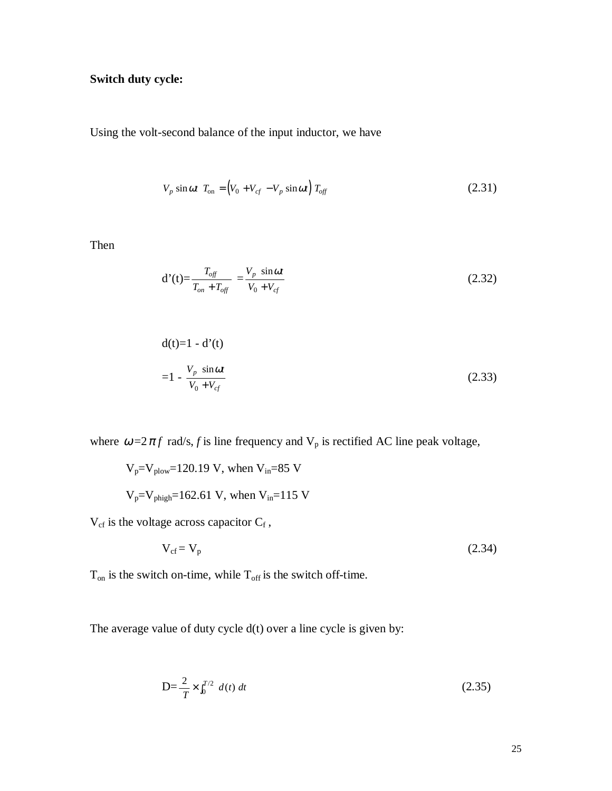## **Switch duty cycle:**

Using the volt-second balance of the input inductor, we have

$$
V_p \sin \omega t \, T_{\text{on}} = (V_0 + V_{cf} - V_p \sin \omega t) \, T_{\text{off}} \tag{2.31}
$$

Then

$$
d'(t) = \frac{T_{off}}{T_{on} + T_{off}} = \frac{V_p \sin \omega t}{V_0 + V_{cf}}
$$
(2.32)

$$
d(t)=1-d'(t)
$$
  
=1 -  $\frac{V_p \sin \omega t}{V_0 + V_{cf}}$  (2.33)

where  $\omega = 2 \pi f$  rad/s, f is line frequency and  $V_p$  is rectified AC line peak voltage,

$$
V_p = V_{\text{plow}} = 120.19 \text{ V}
$$
, when  $V_{\text{in}} = 85 \text{ V}$   
 $V_p = V_{\text{phigh}} = 162.61 \text{ V}$ , when  $V_{\text{in}} = 115 \text{ V}$ 

 $V_{cf}$  is the voltage across capacitor  $C_f$ ,

$$
V_{cf} = V_p \tag{2.34}
$$

 $T_{on}$  is the switch on-time, while  $T_{off}$  is the switch off-time.

The average value of duty cycle d(t) over a line cycle is given by:

$$
D = \frac{2}{T} \times \int_0^{T/2} d(t) dt
$$
 (2.35)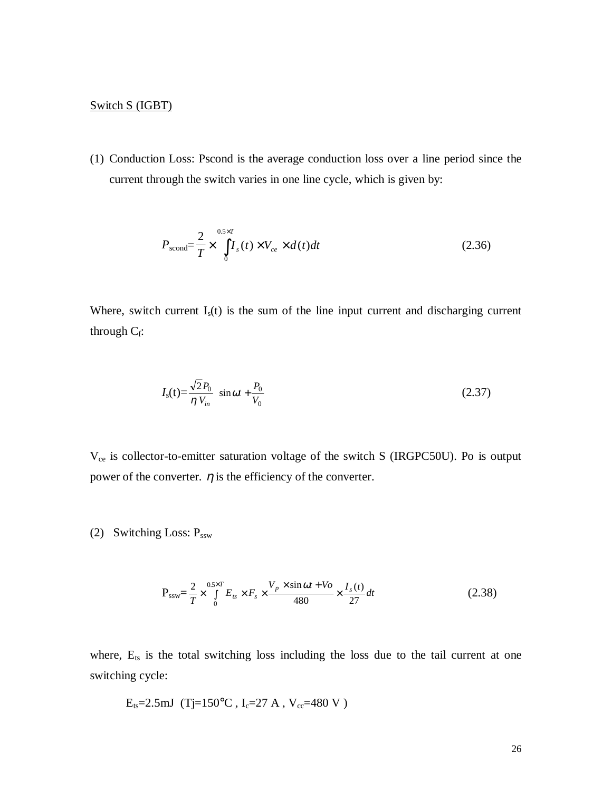#### Switch S (IGBT)

(1) Conduction Loss: Pscond is the average conduction loss over a line period since the current through the switch varies in one line cycle, which is given by:

$$
P_{\text{second}} = \frac{2}{T} \times \int_{0}^{0.5 \times T} I_s(t) \times V_{ce} \times d(t)dt
$$
\n(2.36)

Where, switch current  $I_s(t)$  is the sum of the line input current and discharging current through  $C_f$ :

$$
I_{\rm s}(t) = \frac{\sqrt{2}P_0}{\eta V_{in}} \sin \omega t + \frac{P_0}{V_0}
$$
 (2.37)

V<sub>ce</sub> is collector-to-emitter saturation voltage of the switch S (IRGPC50U). Po is output power of the converter.  $\eta$  is the efficiency of the converter.

(2) Switching Loss:  $P_{ssw}$ 

$$
P_{ssw} = \frac{2}{T} \times \int_{0}^{0.5 \times T} E_{ts} \times F_s \times \frac{V_p \times \sin \omega t + V_o}{480} \times \frac{I_s(t)}{27} dt
$$
 (2.38)

where,  $E_{ts}$  is the total switching loss including the loss due to the tail current at one switching cycle:

$$
E_{ts} = 2.5 \text{mJ}
$$
 (Tj=150°C, I<sub>c</sub>=27 A, V<sub>cc</sub>=480 V)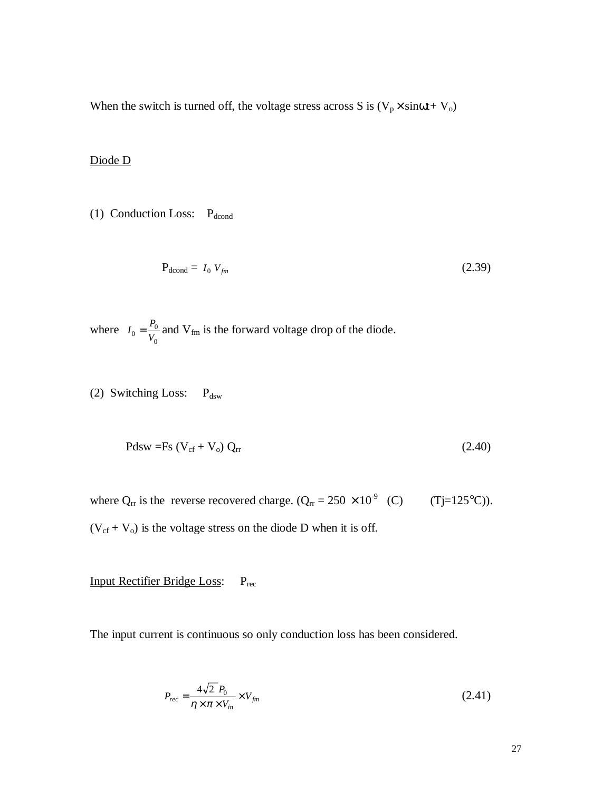When the switch is turned off, the voltage stress across S is  $(V_p \times \text{sin}\omega t + V_o)$ 

#### Diode D

(1) Conduction Loss:  $P_{\text{dcond}}$ 

$$
P_{\text{dcond}} = I_0 V_{\text{fm}} \tag{2.39}
$$

where  $I_0 = \frac{P_0}{V}$  $v_0 = \frac{F_0}{V_0}$ 0  $=\frac{I_0}{V}$  and V<sub>fm</sub> is the forward voltage drop of the diode.

(2) Switching Loss:  $P_{dsw}$ 

$$
Pdsw = Fs (V_{cf} + V_o) Q_{rr}
$$
 (2.40)

where  $Q_{rr}$  is the reverse recovered charge.  $(Q_{rr} = 250 \times 10^{-9} \text{ (C)} \text{ (Tj=125°C)}).$  $(V_{cf} + V_o)$  is the voltage stress on the diode D when it is off.

Input Rectifier Bridge Loss: Prec

The input current is continuous so only conduction loss has been considered.

$$
P_{rec} = \frac{4\sqrt{2} P_0}{\eta \times \pi \times V_{in}} \times V_{fm}
$$
\n(2.41)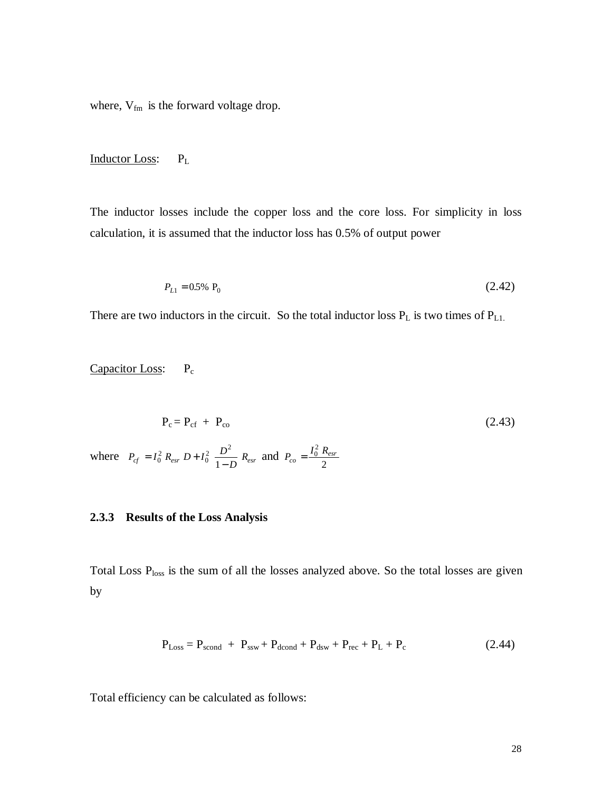where,  $\mathrm{V_{fm}}$  is the forward voltage drop.

#### Inductor Loss: PL

The inductor losses include the copper loss and the core loss. For simplicity in loss calculation, it is assumed that the inductor loss has 0.5% of output power

$$
P_{L1} = 0.5\% \, \, \mathbf{P}_0 \tag{2.42}
$$

There are two inductors in the circuit. So the total inductor loss  $P_L$  is two times of  $P_{L1}$ .

Capacitor Loss: P<sub>c</sub>

$$
P_c = P_{cf} + P_{co}
$$
\n(2.43)  
\nwhere  $P_{cf} = I_0^2 R_{esr} D + I_0^2 \frac{D^2}{1 - D} R_{esr}$  and  $P_{co} = \frac{I_0^2 R_{esr}}{2}$ 

#### **2.3.3 Results of the Loss Analysis**

Total Loss P<sub>loss</sub> is the sum of all the losses analyzed above. So the total losses are given by

$$
P_{Loss} = P_{second} + P_{ssw} + P_{dcond} + P_{dsw} + P_{rec} + P_L + P_c
$$
 (2.44)

Total efficiency can be calculated as follows: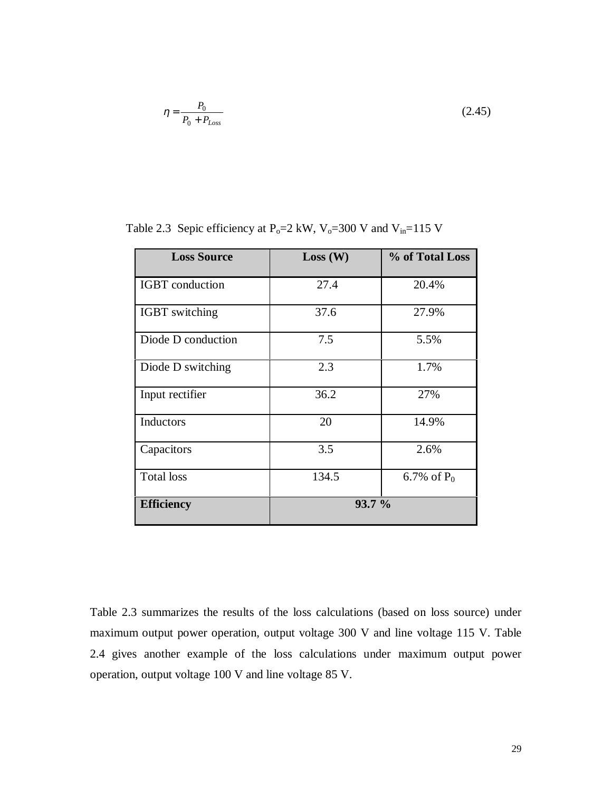$$
\eta = \frac{P_0}{P_0 + P_{Loss}}\tag{2.45}
$$

| <b>Loss Source</b>     | Loss (W) | % of Total Loss |
|------------------------|----------|-----------------|
| <b>IGBT</b> conduction | 27.4     | 20.4%           |
| <b>IGBT</b> switching  | 37.6     | 27.9%           |
| Diode D conduction     | 7.5      | 5.5%            |
| Diode D switching      | 2.3      | 1.7%            |
| Input rectifier        | 36.2     | 27%             |
| Inductors              | 20       | 14.9%           |
| Capacitors             | 3.5      | 2.6%            |
| <b>Total</b> loss      | 134.5    | 6.7% of $P_0$   |
| <b>Efficiency</b>      | 93.7%    |                 |

Table 2.3 Sepic efficiency at P<sub>o</sub>=2 kW, V<sub>o</sub>=300 V and V<sub>in</sub>=115 V

Table 2.3 summarizes the results of the loss calculations (based on loss source) under maximum output power operation, output voltage 300 V and line voltage 115 V. Table 2.4 gives another example of the loss calculations under maximum output power operation, output voltage 100 V and line voltage 85 V.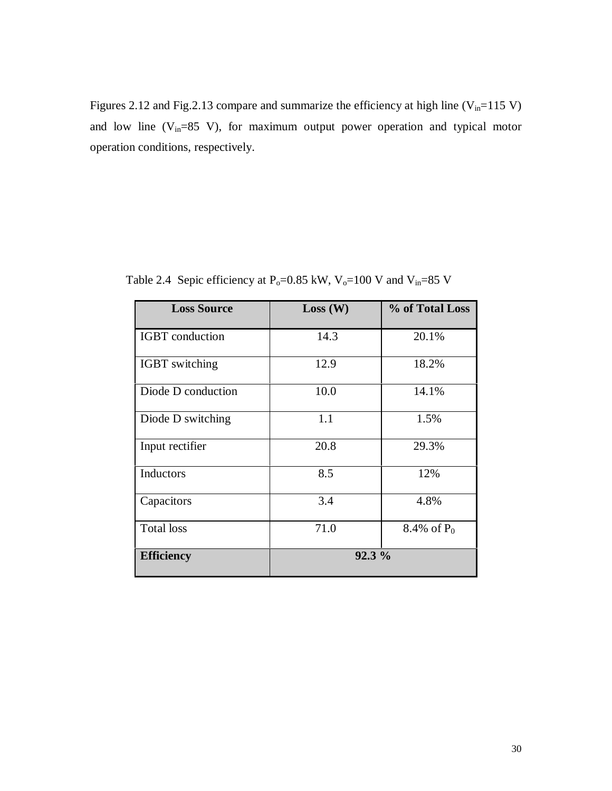Figures 2.12 and Fig.2.13 compare and summarize the efficiency at high line  $(V_{in}=115 V)$ and low line  $(V_{in}=85 V)$ , for maximum output power operation and typical motor operation conditions, respectively.

| <b>Loss Source</b>     | Loss (W) | % of Total Loss |
|------------------------|----------|-----------------|
| <b>IGBT</b> conduction | 14.3     | 20.1%           |
| <b>IGBT</b> switching  | 12.9     | 18.2%           |
| Diode D conduction     | 10.0     | 14.1%           |
| Diode D switching      | 1.1      | 1.5%            |
| Input rectifier        | 20.8     | 29.3%           |
| Inductors              | 8.5      | 12%             |
| Capacitors             | 3.4      | 4.8%            |
| <b>Total</b> loss      | 71.0     | 8.4% of $P_0$   |
| <b>Efficiency</b>      | 92.3 %   |                 |

Table 2.4 Sepic efficiency at P<sub>0</sub>=0.85 kW, V<sub>0</sub>=100 V and V<sub>in</sub>=85 V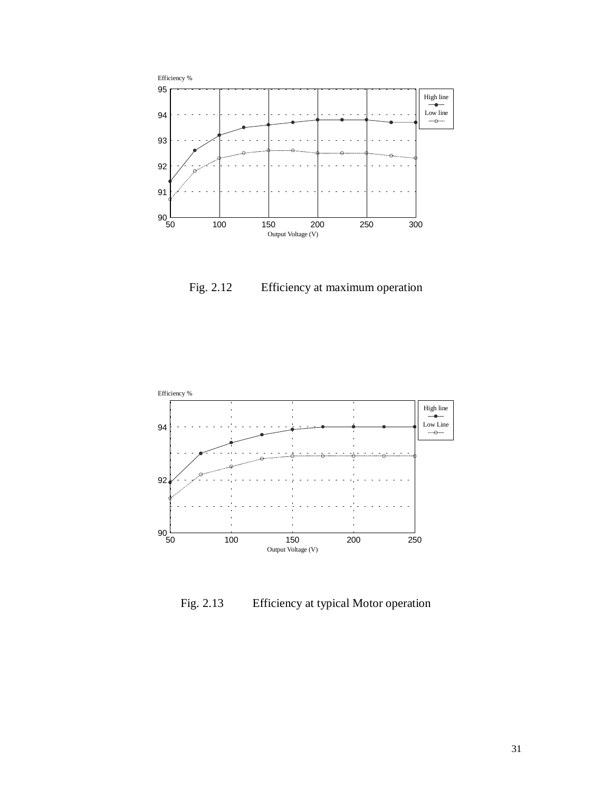

Fig. 2.12 Efficiency at maximum operation



Fig. 2.13 Efficiency at typical Motor operation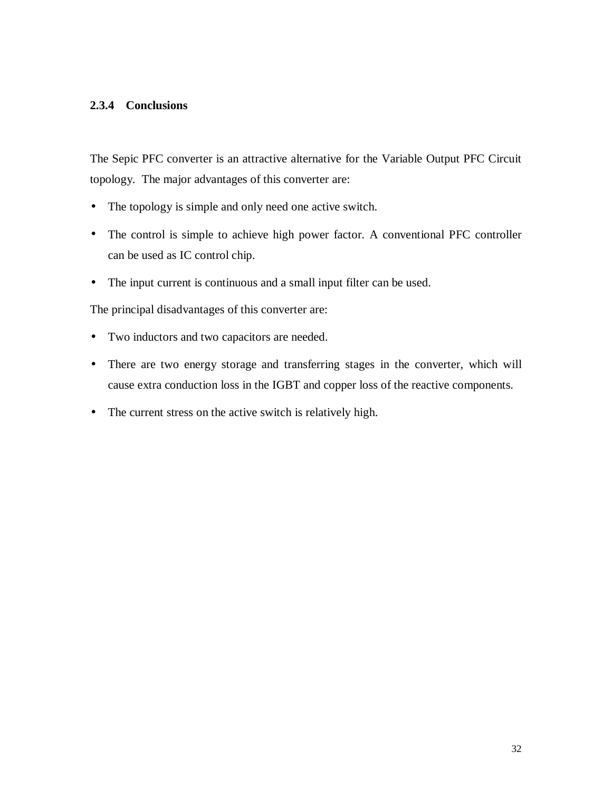#### **2.3.4 Conclusions**

The Sepic PFC converter is an attractive alternative for the Variable Output PFC Circuit topology. The major advantages of this converter are:

- The topology is simple and only need one active switch.
- The control is simple to achieve high power factor. A conventional PFC controller can be used as IC control chip.
- The input current is continuous and a small input filter can be used.

The principal disadvantages of this converter are:

- Two inductors and two capacitors are needed.
- There are two energy storage and transferring stages in the converter, which will cause extra conduction loss in the IGBT and copper loss of the reactive components.
- The current stress on the active switch is relatively high.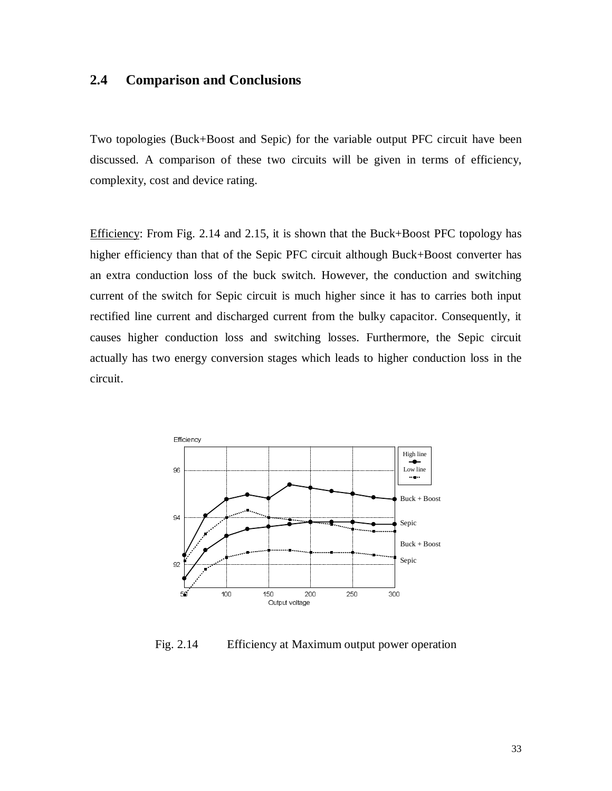## **2.4 Comparison and Conclusions**

Two topologies (Buck+Boost and Sepic) for the variable output PFC circuit have been discussed. A comparison of these two circuits will be given in terms of efficiency, complexity, cost and device rating.

Efficiency: From Fig. 2.14 and 2.15, it is shown that the Buck+Boost PFC topology has higher efficiency than that of the Sepic PFC circuit although Buck+Boost converter has an extra conduction loss of the buck switch. However, the conduction and switching current of the switch for Sepic circuit is much higher since it has to carries both input rectified line current and discharged current from the bulky capacitor. Consequently, it causes higher conduction loss and switching losses. Furthermore, the Sepic circuit actually has two energy conversion stages which leads to higher conduction loss in the circuit.



Fig. 2.14 Efficiency at Maximum output power operation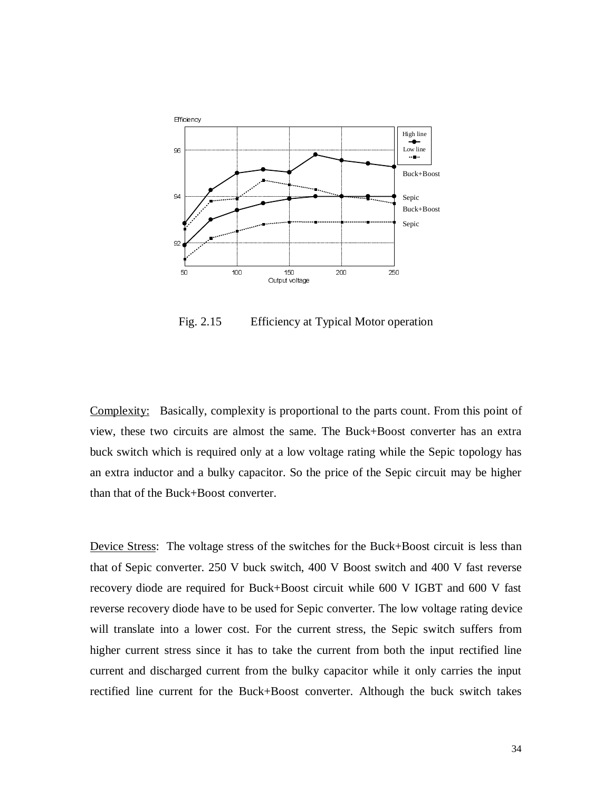

Fig. 2.15 Efficiency at Typical Motor operation

Complexity: Basically, complexity is proportional to the parts count. From this point of view, these two circuits are almost the same. The Buck+Boost converter has an extra buck switch which is required only at a low voltage rating while the Sepic topology has an extra inductor and a bulky capacitor. So the price of the Sepic circuit may be higher than that of the Buck+Boost converter.

Device Stress: The voltage stress of the switches for the Buck+Boost circuit is less than that of Sepic converter. 250 V buck switch, 400 V Boost switch and 400 V fast reverse recovery diode are required for Buck+Boost circuit while 600 V IGBT and 600 V fast reverse recovery diode have to be used for Sepic converter. The low voltage rating device will translate into a lower cost. For the current stress, the Sepic switch suffers from higher current stress since it has to take the current from both the input rectified line current and discharged current from the bulky capacitor while it only carries the input rectified line current for the Buck+Boost converter. Although the buck switch takes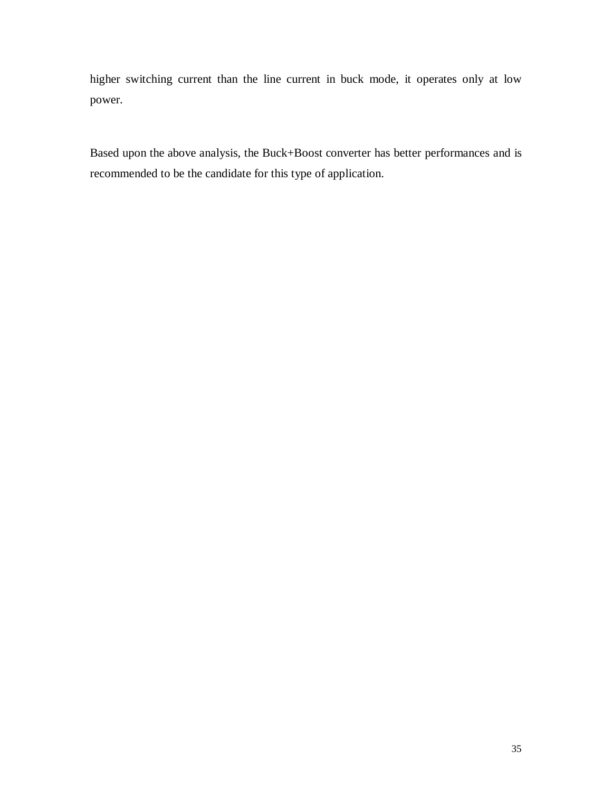higher switching current than the line current in buck mode, it operates only at low power.

Based upon the above analysis, the Buck+Boost converter has better performances and is recommended to be the candidate for this type of application.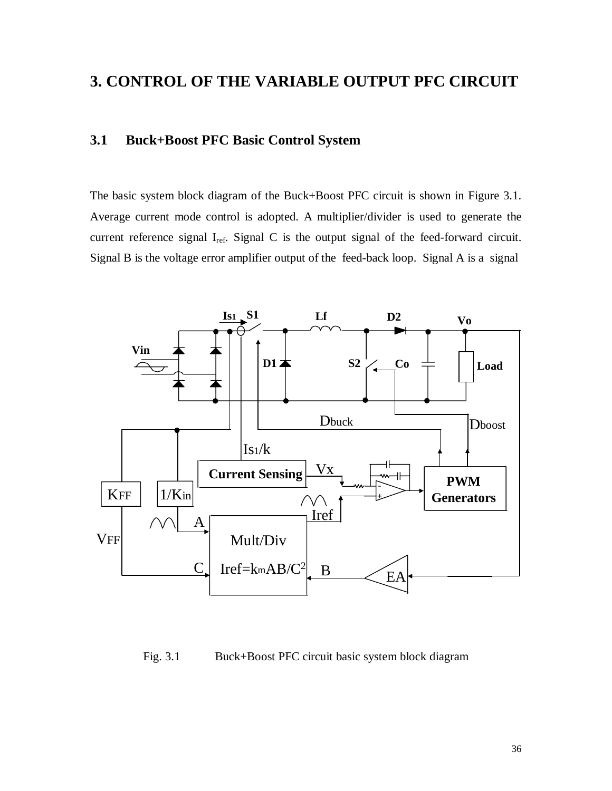# **3. CONTROL OF THE VARIABLE OUTPUT PFC CIRCUIT**

# **3.1 Buck+Boost PFC Basic Control System**

The basic system block diagram of the Buck+Boost PFC circuit is shown in Figure 3.1. Average current mode control is adopted. A multiplier/divider is used to generate the current reference signal I<sub>ref</sub>. Signal C is the output signal of the feed-forward circuit. Signal B is the voltage error amplifier output of the feed-back loop. Signal A is a signal



Fig. 3.1 Buck+Boost PFC circuit basic system block diagram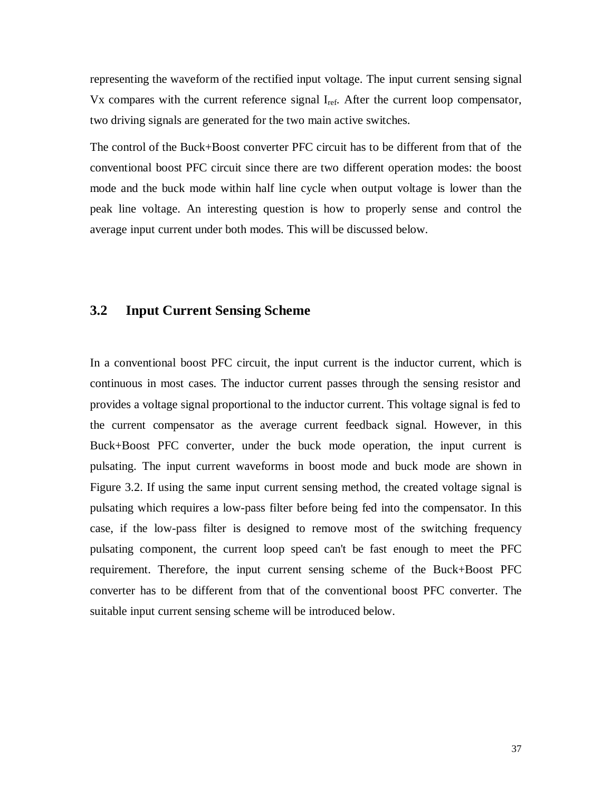representing the waveform of the rectified input voltage. The input current sensing signal Vx compares with the current reference signal  $I_{ref}$ . After the current loop compensator, two driving signals are generated for the two main active switches.

The control of the Buck+Boost converter PFC circuit has to be different from that of the conventional boost PFC circuit since there are two different operation modes: the boost mode and the buck mode within half line cycle when output voltage is lower than the peak line voltage. An interesting question is how to properly sense and control the average input current under both modes. This will be discussed below.

### **3.2 Input Current Sensing Scheme**

In a conventional boost PFC circuit, the input current is the inductor current, which is continuous in most cases. The inductor current passes through the sensing resistor and provides a voltage signal proportional to the inductor current. This voltage signal is fed to the current compensator as the average current feedback signal. However, in this Buck+Boost PFC converter, under the buck mode operation, the input current is pulsating. The input current waveforms in boost mode and buck mode are shown in Figure 3.2. If using the same input current sensing method, the created voltage signal is pulsating which requires a low-pass filter before being fed into the compensator. In this case, if the low-pass filter is designed to remove most of the switching frequency pulsating component, the current loop speed can't be fast enough to meet the PFC requirement. Therefore, the input current sensing scheme of the Buck+Boost PFC converter has to be different from that of the conventional boost PFC converter. The suitable input current sensing scheme will be introduced below.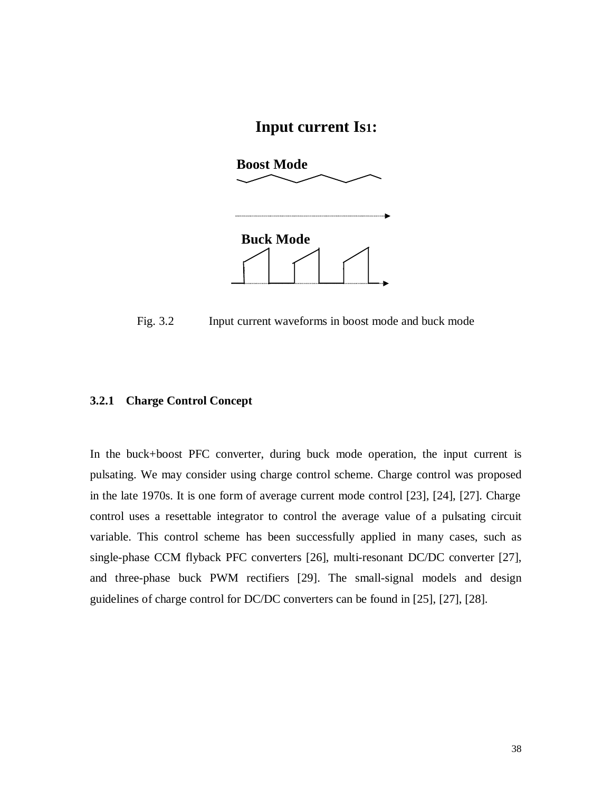# **Input current Is1:**



Fig. 3.2 Input current waveforms in boost mode and buck mode

#### **3.2.1 Charge Control Concept**

In the buck+boost PFC converter, during buck mode operation, the input current is pulsating. We may consider using charge control scheme. Charge control was proposed in the late 1970s. It is one form of average current mode control [23], [24], [27]. Charge control uses a resettable integrator to control the average value of a pulsating circuit variable. This control scheme has been successfully applied in many cases, such as single-phase CCM flyback PFC converters [26], multi-resonant DC/DC converter [27], and three-phase buck PWM rectifiers [29]. The small-signal models and design guidelines of charge control for DC/DC converters can be found in [25], [27], [28].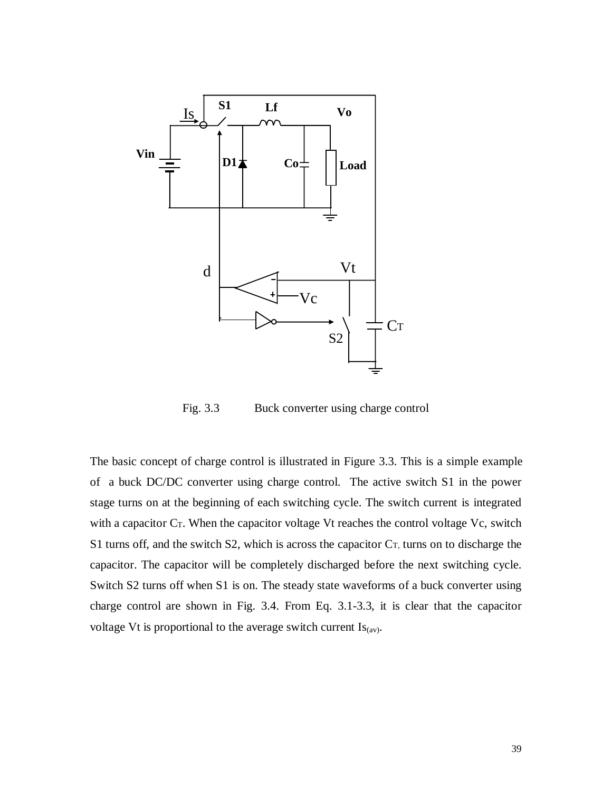

Fig. 3.3 Buck converter using charge control

The basic concept of charge control is illustrated in Figure 3.3. This is a simple example of a buck DC/DC converter using charge control. The active switch S1 in the power stage turns on at the beginning of each switching cycle. The switch current is integrated with a capacitor C<sub>T</sub>. When the capacitor voltage Vt reaches the control voltage Vc, switch S1 turns off, and the switch S2, which is across the capacitor  $C_T$ , turns on to discharge the capacitor. The capacitor will be completely discharged before the next switching cycle. Switch S2 turns off when S1 is on. The steady state waveforms of a buck converter using charge control are shown in Fig. 3.4. From Eq. 3.1-3.3, it is clear that the capacitor voltage Vt is proportional to the average switch current  $Is<sub>(av)</sub>$ .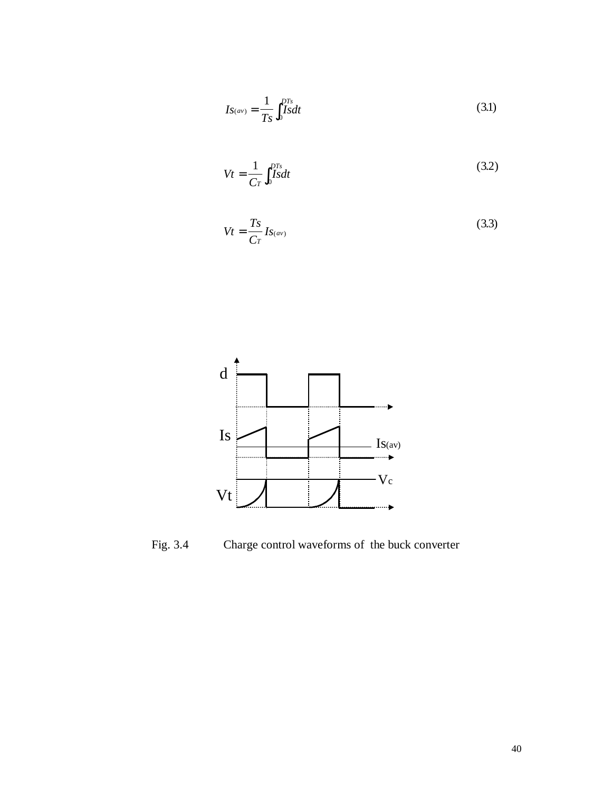$$
Is_{(av)} = \frac{1}{Ts} \int_0^{DTs} Sdt
$$
\n(3.1)

$$
Vt = \frac{1}{Cr} \int_0^{DTs} \text{Is} dt \tag{3.2}
$$

$$
Vt = \frac{Ts}{Cr} I_{S(\alpha v)}
$$
(3.3)



Fig. 3.4 Charge control waveforms of the buck converter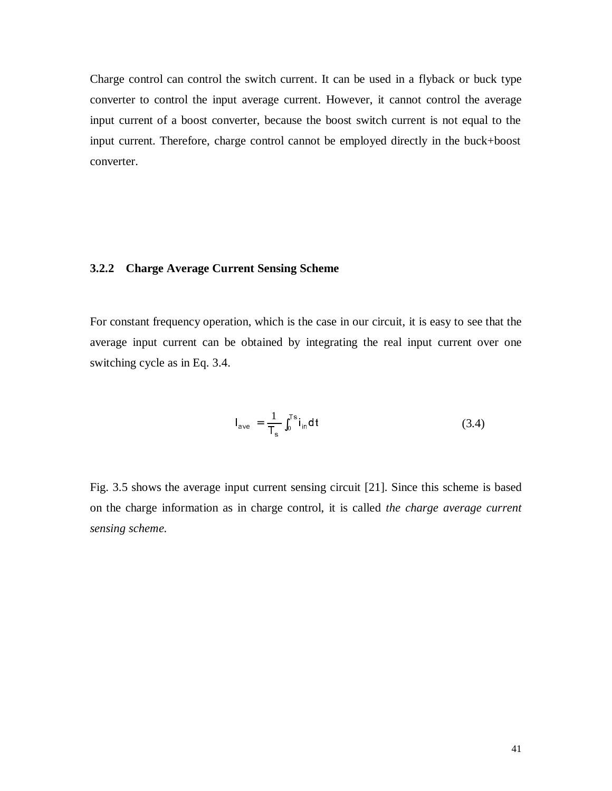Charge control can control the switch current. It can be used in a flyback or buck type converter to control the input average current. However, it cannot control the average input current of a boost converter, because the boost switch current is not equal to the input current. Therefore, charge control cannot be employed directly in the buck+boost converter.

#### **3.2.2 Charge Average Current Sensing Scheme**

For constant frequency operation, which is the case in our circuit, it is easy to see that the average input current can be obtained by integrating the real input current over one switching cycle as in Eq. 3.4.

$$
I_{ave} = \frac{1}{T_s} \int_0^{T_s} i_{in} dt
$$
 (3.4)

Fig. 3.5 shows the average input current sensing circuit [21]. Since this scheme is based on the charge information as in charge control, it is called *the charge average current sensing scheme.*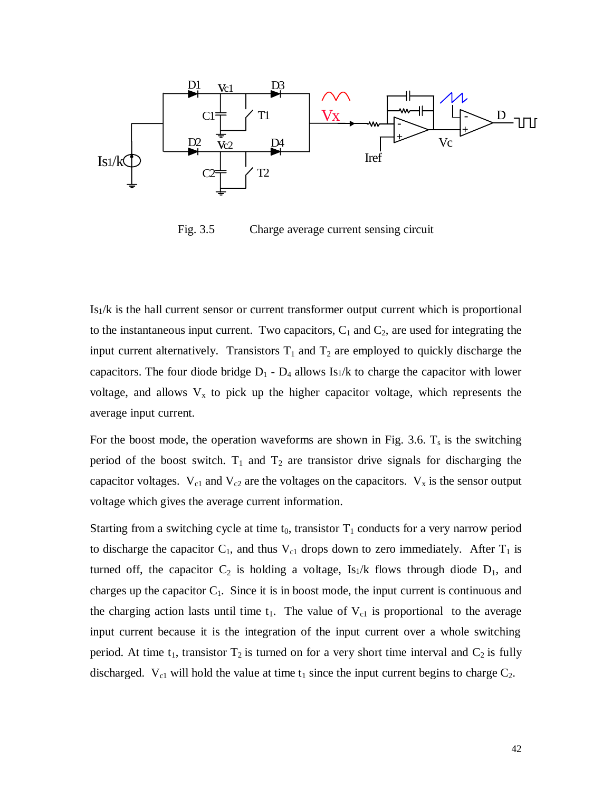

Fig. 3.5 Charge average current sensing circuit

Is1/k is the hall current sensor or current transformer output current which is proportional to the instantaneous input current. Two capacitors,  $C_1$  and  $C_2$ , are used for integrating the input current alternatively. Transistors  $T_1$  and  $T_2$  are employed to quickly discharge the capacitors. The four diode bridge  $D_1 - D_4$  allows Is<sub>1</sub>/k to charge the capacitor with lower voltage, and allows  $V_x$  to pick up the higher capacitor voltage, which represents the average input current.

For the boost mode, the operation waveforms are shown in Fig. 3.6.  $T_s$  is the switching period of the boost switch.  $T_1$  and  $T_2$  are transistor drive signals for discharging the capacitor voltages.  $V_{c1}$  and  $V_{c2}$  are the voltages on the capacitors.  $V_x$  is the sensor output voltage which gives the average current information.

Starting from a switching cycle at time  $t_0$ , transistor  $T_1$  conducts for a very narrow period to discharge the capacitor  $C_1$ , and thus  $V_{c1}$  drops down to zero immediately. After  $T_1$  is turned off, the capacitor  $C_2$  is holding a voltage, Isi/k flows through diode  $D_1$ , and charges up the capacitor  $C_1$ . Since it is in boost mode, the input current is continuous and the charging action lasts until time  $t_1$ . The value of  $V_{c1}$  is proportional to the average input current because it is the integration of the input current over a whole switching period. At time  $t_1$ , transistor  $T_2$  is turned on for a very short time interval and  $C_2$  is fully discharged.  $V_{c1}$  will hold the value at time  $t_1$  since the input current begins to charge  $C_2$ .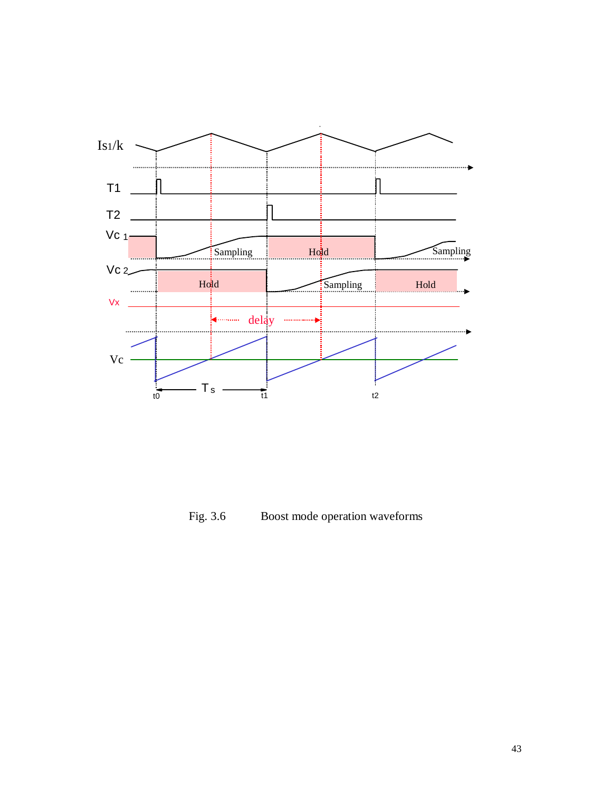

Fig. 3.6 Boost mode operation waveforms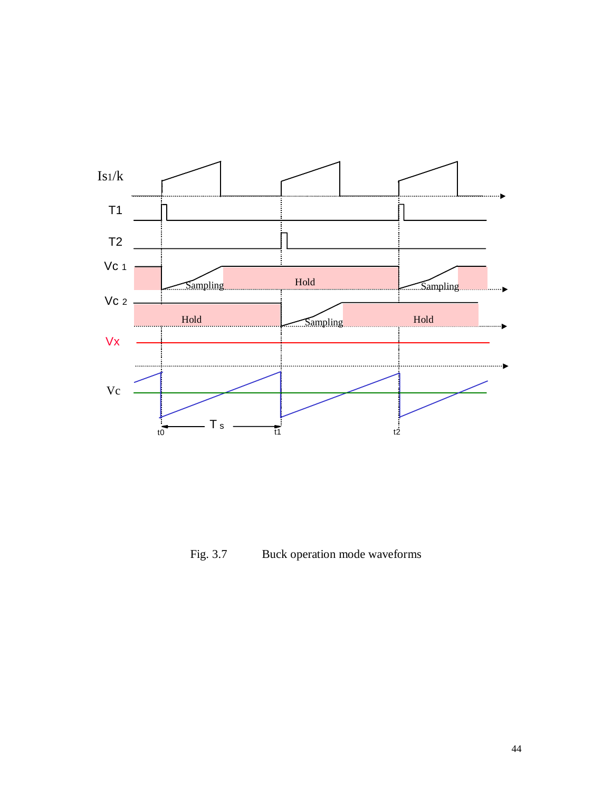

Fig. 3.7 Buck operation mode waveforms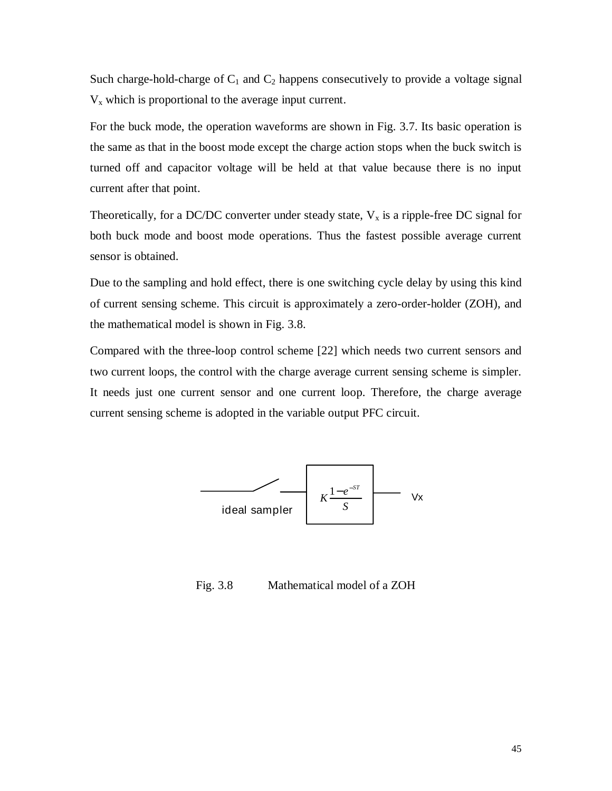Such charge-hold-charge of  $C_1$  and  $C_2$  happens consecutively to provide a voltage signal  $V_x$  which is proportional to the average input current.

For the buck mode, the operation waveforms are shown in Fig. 3.7. Its basic operation is the same as that in the boost mode except the charge action stops when the buck switch is turned off and capacitor voltage will be held at that value because there is no input current after that point.

Theoretically, for a DC/DC converter under steady state,  $V_x$  is a ripple-free DC signal for both buck mode and boost mode operations. Thus the fastest possible average current sensor is obtained.

Due to the sampling and hold effect, there is one switching cycle delay by using this kind of current sensing scheme. This circuit is approximately a zero-order-holder (ZOH), and the mathematical model is shown in Fig. 3.8.

Compared with the three-loop control scheme [22] which needs two current sensors and two current loops, the control with the charge average current sensing scheme is simpler. It needs just one current sensor and one current loop. Therefore, the charge average current sensing scheme is adopted in the variable output PFC circuit.



Fig. 3.8 Mathematical model of a ZOH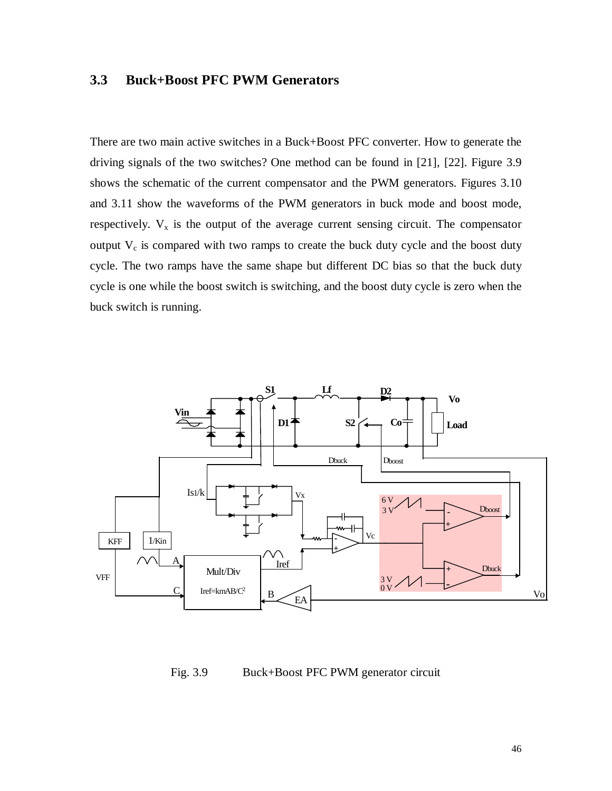## **3.3 Buck+Boost PFC PWM Generators**

There are two main active switches in a Buck+Boost PFC converter. How to generate the driving signals of the two switches? One method can be found in [21], [22]. Figure 3.9 shows the schematic of the current compensator and the PWM generators. Figures 3.10 and 3.11 show the waveforms of the PWM generators in buck mode and boost mode, respectively.  $V_x$  is the output of the average current sensing circuit. The compensator output  $V_c$  is compared with two ramps to create the buck duty cycle and the boost duty cycle. The two ramps have the same shape but different DC bias so that the buck duty cycle is one while the boost switch is switching, and the boost duty cycle is zero when the buck switch is running.



Fig. 3.9 Buck+Boost PFC PWM generator circuit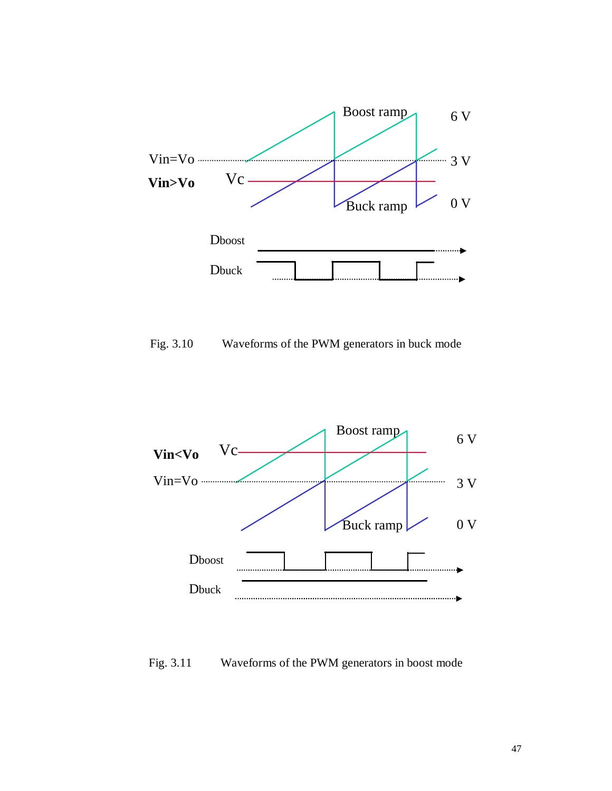

Fig. 3.10 Waveforms of the PWM generators in buck mode



## Fig. 3.11 Waveforms of the PWM generators in boost mode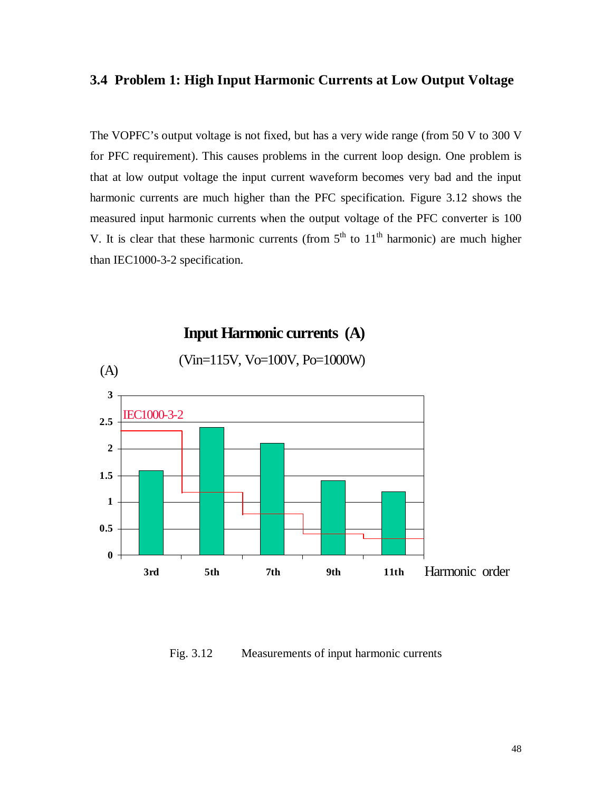## **3.4 Problem 1: High Input Harmonic Currents at Low Output Voltage**

The VOPFC's output voltage is not fixed, but has a very wide range (from 50 V to 300 V for PFC requirement). This causes problems in the current loop design. One problem is that at low output voltage the input current waveform becomes very bad and the input harmonic currents are much higher than the PFC specification. Figure 3.12 shows the measured input harmonic currents when the output voltage of the PFC converter is 100 V. It is clear that these harmonic currents (from  $5<sup>th</sup>$  to  $11<sup>th</sup>$  harmonic) are much higher than IEC1000-3-2 specification.



Fig. 3.12 Measurements of input harmonic currents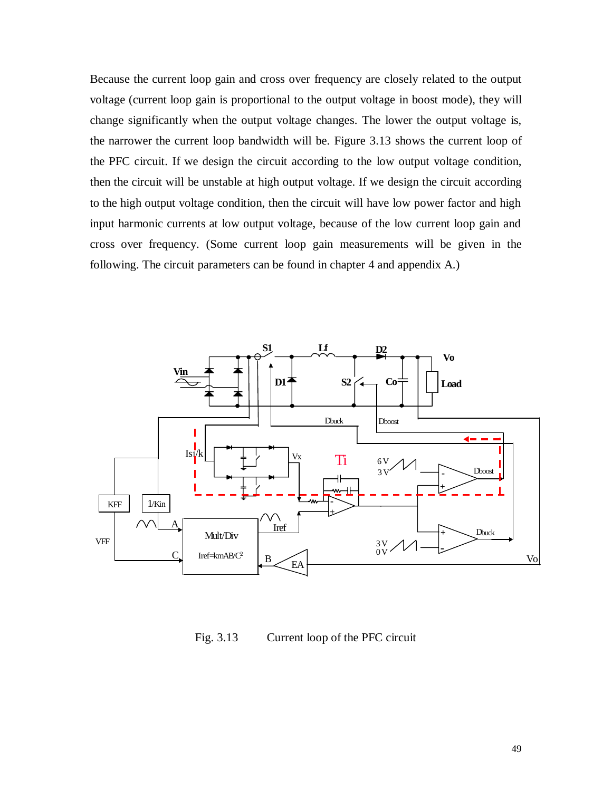Because the current loop gain and cross over frequency are closely related to the output voltage (current loop gain is proportional to the output voltage in boost mode), they will change significantly when the output voltage changes. The lower the output voltage is, the narrower the current loop bandwidth will be. Figure 3.13 shows the current loop of the PFC circuit. If we design the circuit according to the low output voltage condition, then the circuit will be unstable at high output voltage. If we design the circuit according to the high output voltage condition, then the circuit will have low power factor and high input harmonic currents at low output voltage, because of the low current loop gain and cross over frequency. (Some current loop gain measurements will be given in the following. The circuit parameters can be found in chapter 4 and appendix A.)



Fig. 3.13 Current loop of the PFC circuit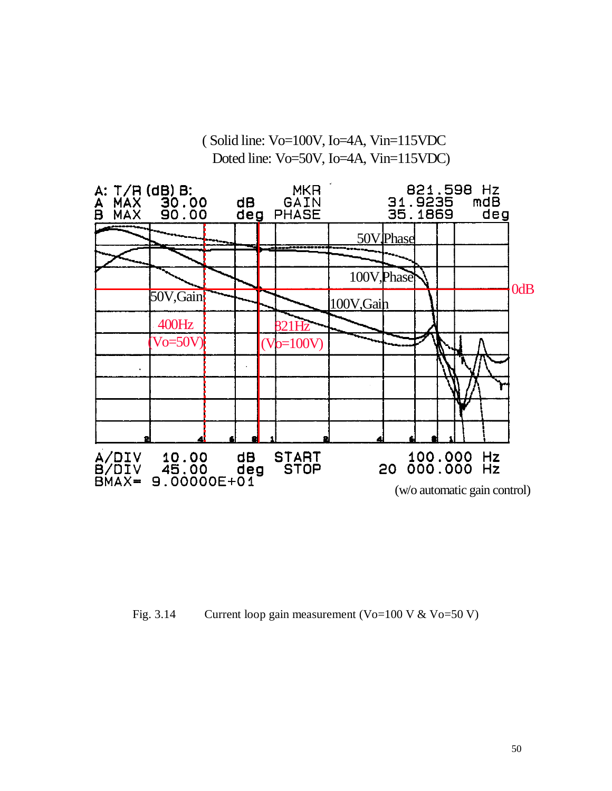

Fig. 3.14 Current loop gain measurement (Vo=100 V & Vo=50 V)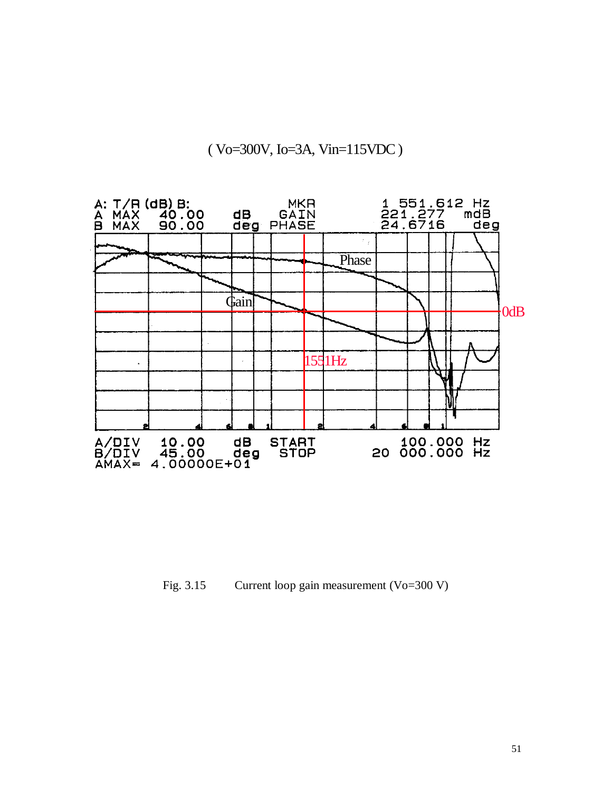# ( Vo=300V, Io=3A, Vin=115VDC )



Fig. 3.15 Current loop gain measurement (Vo=300 V)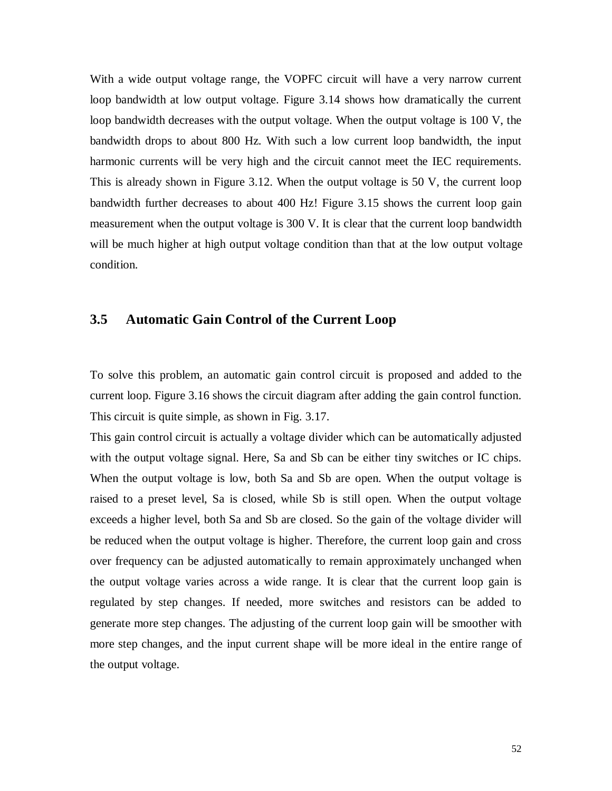With a wide output voltage range, the VOPFC circuit will have a very narrow current loop bandwidth at low output voltage. Figure 3.14 shows how dramatically the current loop bandwidth decreases with the output voltage. When the output voltage is 100 V, the bandwidth drops to about 800 Hz. With such a low current loop bandwidth, the input harmonic currents will be very high and the circuit cannot meet the IEC requirements. This is already shown in Figure 3.12. When the output voltage is 50 V, the current loop bandwidth further decreases to about 400 Hz! Figure 3.15 shows the current loop gain measurement when the output voltage is 300 V. It is clear that the current loop bandwidth will be much higher at high output voltage condition than that at the low output voltage condition.

#### **3.5 Automatic Gain Control of the Current Loop**

To solve this problem, an automatic gain control circuit is proposed and added to the current loop. Figure 3.16 shows the circuit diagram after adding the gain control function. This circuit is quite simple, as shown in Fig. 3.17.

This gain control circuit is actually a voltage divider which can be automatically adjusted with the output voltage signal. Here, Sa and Sb can be either tiny switches or IC chips. When the output voltage is low, both Sa and Sb are open. When the output voltage is raised to a preset level, Sa is closed, while Sb is still open. When the output voltage exceeds a higher level, both Sa and Sb are closed. So the gain of the voltage divider will be reduced when the output voltage is higher. Therefore, the current loop gain and cross over frequency can be adjusted automatically to remain approximately unchanged when the output voltage varies across a wide range. It is clear that the current loop gain is regulated by step changes. If needed, more switches and resistors can be added to generate more step changes. The adjusting of the current loop gain will be smoother with more step changes, and the input current shape will be more ideal in the entire range of the output voltage.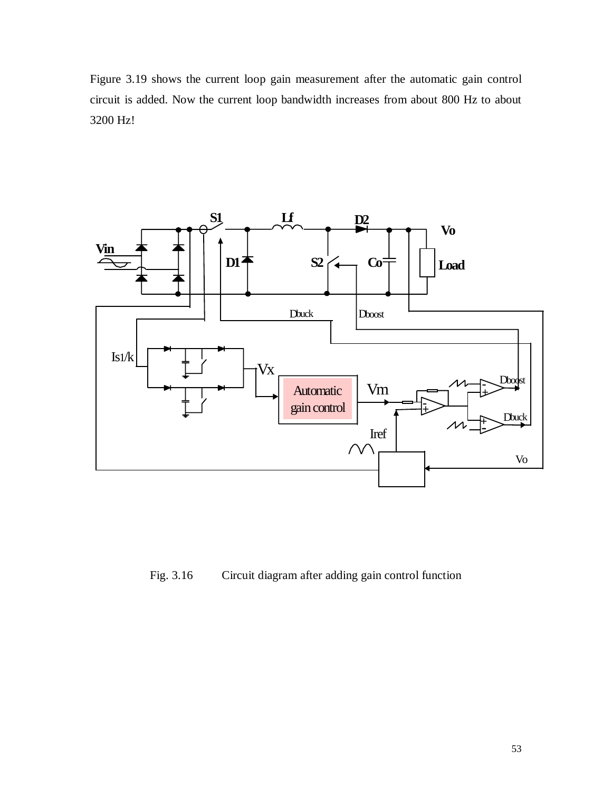Figure 3.19 shows the current loop gain measurement after the automatic gain control circuit is added. Now the current loop bandwidth increases from about 800 Hz to about 3200 Hz!



Fig. 3.16 Circuit diagram after adding gain control function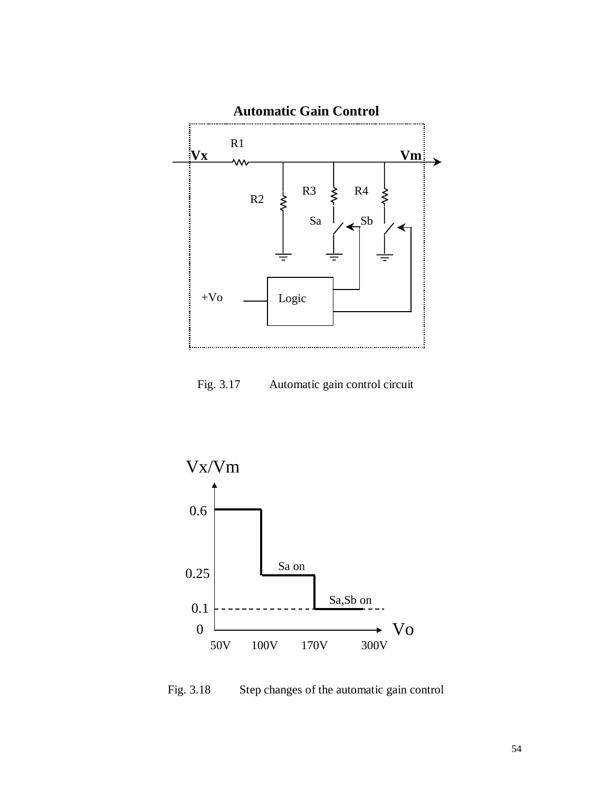

Fig. 3.17 Automatic gain control circuit



Fig. 3.18 Step changes of the automatic gain control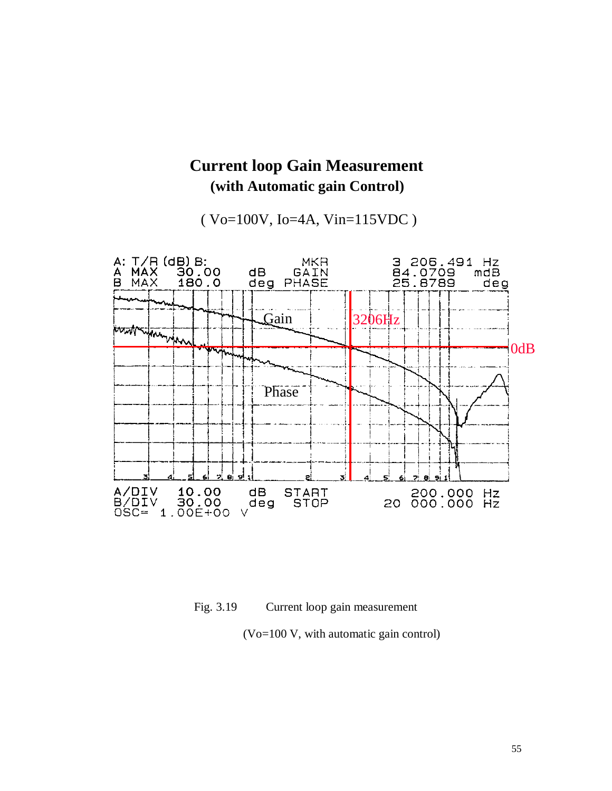

# **Current loop Gain Measurement (with Automatic gain Control)**

( Vo=100V, Io=4A, Vin=115VDC )

Fig. 3.19 Current loop gain measurement

(Vo=100 V, with automatic gain control)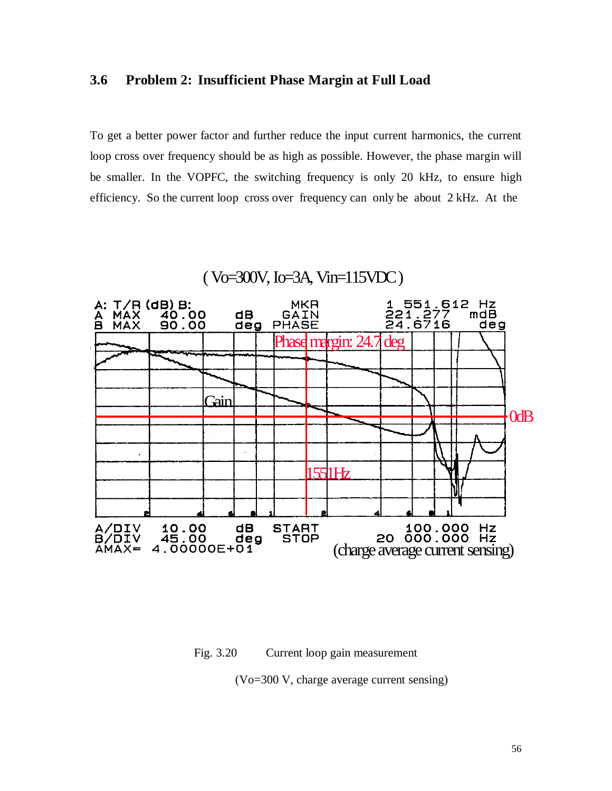## **3.6 Problem 2: Insufficient Phase Margin at Full Load**

To get a better power factor and further reduce the input current harmonics, the current loop cross over frequency should be as high as possible. However, the phase margin will be smaller. In the VOPFC, the switching frequency is only 20 kHz, to ensure high efficiency. So the current loop cross over frequency can only be about 2 kHz. At the

# ( Vo=300V, Io=3A, Vin=115VDC )



Fig. 3.20 Current loop gain measurement

(Vo=300 V, charge average current sensing)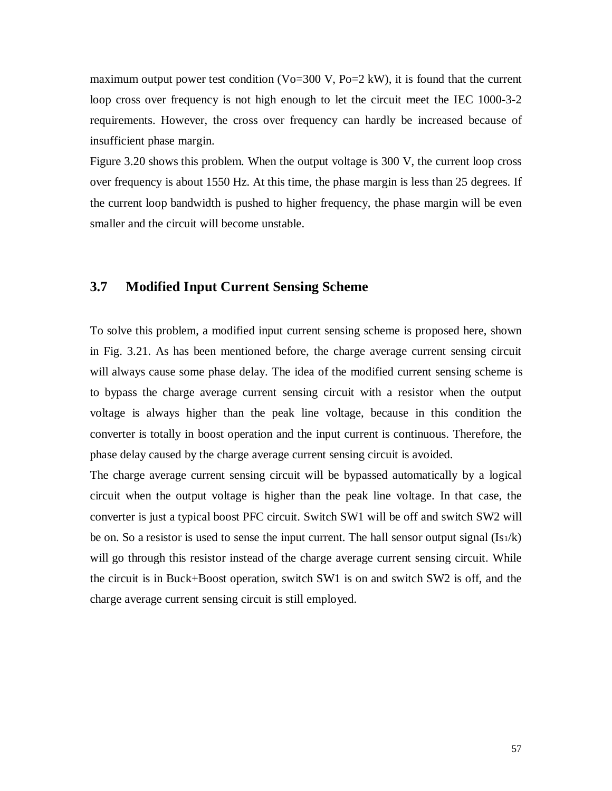maximum output power test condition (Vo=300 V, Po=2 kW), it is found that the current loop cross over frequency is not high enough to let the circuit meet the IEC 1000-3-2 requirements. However, the cross over frequency can hardly be increased because of insufficient phase margin.

Figure 3.20 shows this problem. When the output voltage is 300 V, the current loop cross over frequency is about 1550 Hz. At this time, the phase margin is less than 25 degrees. If the current loop bandwidth is pushed to higher frequency, the phase margin will be even smaller and the circuit will become unstable.

# **3.7 Modified Input Current Sensing Scheme**

To solve this problem, a modified input current sensing scheme is proposed here, shown in Fig. 3.21. As has been mentioned before, the charge average current sensing circuit will always cause some phase delay. The idea of the modified current sensing scheme is to bypass the charge average current sensing circuit with a resistor when the output voltage is always higher than the peak line voltage, because in this condition the converter is totally in boost operation and the input current is continuous. Therefore, the phase delay caused by the charge average current sensing circuit is avoided.

The charge average current sensing circuit will be bypassed automatically by a logical circuit when the output voltage is higher than the peak line voltage. In that case, the converter is just a typical boost PFC circuit. Switch SW1 will be off and switch SW2 will be on. So a resistor is used to sense the input current. The hall sensor output signal  $(Is_1/k)$ will go through this resistor instead of the charge average current sensing circuit. While the circuit is in Buck+Boost operation, switch SW1 is on and switch SW2 is off, and the charge average current sensing circuit is still employed.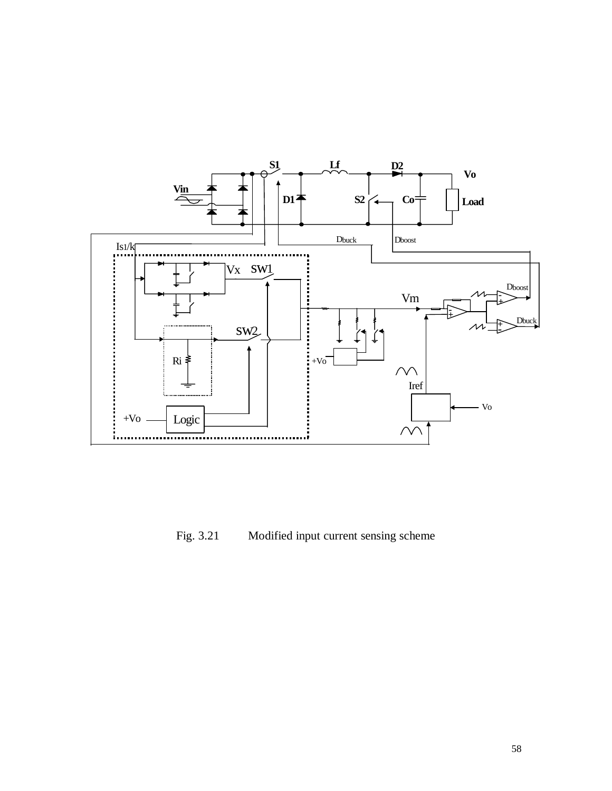

Fig. 3.21 Modified input current sensing scheme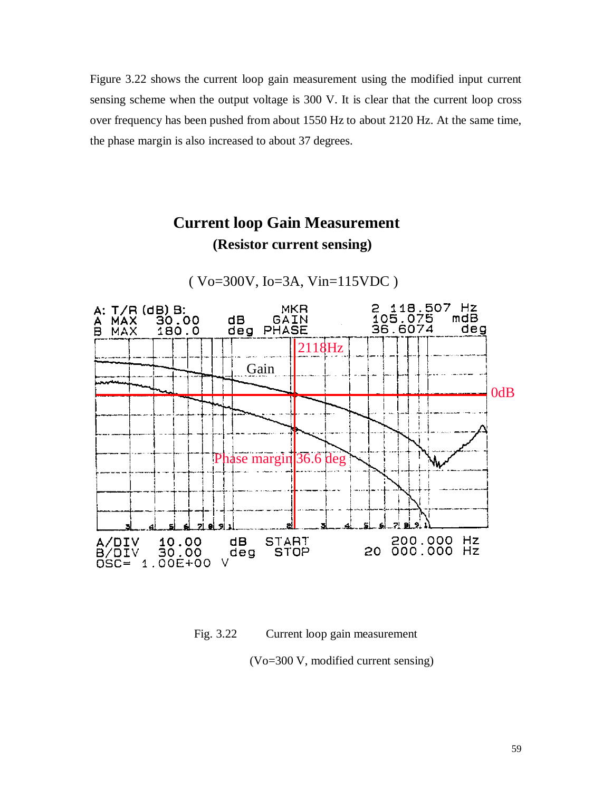Figure 3.22 shows the current loop gain measurement using the modified input current sensing scheme when the output voltage is 300 V. It is clear that the current loop cross over frequency has been pushed from about 1550 Hz to about 2120 Hz. At the same time, the phase margin is also increased to about 37 degrees.

# **Current loop Gain Measurement (Resistor current sensing)**



( Vo=300V, Io=3A, Vin=115VDC )

Fig. 3.22 Current loop gain measurement

(Vo=300 V, modified current sensing)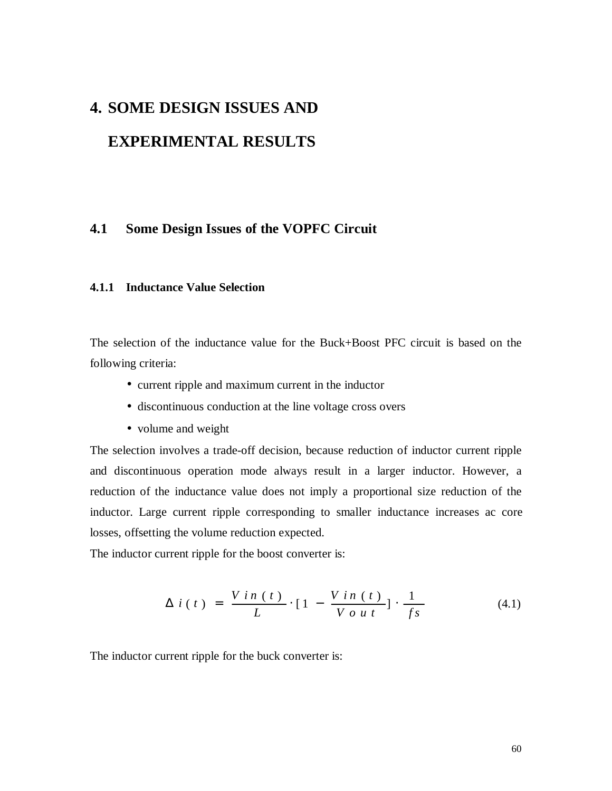# **4. SOME DESIGN ISSUES AND**

# **EXPERIMENTAL RESULTS**

## **4.1 Some Design Issues of the VOPFC Circuit**

#### **4.1.1 Inductance Value Selection**

The selection of the inductance value for the Buck+Boost PFC circuit is based on the following criteria:

- current ripple and maximum current in the inductor
- discontinuous conduction at the line voltage cross overs
- volume and weight

The selection involves a trade-off decision, because reduction of inductor current ripple and discontinuous operation mode always result in a larger inductor. However, a reduction of the inductance value does not imply a proportional size reduction of the inductor. Large current ripple corresponding to smaller inductance increases ac core losses, offsetting the volume reduction expected.

The inductor current ripple for the boost converter is:

$$
\Delta i(t) = \frac{V i n(t)}{L} \cdot [1 - \frac{V i n(t)}{V o u t}] \cdot \frac{1}{f s} \tag{4.1}
$$

The inductor current ripple for the buck converter is: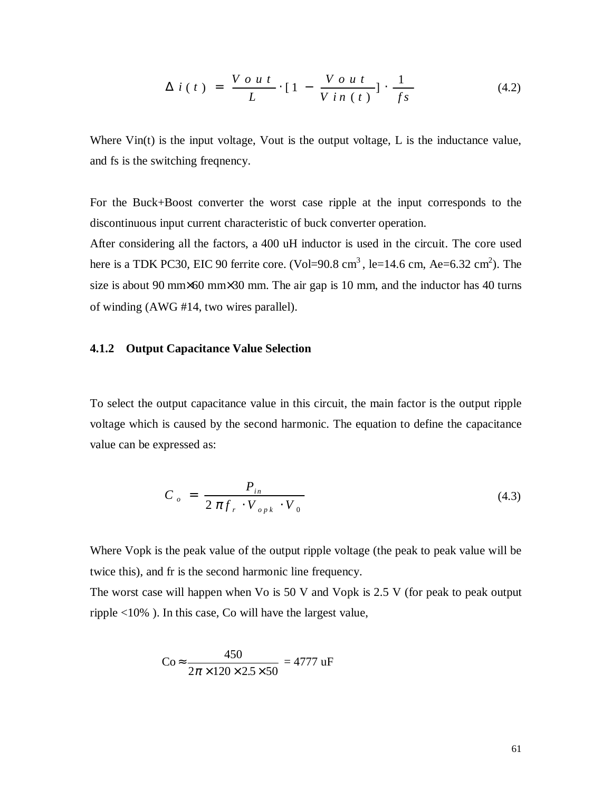$$
\Delta i(t) = \frac{V \circ ut}{L} \cdot [1 - \frac{V \circ ut}{V \circ n(t)}] \cdot \frac{1}{fs} \tag{4.2}
$$

Where  $\text{Vir}(t)$  is the input voltage,  $\text{Your}$  is the output voltage,  $L$  is the inductance value, and fs is the switching freqnency.

For the Buck+Boost converter the worst case ripple at the input corresponds to the discontinuous input current characteristic of buck converter operation.

After considering all the factors, a 400 uH inductor is used in the circuit. The core used here is a TDK PC30, EIC 90 ferrite core. (Vol=90.8 cm<sup>3</sup>, le=14.6 cm, Ae=6.32 cm<sup>2</sup>). The size is about 90 mm×60 mm×30 mm. The air gap is 10 mm, and the inductor has 40 turns of winding (AWG #14, two wires parallel).

#### **4.1.2 Output Capacitance Value Selection**

To select the output capacitance value in this circuit, the main factor is the output ripple voltage which is caused by the second harmonic. The equation to define the capacitance value can be expressed as:

$$
C_o = \frac{P_{in}}{2 \pi f_r \cdot V_{opk} \cdot V_0}
$$
 (4.3)

Where Vopk is the peak value of the output ripple voltage (the peak to peak value will be twice this), and fr is the second harmonic line frequency.

The worst case will happen when Vo is 50 V and Vopk is 2.5 V (for peak to peak output ripple <10% ). In this case, Co will have the largest value,

$$
\text{Co} \approx \frac{450}{2\pi \times 120 \times 2.5 \times 50} = 4777 \text{ uF}
$$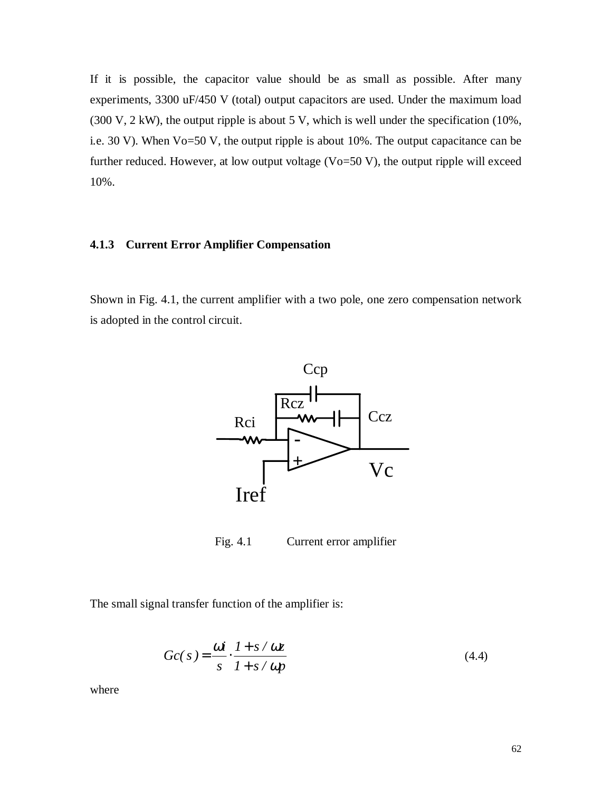If it is possible, the capacitor value should be as small as possible. After many experiments, 3300 uF/450 V (total) output capacitors are used. Under the maximum load  $(300 \text{ V}, 2 \text{ kW})$ , the output ripple is about 5 V, which is well under the specification  $(10\%$ , i.e. 30 V). When Vo=50 V, the output ripple is about 10%. The output capacitance can be further reduced. However, at low output voltage  $(Vo=50 V)$ , the output ripple will exceed 10%.

#### **4.1.3 Current Error Amplifier Compensation**

Shown in Fig. 4.1, the current amplifier with a two pole, one zero compensation network is adopted in the control circuit.



Fig. 4.1 Current error amplifier

The small signal transfer function of the amplifier is:

$$
Gc(s) = \frac{\omega i}{s} \cdot \frac{1 + s/\omega z}{1 + s/\omega p}
$$
\n(4.4)

where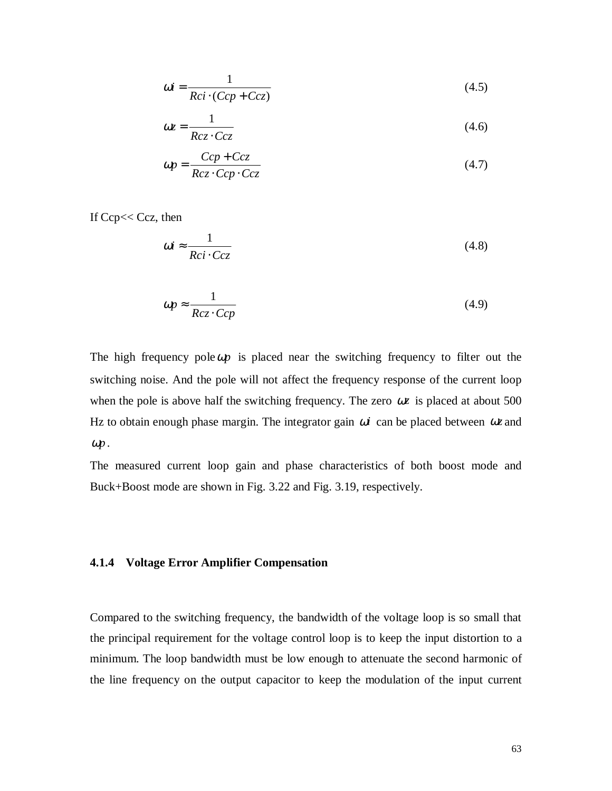$$
\omega i = \frac{1}{Rci \cdot (Ccp + Ccz)}
$$
(4.5)

$$
\omega z = \frac{1}{Rcz \cdot Ccz} \tag{4.6}
$$

$$
\omega p = \frac{Ccp + Ccz}{Rcz \cdot Ccp \cdot Ccz} \tag{4.7}
$$

If Ccp<< Ccz, then

$$
\omega i \approx \frac{1}{Rci \cdot Ccz} \tag{4.8}
$$

$$
\omega p \approx \frac{1}{Rcz \cdot Ccp} \tag{4.9}
$$

The high frequency pole  $\omega p$  is placed near the switching frequency to filter out the switching noise. And the pole will not affect the frequency response of the current loop when the pole is above half the switching frequency. The zero  $\omega z$  is placed at about 500 Hz to obtain enough phase margin. The integrator gain ω*i* can be placed between ω*z* and <sup>ω</sup>*p* .

The measured current loop gain and phase characteristics of both boost mode and Buck+Boost mode are shown in Fig. 3.22 and Fig. 3.19, respectively.

#### **4.1.4 Voltage Error Amplifier Compensation**

Compared to the switching frequency, the bandwidth of the voltage loop is so small that the principal requirement for the voltage control loop is to keep the input distortion to a minimum. The loop bandwidth must be low enough to attenuate the second harmonic of the line frequency on the output capacitor to keep the modulation of the input current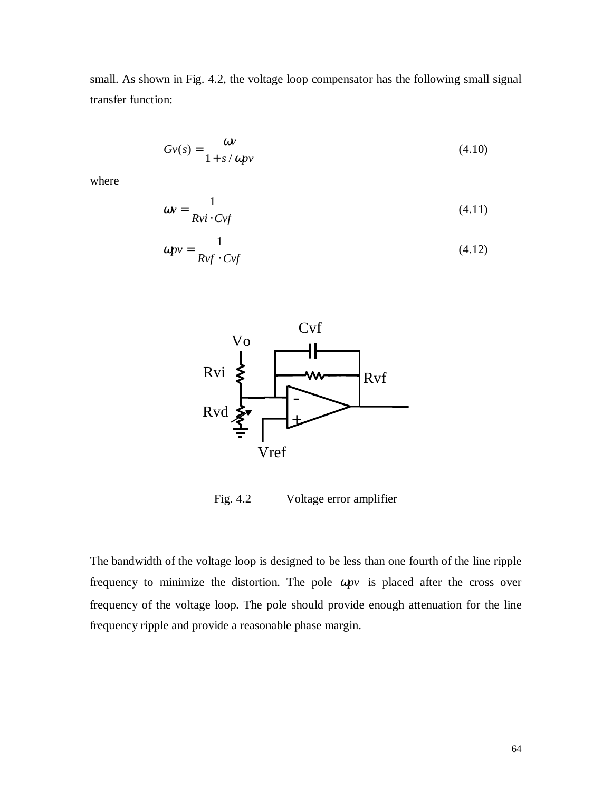small. As shown in Fig. 4.2, the voltage loop compensator has the following small signal transfer function:

$$
Gv(s) = \frac{\omega v}{1 + s/\omega p v} \tag{4.10}
$$

where

$$
\omega v = \frac{1}{R v i \cdot C v f} \tag{4.11}
$$

$$
\omega p v = \frac{1}{R v f \cdot C v f} \tag{4.12}
$$



Fig. 4.2 Voltage error amplifier

The bandwidth of the voltage loop is designed to be less than one fourth of the line ripple frequency to minimize the distortion. The pole ω*pv* is placed after the cross over frequency of the voltage loop. The pole should provide enough attenuation for the line frequency ripple and provide a reasonable phase margin.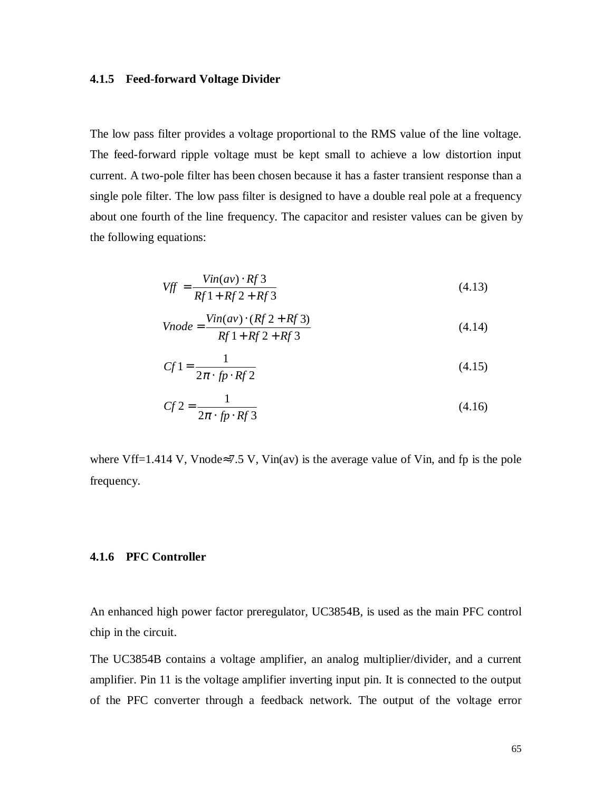### **4.1.5 Feed-forward Voltage Divider**

The low pass filter provides a voltage proportional to the RMS value of the line voltage. The feed-forward ripple voltage must be kept small to achieve a low distortion input current. A two-pole filter has been chosen because it has a faster transient response than a single pole filter. The low pass filter is designed to have a double real pole at a frequency about one fourth of the line frequency. The capacitor and resister values can be given by the following equations:

$$
Vff = \frac{Vin(av) \cdot Rf\,3}{Rf\,1 + Rf\,2 + Rf\,3}
$$
\n
$$
(4.13)
$$

$$
Vnode = \frac{Vin(av) \cdot (Rf 2 + Rf 3)}{Rf 1 + Rf 2 + Rf 3}
$$
\n(4.14)

$$
Cf1 = \frac{1}{2\pi \cdot fp \cdot Rf2} \tag{4.15}
$$

$$
Cf2 = \frac{1}{2\pi \cdot fp \cdot Rf3}
$$
 (4.16)

where Vff=1.414 V, Vnode≈7.5 V, Vin(av) is the average value of Vin, and fp is the pole frequency.

### **4.1.6 PFC Controller**

An enhanced high power factor preregulator, UC3854B, is used as the main PFC control chip in the circuit.

The UC3854B contains a voltage amplifier, an analog multiplier/divider, and a current amplifier. Pin 11 is the voltage amplifier inverting input pin. It is connected to the output of the PFC converter through a feedback network. The output of the voltage error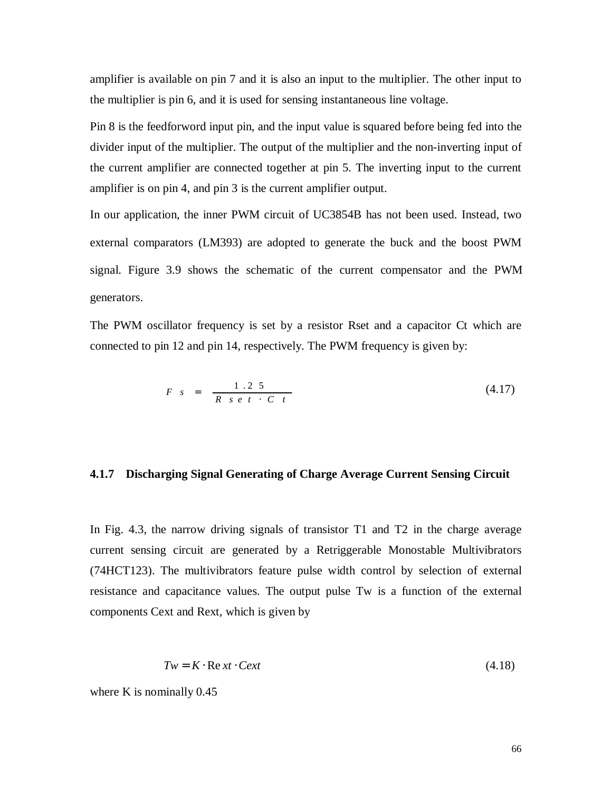amplifier is available on pin 7 and it is also an input to the multiplier. The other input to the multiplier is pin 6, and it is used for sensing instantaneous line voltage.

Pin 8 is the feedforword input pin, and the input value is squared before being fed into the divider input of the multiplier. The output of the multiplier and the non-inverting input of the current amplifier are connected together at pin 5. The inverting input to the current amplifier is on pin 4, and pin 3 is the current amplifier output.

In our application, the inner PWM circuit of UC3854B has not been used. Instead, two external comparators (LM393) are adopted to generate the buck and the boost PWM signal. Figure 3.9 shows the schematic of the current compensator and the PWM generators.

The PWM oscillator frequency is set by a resistor Rset and a capacitor Ct which are connected to pin 12 and pin 14, respectively. The PWM frequency is given by:

$$
F \quad s = \frac{1 \cdot 2 \cdot 5}{R \cdot s \cdot e \cdot t \cdot C \cdot t} \tag{4.17}
$$

### **4.1.7 Discharging Signal Generating of Charge Average Current Sensing Circuit**

In Fig. 4.3, the narrow driving signals of transistor T1 and T2 in the charge average current sensing circuit are generated by a Retriggerable Monostable Multivibrators (74HCT123). The multivibrators feature pulse width control by selection of external resistance and capacitance values. The output pulse Tw is a function of the external components Cext and Rext, which is given by

$$
Tw = K \cdot \text{Re } xt \cdot \text{C}ext \tag{4.18}
$$

where K is nominally  $0.45$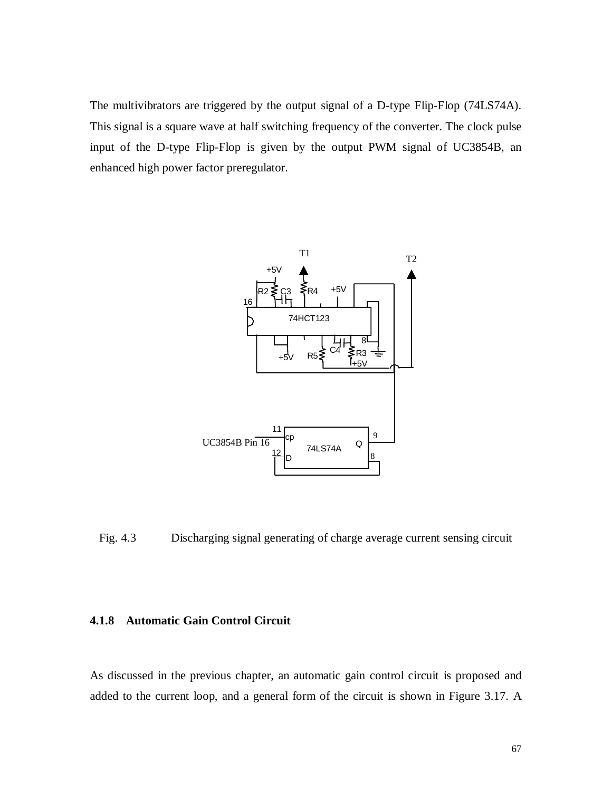The multivibrators are triggered by the output signal of a D-type Flip-Flop (74LS74A). This signal is a square wave at half switching frequency of the converter. The clock pulse input of the D-type Flip-Flop is given by the output PWM signal of UC3854B, an enhanced high power factor preregulator.



Fig. 4.3 Discharging signal generating of charge average current sensing circuit

### **4.1.8 Automatic Gain Control Circuit**

As discussed in the previous chapter, an automatic gain control circuit is proposed and added to the current loop, and a general form of the circuit is shown in Figure 3.17. A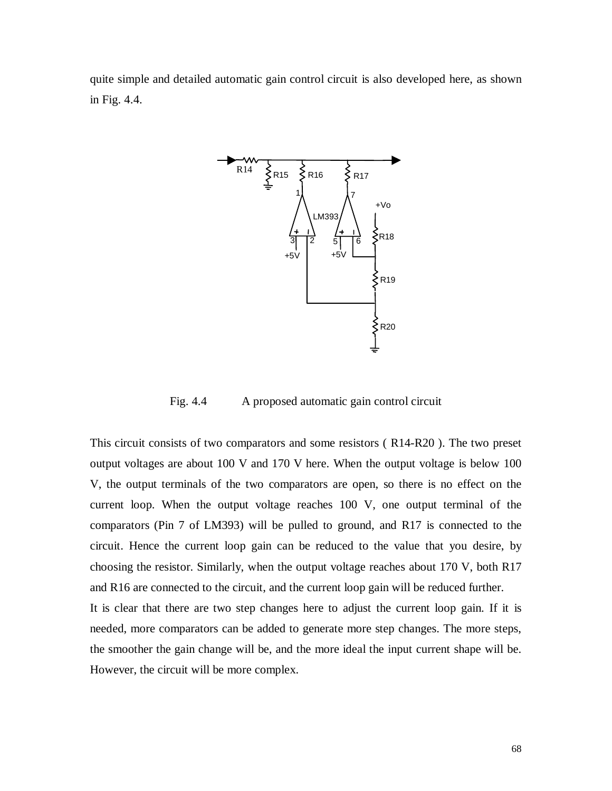quite simple and detailed automatic gain control circuit is also developed here, as shown in Fig. 4.4.



Fig. 4.4 A proposed automatic gain control circuit

This circuit consists of two comparators and some resistors ( R14-R20 ). The two preset output voltages are about 100 V and 170 V here. When the output voltage is below 100 V, the output terminals of the two comparators are open, so there is no effect on the current loop. When the output voltage reaches 100 V, one output terminal of the comparators (Pin 7 of LM393) will be pulled to ground, and R17 is connected to the circuit. Hence the current loop gain can be reduced to the value that you desire, by choosing the resistor. Similarly, when the output voltage reaches about 170 V, both R17 and R16 are connected to the circuit, and the current loop gain will be reduced further. It is clear that there are two step changes here to adjust the current loop gain. If it is needed, more comparators can be added to generate more step changes. The more steps, the smoother the gain change will be, and the more ideal the input current shape will be. However, the circuit will be more complex.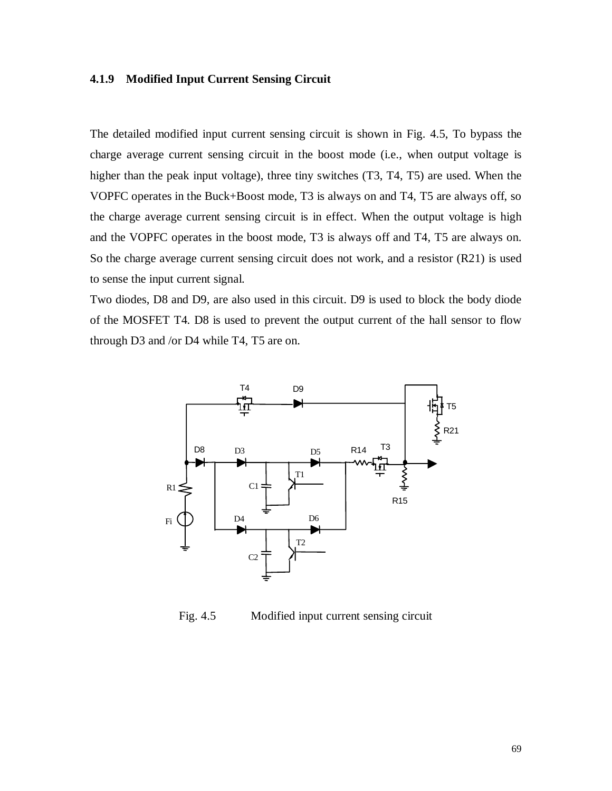### **4.1.9 Modified Input Current Sensing Circuit**

The detailed modified input current sensing circuit is shown in Fig. 4.5, To bypass the charge average current sensing circuit in the boost mode (i.e., when output voltage is higher than the peak input voltage), three tiny switches (T3, T4, T5) are used. When the VOPFC operates in the Buck+Boost mode, T3 is always on and T4, T5 are always off, so the charge average current sensing circuit is in effect. When the output voltage is high and the VOPFC operates in the boost mode, T3 is always off and T4, T5 are always on. So the charge average current sensing circuit does not work, and a resistor (R21) is used to sense the input current signal.

Two diodes, D8 and D9, are also used in this circuit. D9 is used to block the body diode of the MOSFET T4. D8 is used to prevent the output current of the hall sensor to flow through D3 and /or D4 while T4, T5 are on.



Fig. 4.5 Modified input current sensing circuit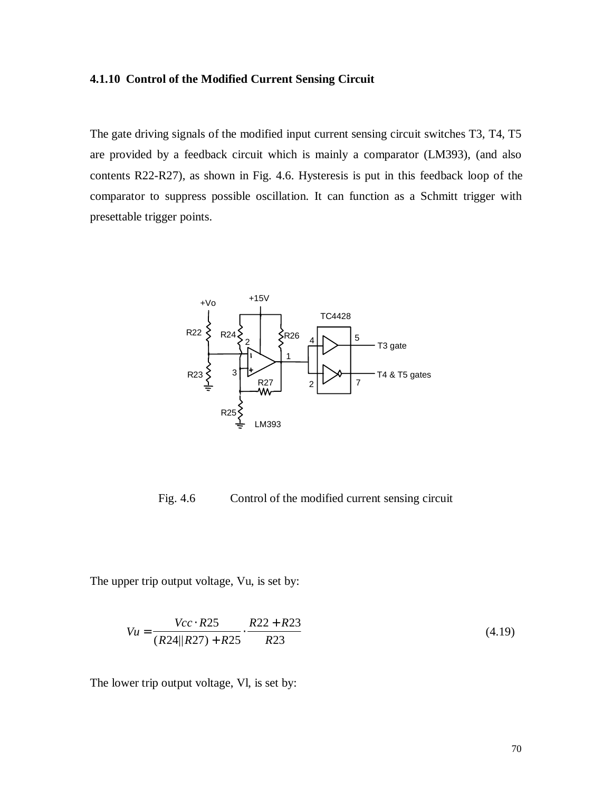### **4.1.10 Control of the Modified Current Sensing Circuit**

The gate driving signals of the modified input current sensing circuit switches T3, T4, T5 are provided by a feedback circuit which is mainly a comparator (LM393), (and also contents R22-R27), as shown in Fig. 4.6. Hysteresis is put in this feedback loop of the comparator to suppress possible oscillation. It can function as a Schmitt trigger with presettable trigger points.



Fig. 4.6 Control of the modified current sensing circuit

The upper trip output voltage, Vu, is set by:

$$
Vu = \frac{Vcc \cdot R25}{(R24||R27) + R25} \cdot \frac{R22 + R23}{R23}
$$
\n(4.19)

The lower trip output voltage, Vl, is set by: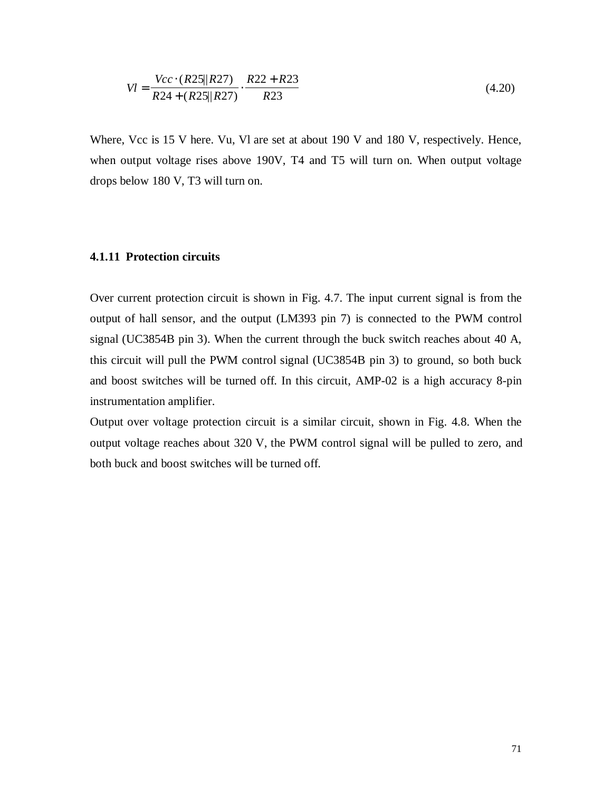$$
VI = \frac{Vcc \cdot (R25||R27)}{R24 + (R25||R27)} \cdot \frac{R22 + R23}{R23}
$$
(4.20)

Where, Vcc is 15 V here. Vu, VI are set at about 190 V and 180 V, respectively. Hence, when output voltage rises above 190V, T4 and T5 will turn on. When output voltage drops below 180 V, T3 will turn on.

### **4.1.11 Protection circuits**

Over current protection circuit is shown in Fig. 4.7. The input current signal is from the output of hall sensor, and the output (LM393 pin 7) is connected to the PWM control signal (UC3854B pin 3). When the current through the buck switch reaches about 40 A, this circuit will pull the PWM control signal (UC3854B pin 3) to ground, so both buck and boost switches will be turned off. In this circuit, AMP-02 is a high accuracy 8-pin instrumentation amplifier.

Output over voltage protection circuit is a similar circuit, shown in Fig. 4.8. When the output voltage reaches about 320 V, the PWM control signal will be pulled to zero, and both buck and boost switches will be turned off.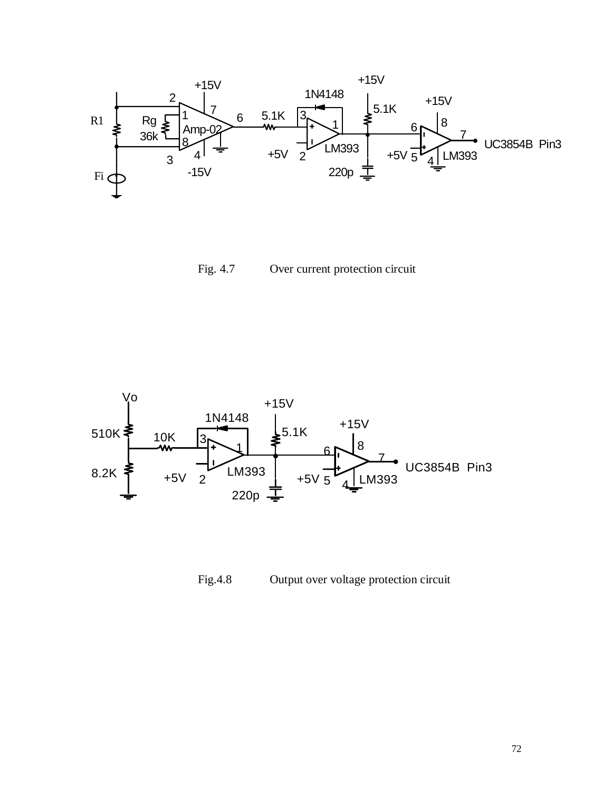

Fig. 4.7 Over current protection circuit



Fig.4.8 Output over voltage protection circuit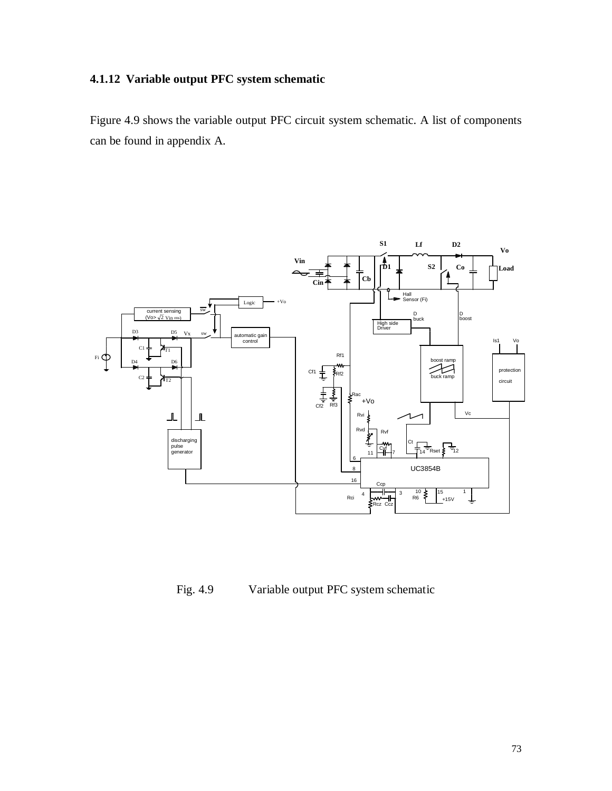# **4.1.12 Variable output PFC system schematic**

Figure 4.9 shows the variable output PFC circuit system schematic. A list of components can be found in appendix A.



Fig. 4.9 Variable output PFC system schematic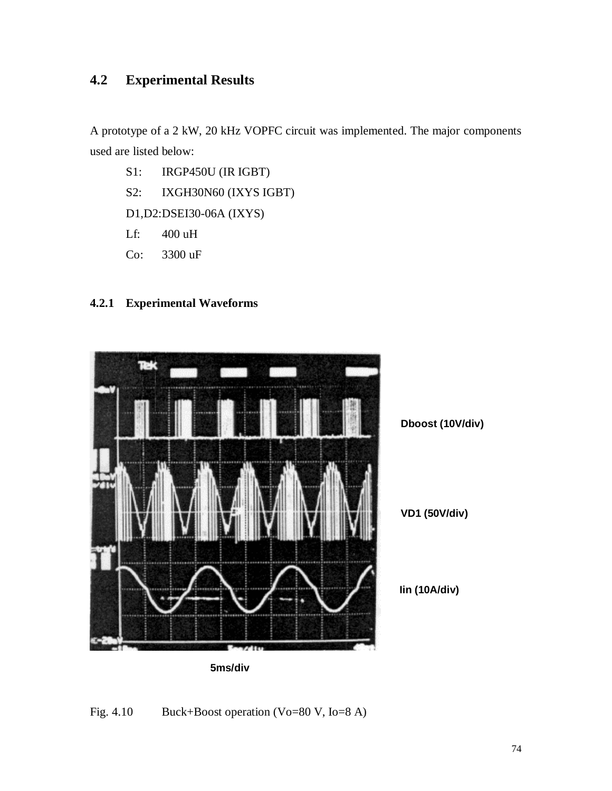# **4.2 Experimental Results**

A prototype of a 2 kW, 20 kHz VOPFC circuit was implemented. The major components used are listed below:

- S1: IRGP450U (IR IGBT)
- S2: IXGH30N60 (IXYS IGBT)

D1,D2:DSEI30-06A (IXYS)

- Lf: 400 uH
- Co: 3300 uF

## **4.2.1 Experimental Waveforms**



**5ms/div**

# Fig. 4.10 Buck+Boost operation (Vo=80 V, Io=8 A)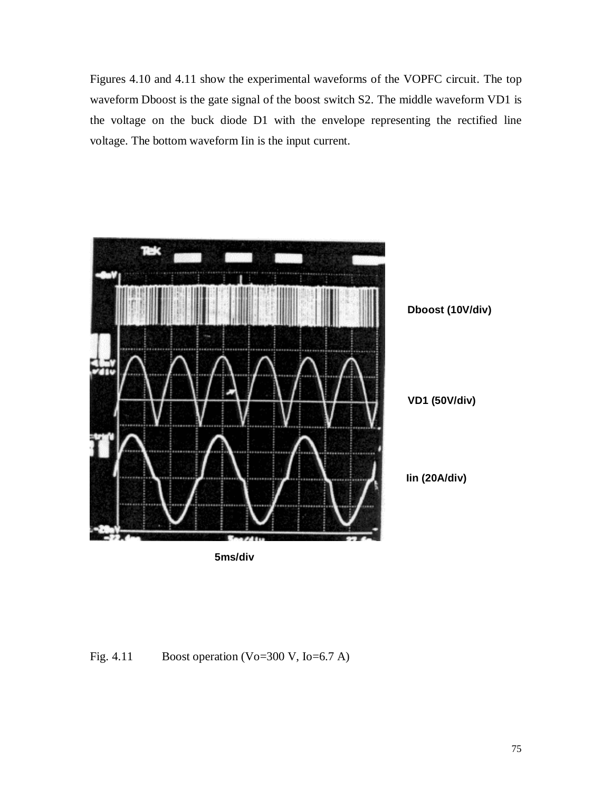Figures 4.10 and 4.11 show the experimental waveforms of the VOPFC circuit. The top waveform Dboost is the gate signal of the boost switch S2. The middle waveform VD1 is the voltage on the buck diode D1 with the envelope representing the rectified line voltage. The bottom waveform Iin is the input current.



Fig. 4.11 Boost operation (Vo=300 V, Io=6.7 A)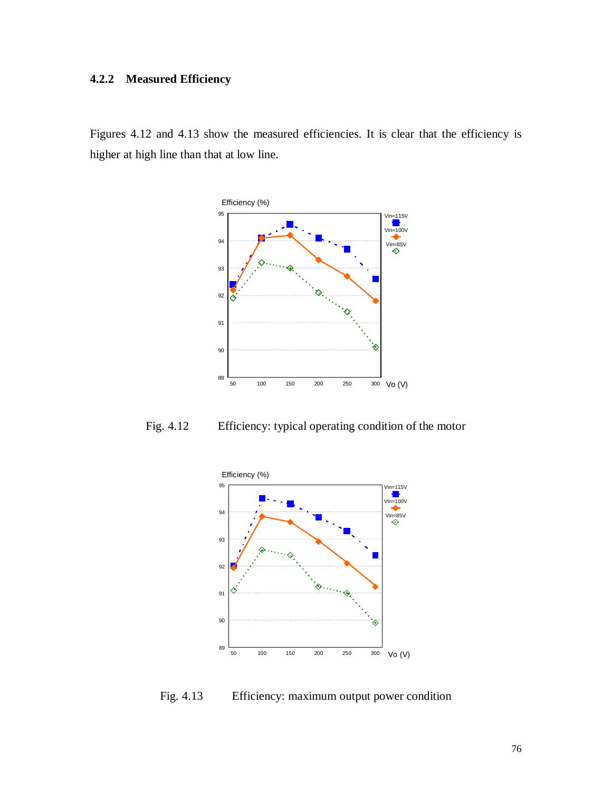# **4.2.2 Measured Efficiency**

Figures 4.12 and 4.13 show the measured efficiencies. It is clear that the efficiency is higher at high line than that at low line.



Fig. 4.12 Efficiency: typical operating condition of the motor



Fig. 4.13 Efficiency: maximum output power condition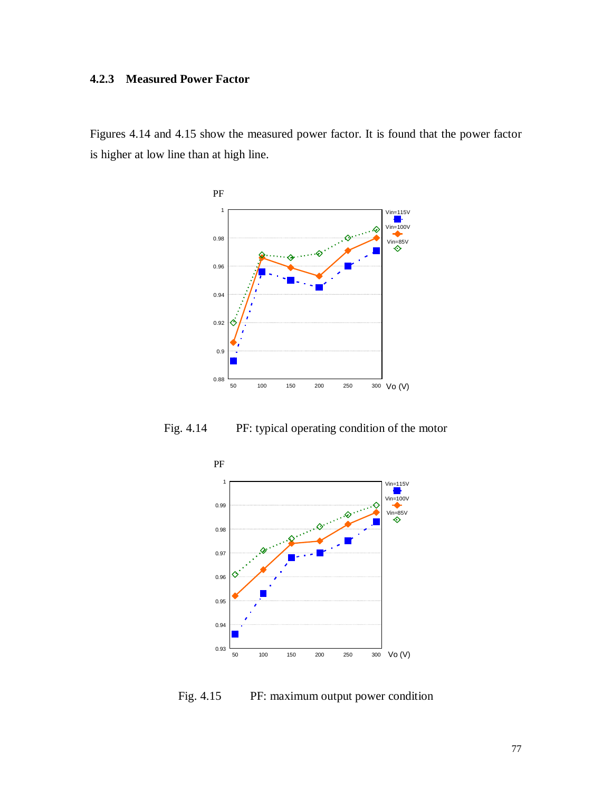# **4.2.3 Measured Power Factor**

Figures 4.14 and 4.15 show the measured power factor. It is found that the power factor is higher at low line than at high line.



Fig. 4.14 PF: typical operating condition of the motor



Fig. 4.15 PF: maximum output power condition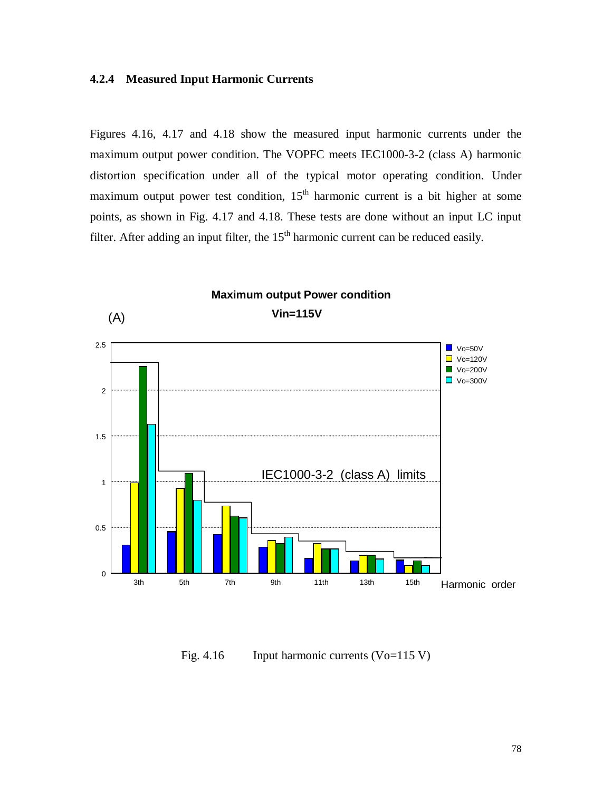### **4.2.4 Measured Input Harmonic Currents**

Figures 4.16, 4.17 and 4.18 show the measured input harmonic currents under the maximum output power condition. The VOPFC meets IEC1000-3-2 (class A) harmonic distortion specification under all of the typical motor operating condition. Under maximum output power test condition,  $15<sup>th</sup>$  harmonic current is a bit higher at some points, as shown in Fig. 4.17 and 4.18. These tests are done without an input LC input filter. After adding an input filter, the  $15<sup>th</sup>$  harmonic current can be reduced easily.



Fig. 4.16 Input harmonic currents (Vo=115 V)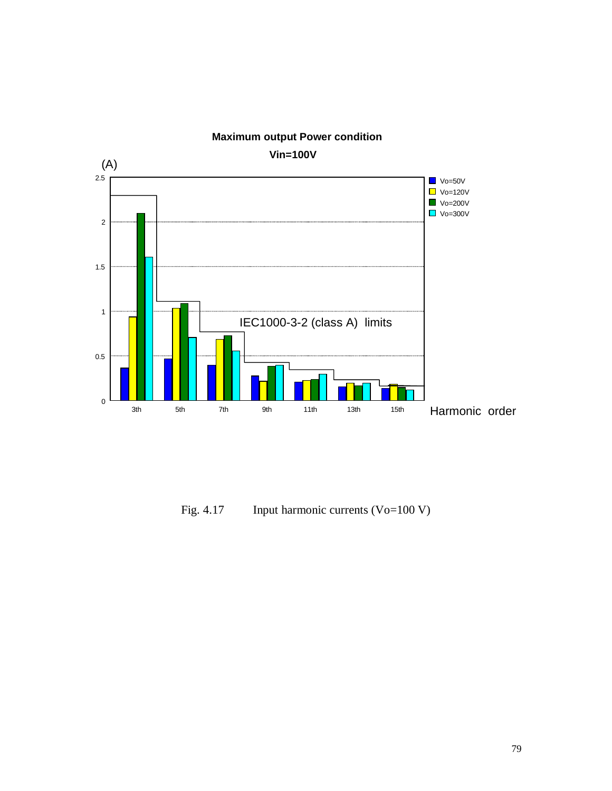

**Maximum output Power condition**

Fig. 4.17 Input harmonic currents (Vo=100 V)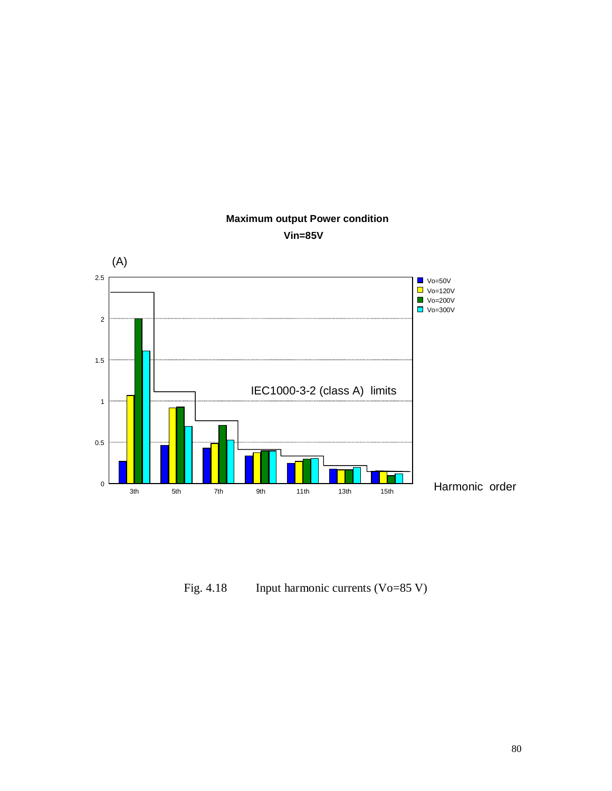

# **Maximum output Power condition Vin=85V**

Fig. 4.18 Input harmonic currents (Vo=85 V)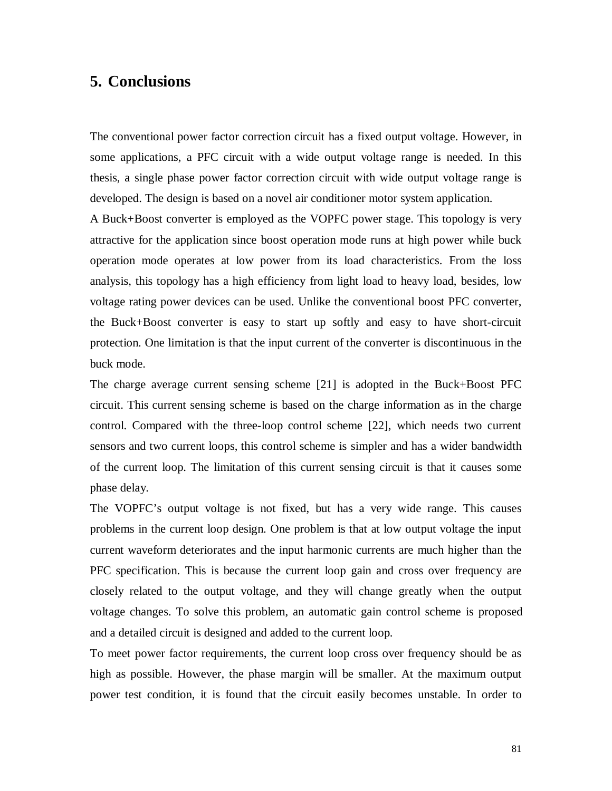# **5. Conclusions**

The conventional power factor correction circuit has a fixed output voltage. However, in some applications, a PFC circuit with a wide output voltage range is needed. In this thesis, a single phase power factor correction circuit with wide output voltage range is developed. The design is based on a novel air conditioner motor system application.

A Buck+Boost converter is employed as the VOPFC power stage. This topology is very attractive for the application since boost operation mode runs at high power while buck operation mode operates at low power from its load characteristics. From the loss analysis, this topology has a high efficiency from light load to heavy load, besides, low voltage rating power devices can be used. Unlike the conventional boost PFC converter, the Buck+Boost converter is easy to start up softly and easy to have short-circuit protection. One limitation is that the input current of the converter is discontinuous in the buck mode.

The charge average current sensing scheme [21] is adopted in the Buck+Boost PFC circuit. This current sensing scheme is based on the charge information as in the charge control. Compared with the three-loop control scheme [22], which needs two current sensors and two current loops, this control scheme is simpler and has a wider bandwidth of the current loop. The limitation of this current sensing circuit is that it causes some phase delay.

The VOPFC's output voltage is not fixed, but has a very wide range. This causes problems in the current loop design. One problem is that at low output voltage the input current waveform deteriorates and the input harmonic currents are much higher than the PFC specification. This is because the current loop gain and cross over frequency are closely related to the output voltage, and they will change greatly when the output voltage changes. To solve this problem, an automatic gain control scheme is proposed and a detailed circuit is designed and added to the current loop.

To meet power factor requirements, the current loop cross over frequency should be as high as possible. However, the phase margin will be smaller. At the maximum output power test condition, it is found that the circuit easily becomes unstable. In order to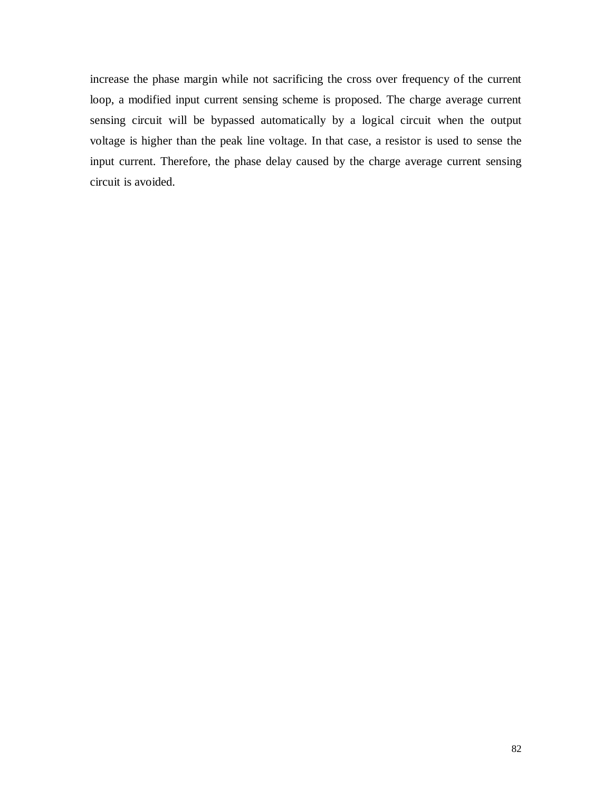increase the phase margin while not sacrificing the cross over frequency of the current loop, a modified input current sensing scheme is proposed. The charge average current sensing circuit will be bypassed automatically by a logical circuit when the output voltage is higher than the peak line voltage. In that case, a resistor is used to sense the input current. Therefore, the phase delay caused by the charge average current sensing circuit is avoided.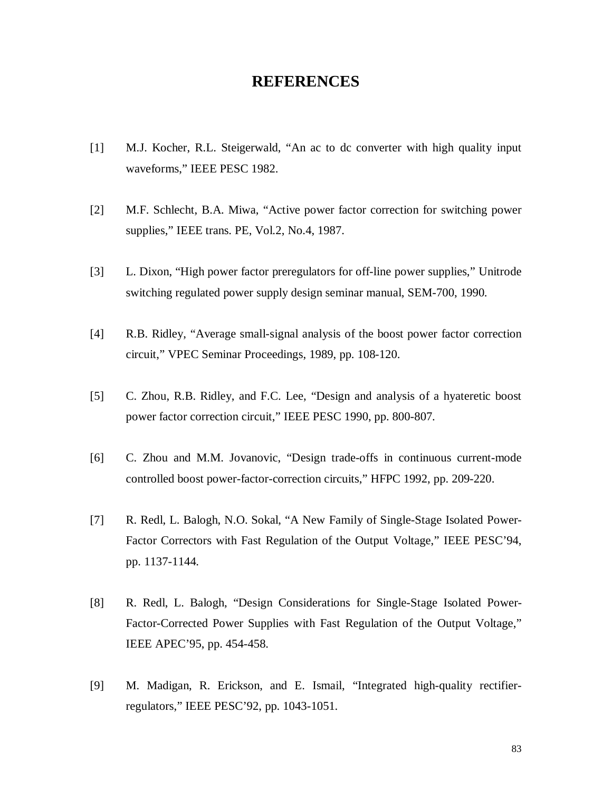# **REFERENCES**

- [1] M.J. Kocher, R.L. Steigerwald, "An ac to dc converter with high quality input waveforms," IEEE PESC 1982.
- [2] M.F. Schlecht, B.A. Miwa, "Active power factor correction for switching power supplies," IEEE trans. PE, Vol.2, No.4, 1987.
- [3] L. Dixon, "High power factor preregulators for off-line power supplies," Unitrode switching regulated power supply design seminar manual, SEM-700, 1990.
- [4] R.B. Ridley, "Average small-signal analysis of the boost power factor correction circuit," VPEC Seminar Proceedings, 1989, pp. 108-120.
- [5] C. Zhou, R.B. Ridley, and F.C. Lee, "Design and analysis of a hyateretic boost power factor correction circuit," IEEE PESC 1990, pp. 800-807.
- [6] C. Zhou and M.M. Jovanovic, "Design trade-offs in continuous current-mode controlled boost power-factor-correction circuits," HFPC 1992, pp. 209-220.
- [7] R. Redl, L. Balogh, N.O. Sokal, "A New Family of Single-Stage Isolated Power-Factor Correctors with Fast Regulation of the Output Voltage," IEEE PESC'94, pp. 1137-1144.
- [8] R. Redl, L. Balogh, "Design Considerations for Single-Stage Isolated Power-Factor-Corrected Power Supplies with Fast Regulation of the Output Voltage," IEEE APEC'95, pp. 454-458.
- [9] M. Madigan, R. Erickson, and E. Ismail, "Integrated high-quality rectifierregulators," IEEE PESC'92, pp. 1043-1051.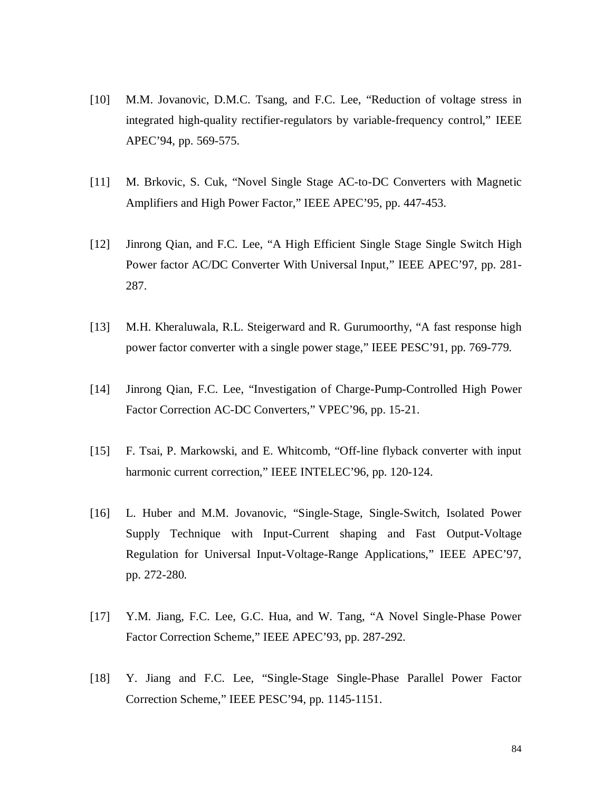- [10] M.M. Jovanovic, D.M.C. Tsang, and F.C. Lee, "Reduction of voltage stress in integrated high-quality rectifier-regulators by variable-frequency control," IEEE APEC'94, pp. 569-575.
- [11] M. Brkovic, S. Cuk, "Novel Single Stage AC-to-DC Converters with Magnetic Amplifiers and High Power Factor," IEEE APEC'95, pp. 447-453.
- [12] Jinrong Qian, and F.C. Lee, "A High Efficient Single Stage Single Switch High Power factor AC/DC Converter With Universal Input," IEEE APEC'97, pp. 281- 287.
- [13] M.H. Kheraluwala, R.L. Steigerward and R. Gurumoorthy, "A fast response high power factor converter with a single power stage," IEEE PESC'91, pp. 769-779.
- [14] Jinrong Qian, F.C. Lee, "Investigation of Charge-Pump-Controlled High Power Factor Correction AC-DC Converters," VPEC'96, pp. 15-21.
- [15] F. Tsai, P. Markowski, and E. Whitcomb, "Off-line flyback converter with input harmonic current correction," IEEE INTELEC'96, pp. 120-124.
- [16] L. Huber and M.M. Jovanovic, "Single-Stage, Single-Switch, Isolated Power Supply Technique with Input-Current shaping and Fast Output-Voltage Regulation for Universal Input-Voltage-Range Applications," IEEE APEC'97, pp. 272-280.
- [17] Y.M. Jiang, F.C. Lee, G.C. Hua, and W. Tang, "A Novel Single-Phase Power Factor Correction Scheme," IEEE APEC'93, pp. 287-292.
- [18] Y. Jiang and F.C. Lee, "Single-Stage Single-Phase Parallel Power Factor Correction Scheme," IEEE PESC'94, pp. 1145-1151.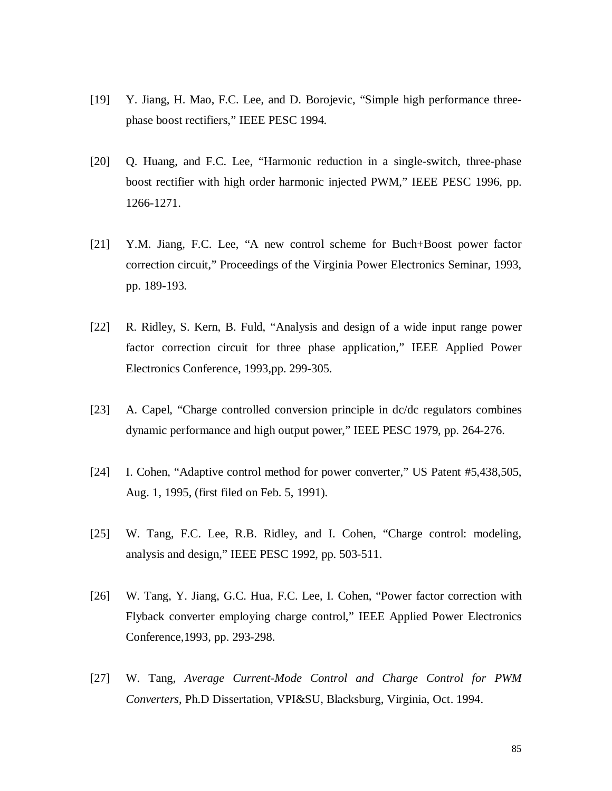- [19] Y. Jiang, H. Mao, F.C. Lee, and D. Borojevic, "Simple high performance threephase boost rectifiers," IEEE PESC 1994.
- [20] Q. Huang, and F.C. Lee, "Harmonic reduction in a single-switch, three-phase boost rectifier with high order harmonic injected PWM," IEEE PESC 1996, pp. 1266-1271.
- [21] Y.M. Jiang, F.C. Lee, "A new control scheme for Buch+Boost power factor correction circuit," Proceedings of the Virginia Power Electronics Seminar, 1993, pp. 189-193.
- [22] R. Ridley, S. Kern, B. Fuld, "Analysis and design of a wide input range power factor correction circuit for three phase application," IEEE Applied Power Electronics Conference, 1993,pp. 299-305.
- [23] A. Capel, "Charge controlled conversion principle in dc/dc regulators combines dynamic performance and high output power," IEEE PESC 1979, pp. 264-276.
- [24] I. Cohen, "Adaptive control method for power converter," US Patent #5,438,505, Aug. 1, 1995, (first filed on Feb. 5, 1991).
- [25] W. Tang, F.C. Lee, R.B. Ridley, and I. Cohen, "Charge control: modeling, analysis and design," IEEE PESC 1992, pp. 503-511.
- [26] W. Tang, Y. Jiang, G.C. Hua, F.C. Lee, I. Cohen, "Power factor correction with Flyback converter employing charge control," IEEE Applied Power Electronics Conference,1993, pp. 293-298.
- [27] W. Tang, *Average Current-Mode Control and Charge Control for PWM Converters*, Ph.D Dissertation, VPI&SU, Blacksburg, Virginia, Oct. 1994.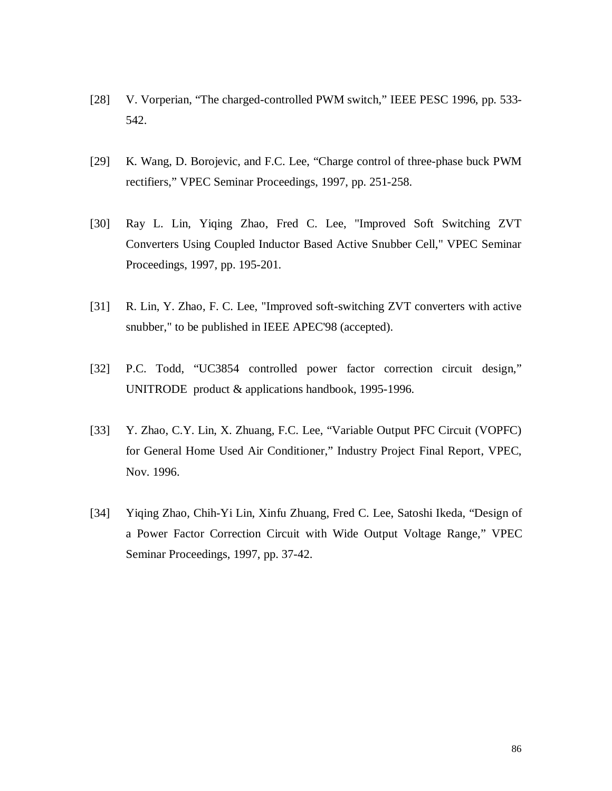- [28] V. Vorperian, "The charged-controlled PWM switch," IEEE PESC 1996, pp. 533-542.
- [29] K. Wang, D. Borojevic, and F.C. Lee, "Charge control of three-phase buck PWM rectifiers," VPEC Seminar Proceedings, 1997, pp. 251-258.
- [30] Ray L. Lin, Yiqing Zhao, Fred C. Lee, "Improved Soft Switching ZVT Converters Using Coupled Inductor Based Active Snubber Cell," VPEC Seminar Proceedings, 1997, pp. 195-201.
- [31] R. Lin, Y. Zhao, F. C. Lee, "Improved soft-switching ZVT converters with active snubber," to be published in IEEE APEC'98 (accepted).
- [32] P.C. Todd, "UC3854 controlled power factor correction circuit design," UNITRODE product & applications handbook, 1995-1996.
- [33] Y. Zhao, C.Y. Lin, X. Zhuang, F.C. Lee, "Variable Output PFC Circuit (VOPFC) for General Home Used Air Conditioner," Industry Project Final Report, VPEC, Nov. 1996.
- [34] Yiqing Zhao, Chih-Yi Lin, Xinfu Zhuang, Fred C. Lee, Satoshi Ikeda, "Design of a Power Factor Correction Circuit with Wide Output Voltage Range," VPEC Seminar Proceedings, 1997, pp. 37-42.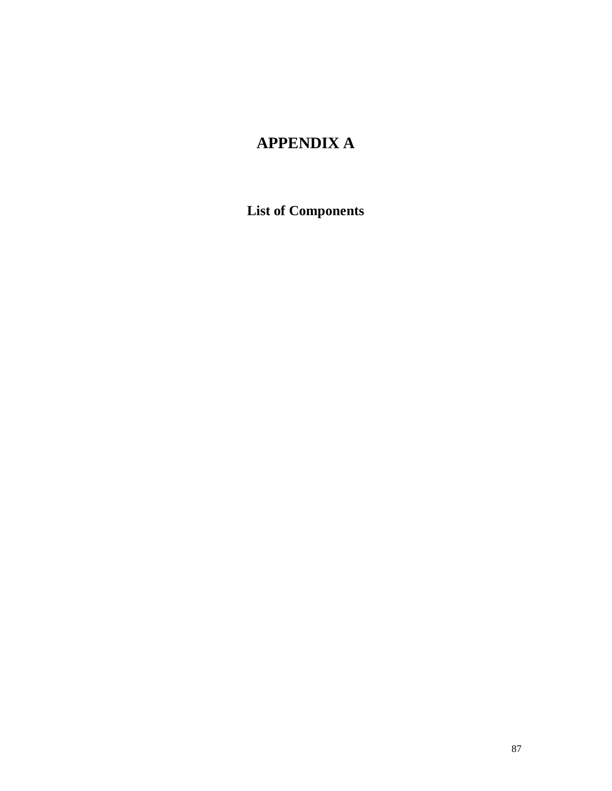# **APPENDIX A**

**List of Components**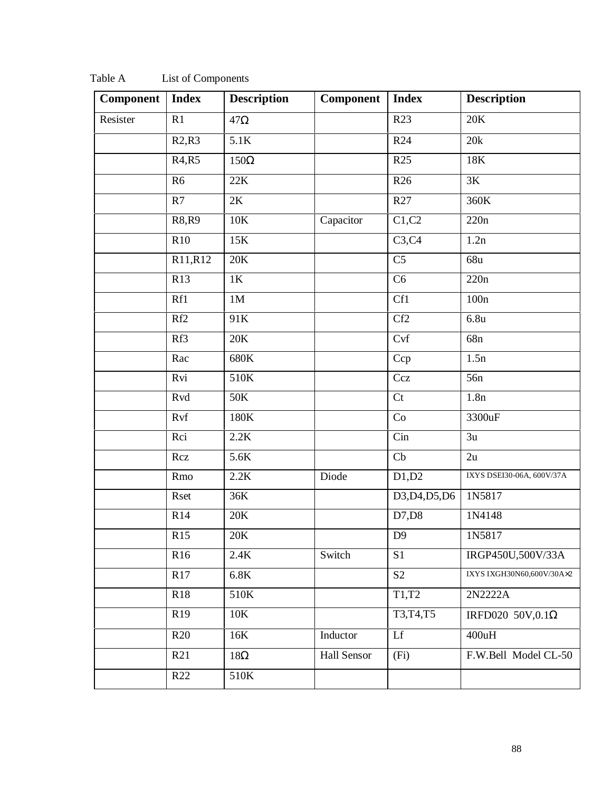| Component | <b>Index</b>                   | <b>Description</b> | <b>Component</b> | <b>Index</b>       | <b>Description</b>        |
|-----------|--------------------------------|--------------------|------------------|--------------------|---------------------------|
| Resister  | R1                             | $47\Omega$         |                  | R23                | 20K                       |
|           | R2,R3                          | 5.1K               |                  | R <sub>24</sub>    | 20k                       |
|           | R <sub>4</sub> ,R <sub>5</sub> | $150\Omega$        |                  | R <sub>25</sub>    | 18K                       |
|           | R <sub>6</sub>                 | 22K                |                  | R <sub>26</sub>    | 3K                        |
|           | R7                             | 2K                 |                  | R27                | 360K                      |
|           | R8, R9                         | $10K$              | Capacitor        | $\overline{C1,C2}$ | 220n                      |
|           | R <sub>10</sub>                | 15K                |                  | C3, C4             | 1.2n                      |
|           | R11,R12                        | 20K                |                  | C <sub>5</sub>     | 68u                       |
|           | R13                            | $1\mathrm{K}$      |                  | C <sub>6</sub>     | 220n                      |
|           | Rf1                            | 1M                 |                  | Cf1                | 100n                      |
|           | Rf2                            | 91K                |                  | Cf2                | 6.8 <sub>u</sub>          |
|           | Rf3                            | 20K                |                  | C <sub>vf</sub>    | 68 <sub>n</sub>           |
|           | Rac                            | 680K               |                  | Ccp                | 1.5n                      |
|           | Rvi                            | 510K               |                  | Ccz                | 56 <sub>n</sub>           |
|           | Rvd                            | 50K                |                  | Ct                 | 1.8n                      |
|           | Rvf                            | 180K               |                  | Co                 | 3300uF                    |
|           | Rci                            | 2.2K               |                  | Cin                | 3u                        |
|           | Rcz                            | 5.6K               |                  | Cb                 | 2u                        |
|           | Rmo                            | 2.2K               | Diode            | D1,D2              | IXYS DSEI30-06A, 600V/37A |
|           | Rset                           | 36K                |                  | D3, D4, D5, D6     | 1N5817                    |
|           | R14                            | 20K                |                  | D7,D8              | 1N4148                    |
|           | R15                            | 20K                |                  | D <sub>9</sub>     | 1N5817                    |
|           | R <sub>16</sub>                | 2.4K               | Switch           | S <sub>1</sub>     | IRGP450U,500V/33A         |
|           | R17                            | $6.8\mathrm{K}$    |                  | S <sub>2</sub>     | IXYS IXGH30N60,600V/30A×2 |
|           | R18                            | 510K               |                  | T1,T2              | 2N2222A                   |
|           | R19                            | 10K                |                  | T3, T4, T5         | IRFD020 50V,0.1 $\Omega$  |
|           | R20                            | 16K                | Inductor         | Lf                 | 400uH                     |
|           | R21                            | $18\Omega$         | Hall Sensor      | (Fi)               | F.W.Bell Model CL-50      |
|           | R22                            | 510K               |                  |                    |                           |
|           |                                |                    |                  |                    |                           |

Table A List of Components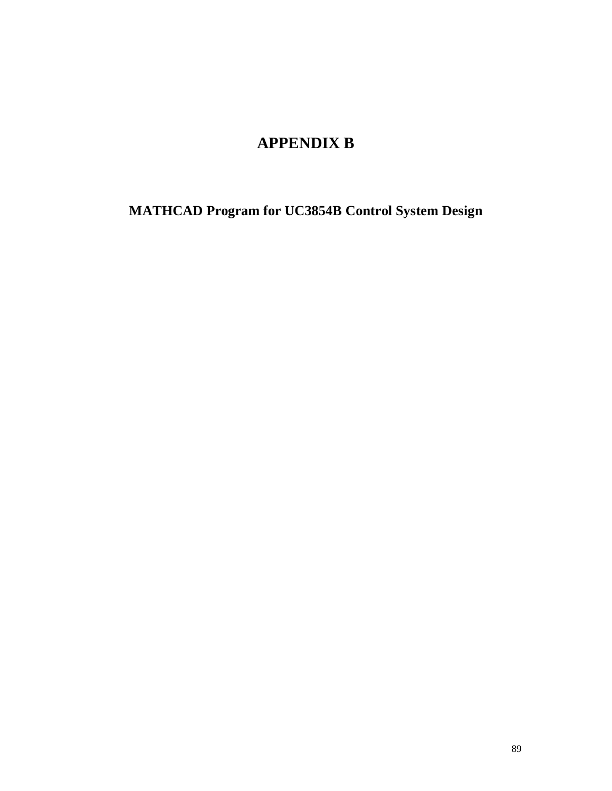# **APPENDIX B**

**MATHCAD Program for UC3854B Control System Design**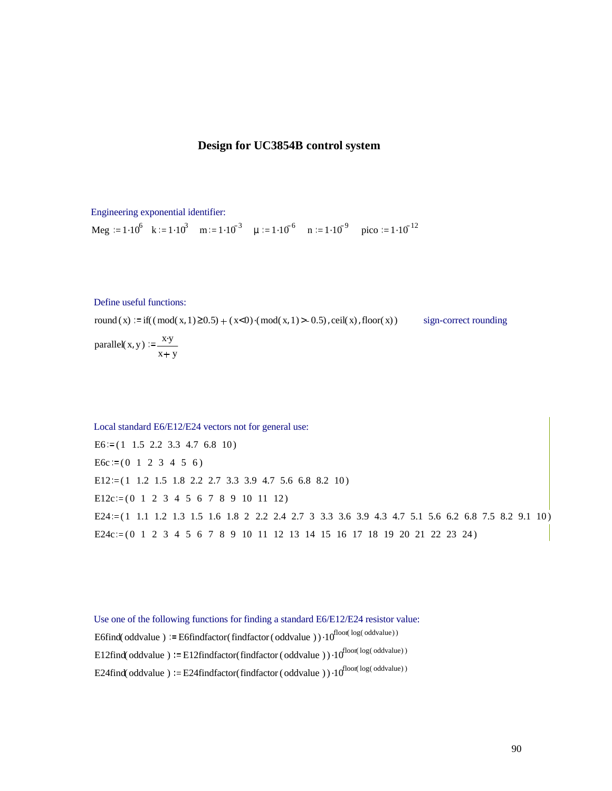### **Design for UC3854B control system**

Engineering exponential identifier: Meg :=  $1.10^6$  k :=  $1.10^3$  m :=  $1.10^{-3}$   $\mu$  :=  $1.10^{-6}$  n :=  $1.10^{-9}$  pico :=  $1.10^{-12}$ 

Define useful functions:

round  $(x) := \text{if}((\text{mod}(x, 1) \ge 0.5) + (x < 0) \cdot (\text{mod}(x, 1) > -0.5)$ , ceil $(x)$ , floor $(x)$  sign-correct rounding

parallel(x, y) :=  $\frac{xy}{x+y}$  $x + y$ 

Local standard E6/E12/E24 vectors not for general use:  $E6 = (1 \t1.5 \t2.2 \t3.3 \t4.7 \t6.8 \t10)$  $E6c := (0 \ 1 \ 2 \ 3 \ 4 \ 5 \ 6)$ E12 $:=$ (1 1.2 1.5 1.8 2.2 2.7 3.3 3.9 4.7 5.6 6.8 8.2 10)  $E12c = (0 1 2 3 4 5 6 7 8 9 10 11 12)$ E24:= $(1 \t1.1 \t1.2 \t1.3 \t1.5 \t1.6 \t1.8 \t2 \t2.2 \t2.4 \t2.7 \t3 \t3.3 \t3.6 \t3.9 \t4.3 \t4.7 \t5.1 \t5.6 \t6.2 \t6.8 \t7.5 \t8.2 \t9.1 \t10)$ E24c:= $(0 \ 1 \ 2 \ 3 \ 4 \ 5 \ 6 \ 7 \ 8 \ 9 \ 10 \ 11 \ 12 \ 13 \ 14 \ 15 \ 16 \ 17 \ 18 \ 19 \ 20 \ 21 \ 22 \ 23 \ 24)$ 

Use one of the following functions for finding a standard E6/E12/E24 resistor value: E6find(oddvalue ) := E6findfactor(findfactor(oddvalue )) $\cdot 10^{\text{floor}(\text{log}(\text{odvalue}))}$ E12find(oddvalue)  $:=$  E12findfactor(findfactor (oddvalue)) $\cdot 10^{\text{floor}(\text{log}(\text{odvalue}))}$ E24find(oddvalue)  $:=$  E24findfactor(findfactor (oddvalue)) $\cdot 10^{$ floor( $\log(\text{odvalue})$ )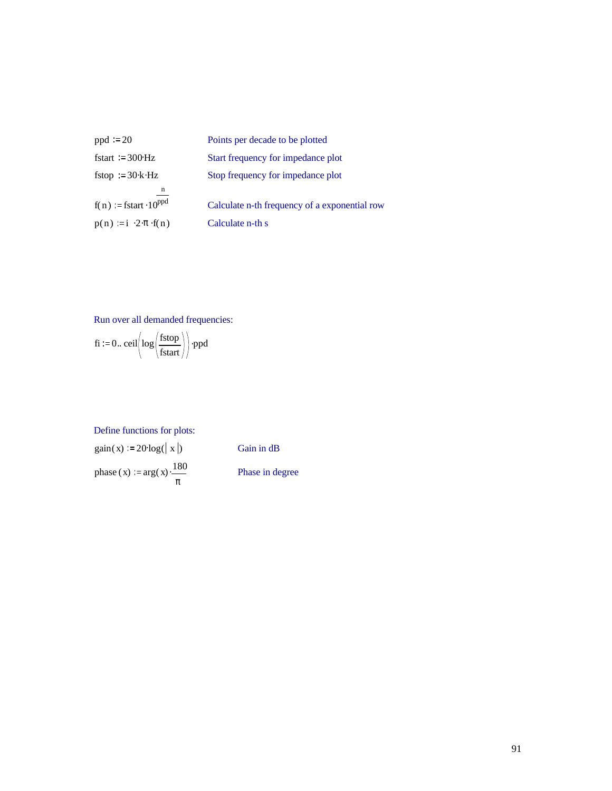| $ppd = 20$                               | Points per decade to be plotted               |
|------------------------------------------|-----------------------------------------------|
| fstart = $300 \text{ Hz}$                | Start frequency for impedance plot            |
| fstop $=30 \text{ k} \cdot \text{Hz}$    | Stop frequency for impedance plot             |
| n                                        |                                               |
| $f(n) = fstart \cdot 10^{ppd}$           | Calculate n-th frequency of a exponential row |
| $p(n) := i \cdot 2 \cdot \pi \cdot f(n)$ | Calculate n-th s                              |

Run over all demanded frequencies:

$$
fi := 0. \text{ceil}\left(\log\left(\frac{fstop}{fstart}\right)\right) \cdot ppd
$$

### Define functions for plots:

 $gain(x) := 20 \log(|x|)$  . Gain in dB phase (x) :=  $arg(x) \cdot \frac{180}{ }$ π

. Phase in degree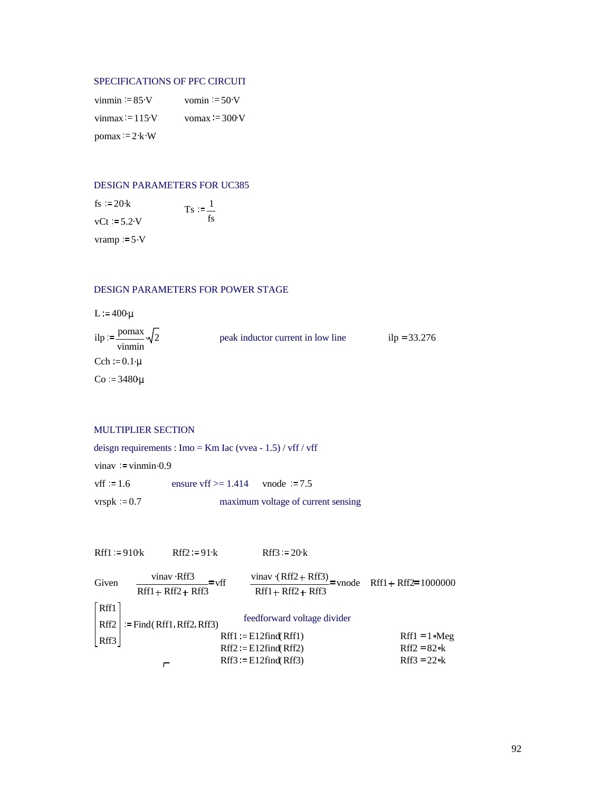#### SPECIFICATIONS OF PFC CIRCUIT

| vinmin $= 85$ ·V                                 | vomin $= 50-V$  |
|--------------------------------------------------|-----------------|
| vinmax $= 115$ ·V                                | vomax $= 300 V$ |
| $\text{pomax} = 2 \cdot \text{k} \cdot \text{W}$ |                 |

#### DESIGN PARAMETERS FOR UC385

| fs := $20 \cdot k$ | $T_{\rm s} = \frac{1}{2}$ |
|--------------------|---------------------------|
| $vCt := 5.2$ V     | fs                        |
| vramp $:= 5-V$     |                           |

### DESIGN PARAMETERS FOR POWER STAGE

 $L = 400 \mu$ 

| ilp = $\frac{\text{pomax}}{2} \sqrt{2}$<br>vinmin | peak inductor current in low line | $ilp = 33.276$ |
|---------------------------------------------------|-----------------------------------|----------------|
| Cch = $0.1\mu$                                    |                                   |                |
| $Co = 3480 \mu$                                   |                                   |                |

### MULTIPLIER SECTION

deisgn requirements : Imo = Km Iac (vvea - 1.5) / vff / vff vinav = vinmin  $0.9$ vff  $:= 1.6$  ensure vff  $>= 1.414$  vnode  $:= 7.5$ 

 $vrspk := 0.7$  maximum voltage of current sensing

| Rff1 := 910k | Rff2 := 91·k                                                      | Rff3 := 20·k                                                                                                                                                                                                                                                |                       |
|--------------|-------------------------------------------------------------------|-------------------------------------------------------------------------------------------------------------------------------------------------------------------------------------------------------------------------------------------------------------|-----------------------|
| Given        | $\frac{\text{vinar} \cdot Rff3}{Rff1 + Rff2 + Rff3} = \text{vff}$ | $\frac{\text{vinar} \cdot (Rff2 + Rff3)}{Rff1 + Rff2 + Rff3} = \text{vnode}$                                                                                                                                                                                | Rff1 + Rff2 = 1000000 |
| Rff1         | := Find(Rff1, Rff2, Rff3)                                         | feedforward voltage \n <ul>\n<li>defined (Rff1)</li>\n<li>Right1 := E12find(Rff1)</li>\n<li>Right2 := E12find(Rff2)</li>\n<li>Right3 := E12find(Rff3)</li>\n<li>Right4 = 1 <math>\circ</math> Meg</li>\n<li>Right5 = 22 <math>\circ</math> k</li>\n</ul> \n |                       |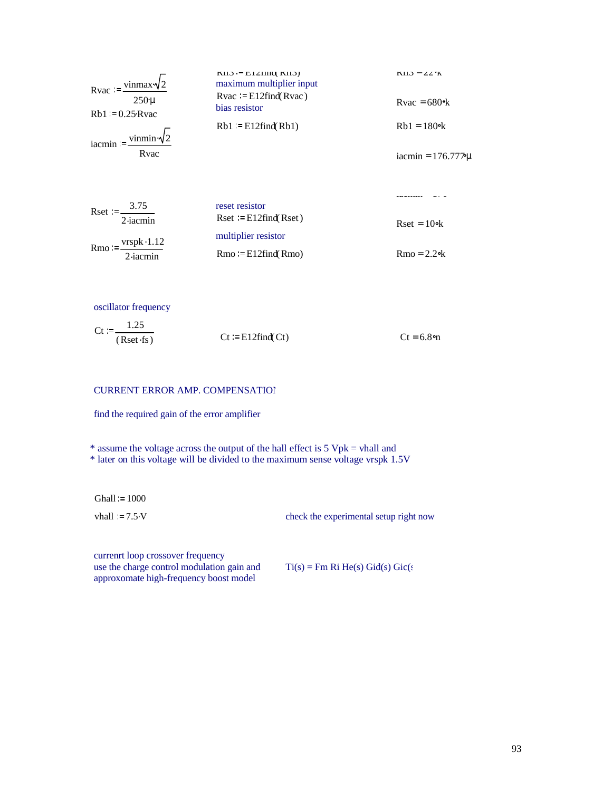| Rvac := $\frac{\text{vinnax}\sqrt{2}}{2}$<br>$250 \mu$<br>$Rb1 = 0.25Rvac$<br>iacmin := $\frac{\text{vinmin} \cdot \sqrt{2}}{2}$<br>Rvac | $KII$ . $-$ E1211110, KII.<br>maximum multiplier input<br>$Rvac = E12$ find $(Rvac)$<br>bias resistor<br>$Rb1 = E12$ find $(Rb1)$ | $KII.3 = 22K$<br>$Rvac = 680$ %<br>$Rb1 = 180$ <sup>o</sup> k<br>iacmin = $176.777 \mu$ |
|------------------------------------------------------------------------------------------------------------------------------------------|-----------------------------------------------------------------------------------------------------------------------------------|-----------------------------------------------------------------------------------------|
| Rset := $\frac{3.75}{1}$                                                                                                                 | reset resistor                                                                                                                    |                                                                                         |
| $2$ -iacmin<br>$Rmo := \frac{vrspk \cdot 1.12}{r}$                                                                                       | $\text{Rset} := \text{E12find}(\text{Rset})$<br>multiplier resistor                                                               | $\text{Rset} = 10\text{ek}$                                                             |
| 2-iacmin                                                                                                                                 | $Rmo := E12find(Rmo)$                                                                                                             | $Rmo = 2.2$ ok                                                                          |

oscillator frequency

$$
Ct := \frac{1.25}{(Rset \cdot fs)}
$$
  
\n
$$
Ct := E12find(Ct)
$$
  
\n
$$
Ct = 6.8
$$
 or

### CURRENT ERROR AMP. COMPENSATION

find the required gain of the error amplifier

\* assume the voltage across the output of the hall effect is  $5 Vpk = vhall$  and

\* later on this voltage will be divided to the maximum sense voltage vrspk 1.5V

 $Ghall := 1000$ 

vhall := 7.5 V check the experimental setup right now

currenrt loop crossover frequency use the charge control modulation gain and approxomate high-frequency boost model

 $Ti(s) = Fm Ri He(s) Gid(s) Gic(s)$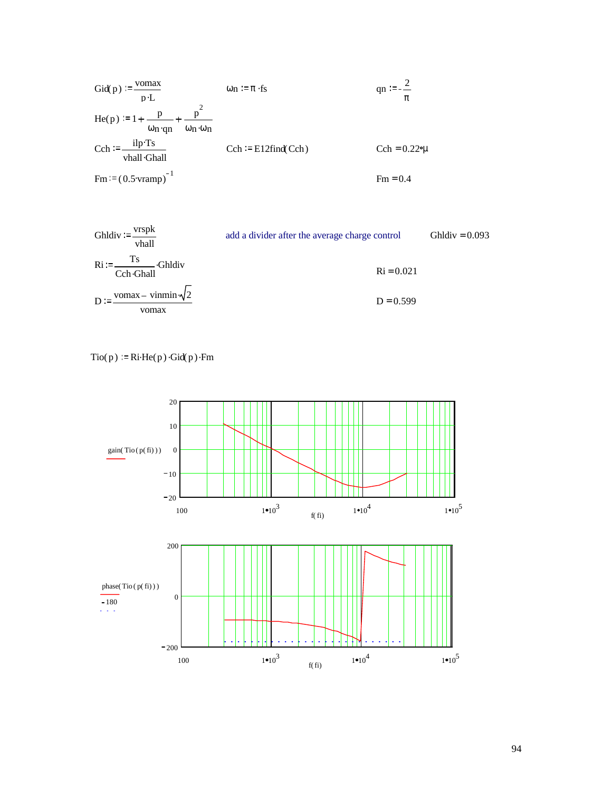\n
$$
\text{Gid}(p) := \frac{\text{vomax}}{p \cdot L}
$$
\n $\text{on } \frac{p}{p \cdot L}$ \n $\text{on } \frac{p^2}{\omega n \cdot qn} + \frac{p^2}{\omega n \cdot \omega n}$ \n

\n\n $\text{Cch} := \frac{\text{ilp} \cdot \text{Ts}}{\text{vhall} \cdot \text{Ghall}}$ \n $\text{Cch} := \text{E12find}(\text{Cch})$ \n $\text{Cch} = 0.22\text{°µ}$ \n

\n\n $\text{Fm} := (0.5 \text{vramp})^{-1}$ \n $\text{Fm} = 0.4$ \n

Shldiv := 
$$
\frac{v \text{rspk}}{\text{vhall}}
$$

\nadd a divider after the average charge control

\nChldiv = 0.093

\nRi :=  $\frac{\text{Ts}}{\text{Cch} \cdot \text{Ghall}}$ 

\nChldiv

\nRi = 0.021

\nD :=  $\frac{\text{vomax} - \text{vinmin} \cdot \sqrt{2}}{\text{vomax}}$ 

\nD = 0.599

 $Tio(p) := Ri \cdot He(p) \cdot Gid(p) \cdot Fm$ 

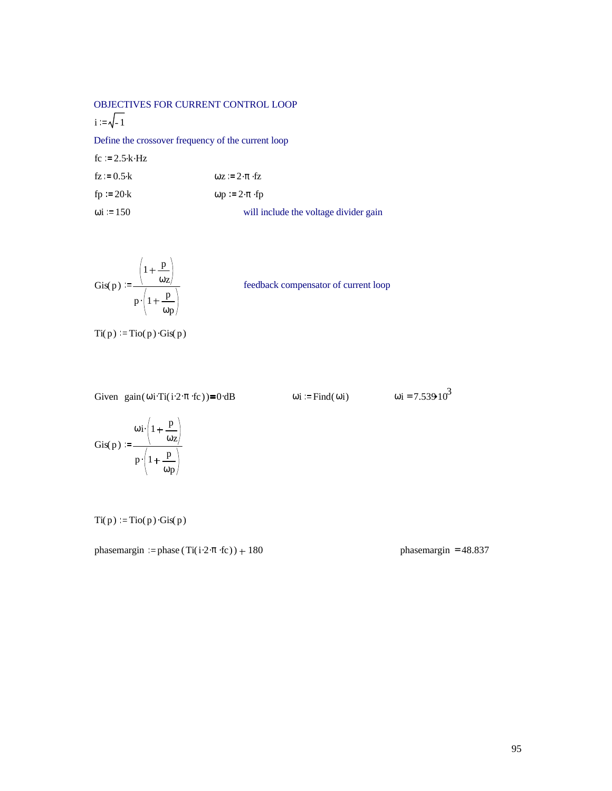OBJECTIVES FOR CURRENT CONTROL LOOP  $i := \sqrt{-1}$ Define the crossover frequency of the current loop  $fc := 2.5 \cdot k \cdot Hz$  $fz := 0.5 \text{ k}$   $\omega z := 2 \cdot \pi \cdot fz$ fp  $:= 20 \text{ k}$   $\omega p := 2 \cdot \pi \cdot fp$ 

 $\omega$ i := 150 will include the voltage divider gain

$$
Gis(p) := \frac{\left(1 + \frac{p}{\omega_Z}\right)}{p \cdot \left(1 + \frac{p}{\omega_P}\right)}
$$

feedback compensator of current loop

$$
Ti(p) = Tio(p) \cdot Gis(p)
$$

Given gain  $(\omega i \text{Ti}(i \cdot 2 \cdot \pi \cdot \text{fc})) = 0 \cdot dB$   $\omega i = \text{Find}(\omega i)$   $\omega i = 7.53910^3$ 

$$
Gis(p) := \frac{\omega i \left(1 + \frac{p}{\omega z}\right)}{p \cdot \left(1 + \frac{p}{\omega p}\right)}
$$

$$
Ti(p) = Tio(p) \cdot Gis(p)
$$

phasemargin := phase  $(Ti(i \cdot 2 \cdot \pi \cdot fc)) + 180$  phasemargin = 48.837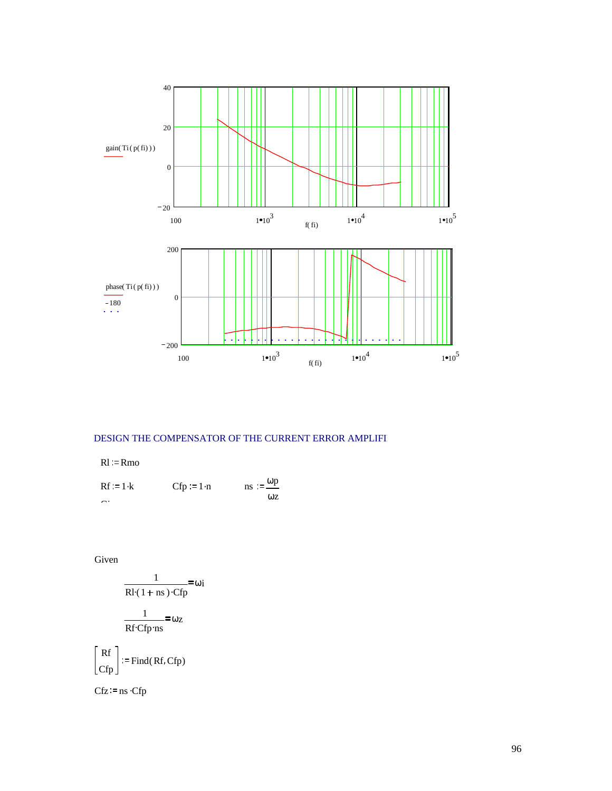

### DESIGN THE COMPENSATOR OF THE CURRENT ERROR AMPLIFI

 $Rl = Rmo$ 

$$
Rf := 1 \cdot k \qquad \qquad Cfp := 1 \cdot n \qquad \qquad ns := \frac{\omega p}{\omega z}
$$

Given

 $\lceil Rf \rceil$ 

$$
\frac{1}{Rl \cdot (1 + ns) \cdot Cfp} = \omega_{i}
$$
\n
$$
\frac{1}{Rf \cdot Cfp \cdot ns} = \omega_{z}
$$
\n
$$
\begin{bmatrix} Rf \\ Cfp \end{bmatrix} := Find(Rf, Cfp)
$$

 $Cfz := ns \cdot Cfp$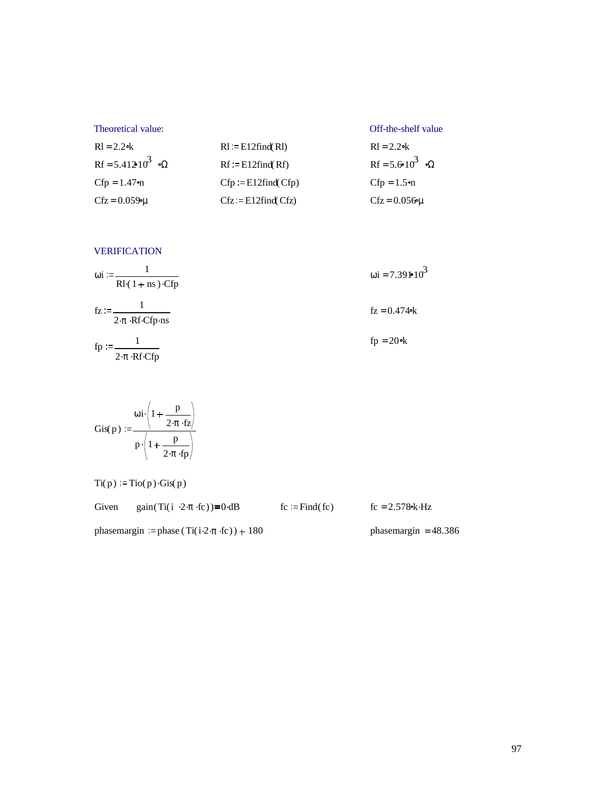| Theoretical value:            |                          | Off-the-shelf value         |
|-------------------------------|--------------------------|-----------------------------|
| $R1 = 2.2$ ok                 | $R1 := E12$ find( $R1$ ) | $R1 = 2.2$ ok               |
| Rf = 5.412 10 <sup>3</sup> oΩ | $Rf = E12find(Rf)$       | Rf = 5.6 $10^3$ os $\Omega$ |
| $Cfp = 1.47$ %                | $Cfp := E12find(Cfp)$    | $Cfp = 1.5$ on              |
| $Cfz = 0.0599\mu$             | $Cfz = E12find(Cfz)$     | $Cfz = 0.056 \mu$           |

VERIFICATION

| $\omega$ i :=<br>$Rl(1 + ns)$ Cfp                                           | $\omega$ i = 7.391•10 <sup>3</sup> |
|-----------------------------------------------------------------------------|------------------------------------|
| $fz := -$<br>$2 \cdot \pi \cdot \text{Rf} \cdot \text{Cfp} \cdot \text{ns}$ | $fz = 0.474$ ok                    |
| $fp :=$<br>$2 \cdot \pi \cdot Rf \cdot Cfp$                                 | $fp = 20$ ok                       |

$$
Gis(p) := \frac{\omega i \cdot \left(1 + \frac{p}{2 \cdot \pi \cdot fz}\right)}{p \cdot \left(1 + \frac{p}{2 \cdot \pi \cdot fp}\right)}
$$

 $Ti(p) = Tio(p) \cdot Gis(p)$ 

Given gain  $(Ti(i \cdot 2 \cdot \pi \cdot fc)) = 0 \cdot dB$  fc := Find  $f(c)$  fc = 2.578 k Hz

phasemargin := phase  $(Ti(i \cdot 2 \pi \cdot fc)) + 180$  phasemargin = 48.386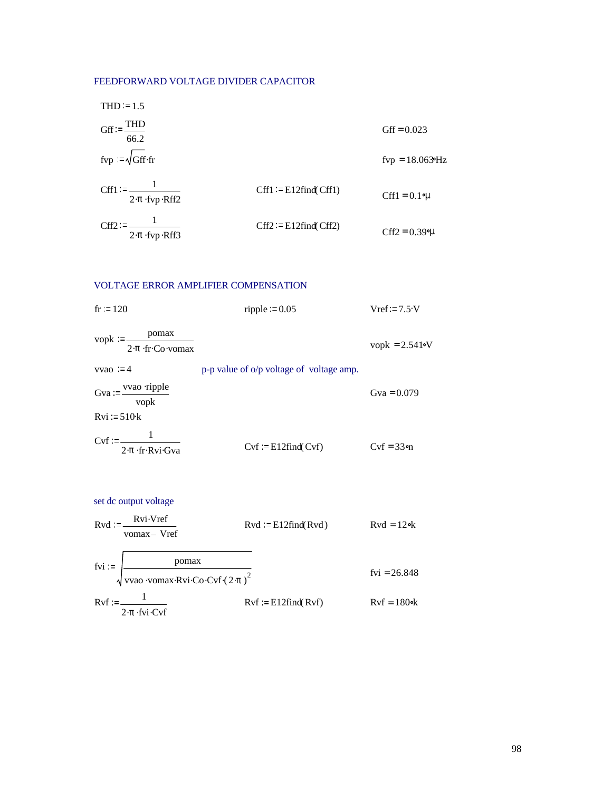### FEEDFORWARD VOLTAGE DIVIDER CAPACITOR

THE 1.5

\n
$$
Gff := \frac{THD}{66.2}
$$
\nFor  $l = \sqrt{Gff \cdot fr}$  and  $fr = 0.023$  for  $l = \sqrt{Gff \cdot fr}$  and  $fr = 18.0639$  Hz

\n
$$
Cff1 := \frac{1}{2 \cdot \pi \cdot \text{fvp} \cdot \text{Rff2}}
$$
\n
$$
Cff1 := E12 \text{find} (Cff1)
$$
\n
$$
Cff1 = 0.1 \, \text{cm}
$$
\n
$$
Cff2 := E12 \text{find} (Cff2)
$$
\n
$$
Cff2 := E12 \text{find} (Cff2)
$$
\n
$$
Cff2 = 0.39 \, \text{cm}
$$

## VOLTAGE ERROR AMPLIFIER COMPENSATION

| fr:=120                                                                  | ripple $= 0.05$                          | $Vref = 7.5$ V   |
|--------------------------------------------------------------------------|------------------------------------------|------------------|
| pomax<br>$v$ opk $:=$<br>$2 \cdot \pi \cdot$ fr $\cdot$ Co $\cdot$ vomax |                                          | vopk = $2.541$ N |
| $vvao := 4$                                                              | p-p value of o/p voltage of voltage amp. |                  |
| $Gva = \frac{vvao \text{ ripple}}{v a}$<br>vopk                          |                                          | Gva = $0.079$    |
| $Rvi := 510k$                                                            |                                          |                  |
| $Cvf := \frac{1}{1}$<br>$2 \cdot \pi \cdot$ fr $\cdot$ Rvi $\cdot$ Gva   | $Cvf := E12find(Cvf)$                    | $Cvf = 33$       |

set dc output voltage  
\nRvd := 
$$
\frac{Rvi \cdot Vref}{vomax - Vref}
$$
 Rvd := E12find(Rvd)  
\nfvi :=  $\frac{pomax}{\sqrt{vao \cdot vomax \cdot Rvi \cdot Co \cdot Cvf \cdot (2 \cdot \pi)^2}}$  fvi = 26.848  
\nRvf :=  $\frac{1}{2 \cdot \pi \cdot fvi \cdot Cvf}$  Rvf := E12find(Rvf)  
\nRvf = 180ek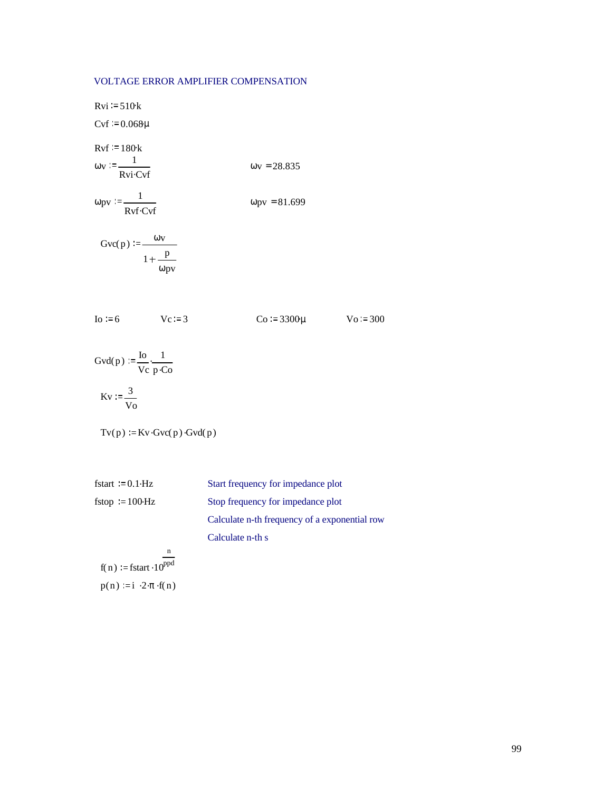### VOLTAGE ERROR AMPLIFIER COMPENSATION

 $Rvi := 510k$  $Cvf := 0.068\mu$  $Rvf := 180k$  $\omega$ v :=  $\frac{1}{\text{Rvi}\cdot\text{Cvf}}$   $\omega$ v = 28.835  $\omega$ pv :=  $\frac{1}{Rvf \cdot Cvf}$   $\omega$ pv = 81.699

Gvc(p) =  $\frac{\omega v}{\omega}$  $1 + \frac{p}{p}$ ωpv

$$
o := 6
$$

$$
Vc := 3 \t\t\t Co := 3300 \mu \t\t\t Vo := 300
$$

$$
f_{\rm{max}}
$$

Gvd $(p) := \frac{\text{Io}}{\text{Io}}$ Vc  $\frac{1}{p \cdot Co}$  $K_v := \frac{3}{2}$ 

$$
W = \frac{1}{V_0}
$$

$$
Tv(p) := Kv \cdot Gvc(p) \cdot Gvd(p)
$$

| fstart = $0.1$ Hz        | Start frequency for impedance plot            |
|--------------------------|-----------------------------------------------|
| fstop = $100 \text{ Hz}$ | Stop frequency for impedance plot             |
|                          | Calculate n-th frequency of a exponential row |
|                          | Calculate n-th s                              |

$$
f(n) := fstart \cdot 10^{ppd}
$$

$$
p(n) := i \cdot 2 \cdot \pi \cdot f(n)
$$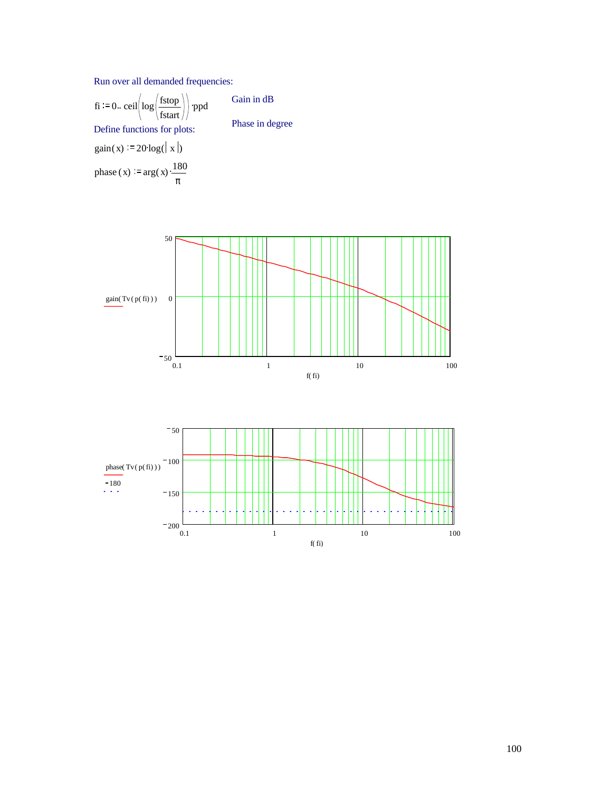Run over all demanded frequencies:

fi := 0. 
$$
\text{ceil}\left(\log\left(\frac{\text{fstop}}{\text{fstart}}\right)\right)
$$
 \n |ppd

\nDefine functions for plots:

\ngain(x) := 20 \log(|x|)

\nphase (x) := arg(x) \cdot \frac{180}{\pi}

Gain in dB